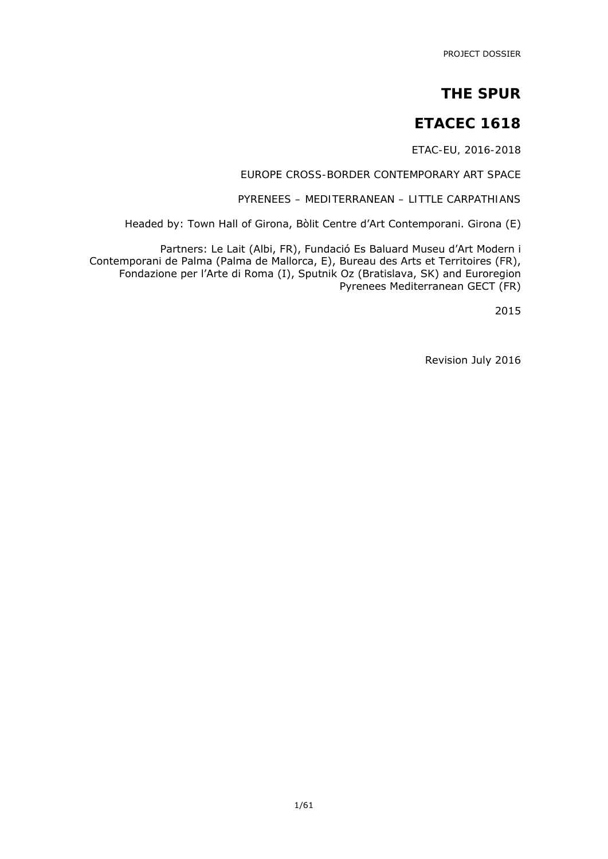PROJECT DOSSIER

### **THE SPUR**

### **ETACEC 1618**

*ETAC-EU, 2016-2018* 

*EUROPE CROSS-BORDER CONTEMPORARY ART SPACE* 

*PYRENEES – MEDITERRANEAN – LITTLE CARPATHIANS* 

Headed by: Town Hall of Girona, Bòlit Centre d'Art Contemporani. Girona (E)

Partners: Le Lait (Albi, FR), Fundació Es Baluard Museu d'Art Modern i Contemporani de Palma (Palma de Mallorca, E), Bureau des Arts et Territoires (FR), Fondazione per l'Arte di Roma (I), Sputnik Oz (Bratislava, SK) and Euroregion Pyrenees Mediterranean GECT (FR)

2015

Revision July 2016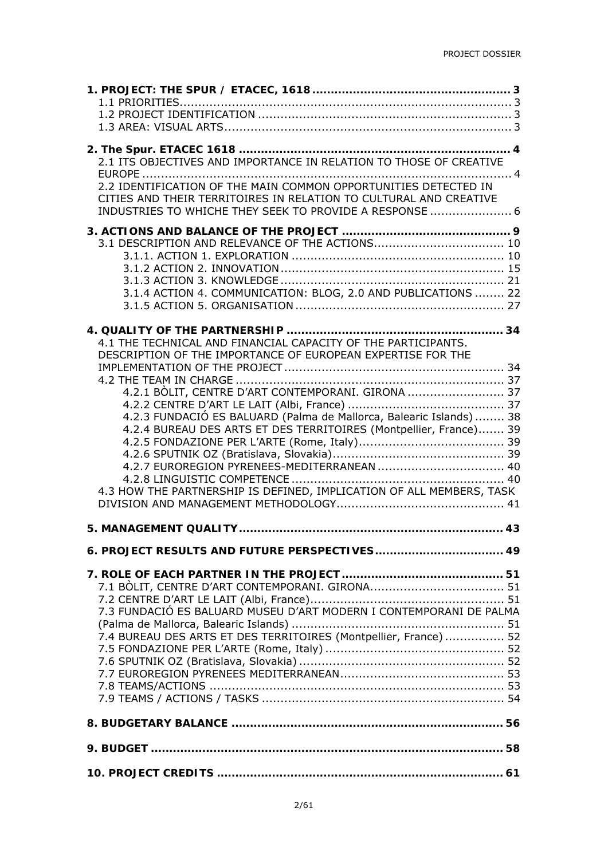| 2.1 ITS OBJECTIVES AND IMPORTANCE IN RELATION TO THOSE OF CREATIVE                                                                                                                                                                                                                                                                                                                                     |
|--------------------------------------------------------------------------------------------------------------------------------------------------------------------------------------------------------------------------------------------------------------------------------------------------------------------------------------------------------------------------------------------------------|
| 2.2 IDENTIFICATION OF THE MAIN COMMON OPPORTUNITIES DETECTED IN<br>CITIES AND THEIR TERRITOIRES IN RELATION TO CULTURAL AND CREATIVE<br>INDUSTRIES TO WHICHE THEY SEEK TO PROVIDE A RESPONSE  6                                                                                                                                                                                                        |
| 3.1.4 ACTION 4. COMMUNICATION: BLOG, 2.0 AND PUBLICATIONS  22                                                                                                                                                                                                                                                                                                                                          |
| 4.1 THE TECHNICAL AND FINANCIAL CAPACITY OF THE PARTICIPANTS.<br>DESCRIPTION OF THE IMPORTANCE OF EUROPEAN EXPERTISE FOR THE<br>4.2.1 BOLIT, CENTRE D'ART CONTEMPORANI. GIRONA  37<br>4.2.3 FUNDACIÓ ES BALUARD (Palma de Mallorca, Balearic Islands)  38<br>4.2.4 BUREAU DES ARTS ET DES TERRITOIRES (Montpellier, France) 39<br>4.3 HOW THE PARTNERSHIP IS DEFINED, IMPLICATION OF ALL MEMBERS, TASK |
|                                                                                                                                                                                                                                                                                                                                                                                                        |
| 6. PROJECT RESULTS AND FUTURE PERSPECTIVES 49                                                                                                                                                                                                                                                                                                                                                          |
| 7.3 FUNDACIÓ ES BALUARD MUSEU D'ART MODERN I CONTEMPORANI DE PALMA<br>7.4 BUREAU DES ARTS ET DES TERRITOIRES (Montpellier, France) 52                                                                                                                                                                                                                                                                  |
|                                                                                                                                                                                                                                                                                                                                                                                                        |
|                                                                                                                                                                                                                                                                                                                                                                                                        |
|                                                                                                                                                                                                                                                                                                                                                                                                        |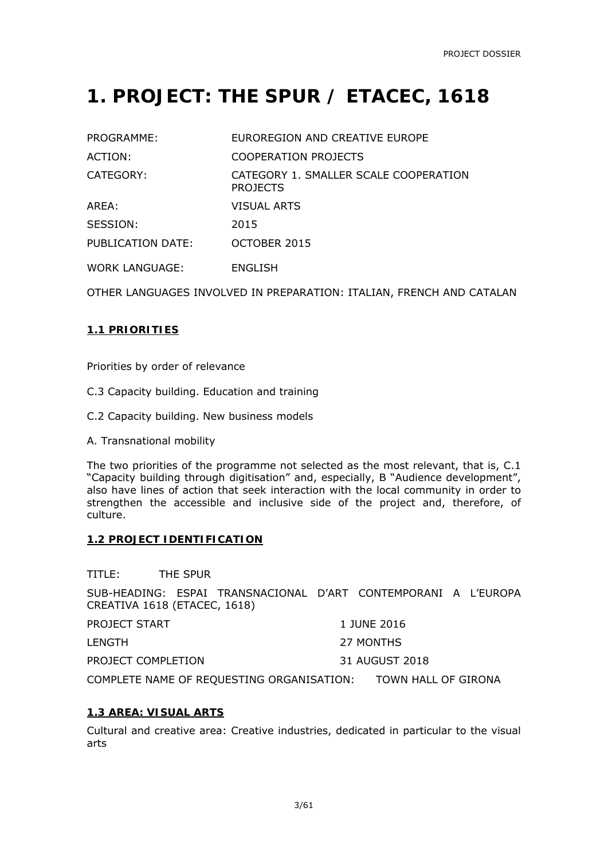## **1. PROJECT: THE SPUR / ETACEC, 1618**

| PROGRAMME:        | EUROREGION AND CREATIVE EUROPE                           |
|-------------------|----------------------------------------------------------|
| ACTION:           | <b>COOPERATION PROJECTS</b>                              |
| CATEGORY:         | CATEGORY 1. SMALLER SCALE COOPERATION<br><b>PROJECTS</b> |
| ARFA:             | <b>VISUAL ARTS</b>                                       |
| SESSION:          | 2015                                                     |
| PUBLICATION DATE: | OCTOBER 2015                                             |
| WORK LANGUAGE:    | ENGLISH                                                  |

OTHER LANGUAGES INVOLVED IN PREPARATION: ITALIAN, FRENCH AND CATALAN

#### **1.1 PRIORITIES**

Priorities by order of relevance

C.3 Capacity building. Education and training

C.2 Capacity building. New business models

A. Transnational mobility

The two priorities of the programme not selected as the most relevant, that is, C.1 "Capacity building through digitisation" and, especially, B "Audience development", also have lines of action that seek interaction with the local community in order to strengthen the accessible and inclusive side of the project and, therefore, of culture.

#### **1.2 PROJECT IDENTIFICATION**

TITLE: THE SPUR

SUB-HEADING: ESPAI TRANSNACIONAL D'ART CONTEMPORANI A L'EUROPA CREATIVA 1618 (ETACEC, 1618)

|                    | ______________ |
|--------------------|----------------|
| PROJECT COMPLETION | 31 AUGUST 2018 |
| LENGTH             | 27 MONTHS      |
| PROJECT START      | 1 JUNE 2016    |

COMPLETE NAME OF REQUESTING ORGANISATION: TOWN HALL OF GIRONA

#### **1.3 AREA: VISUAL ARTS**

Cultural and creative area: Creative industries, dedicated in particular to the visual arts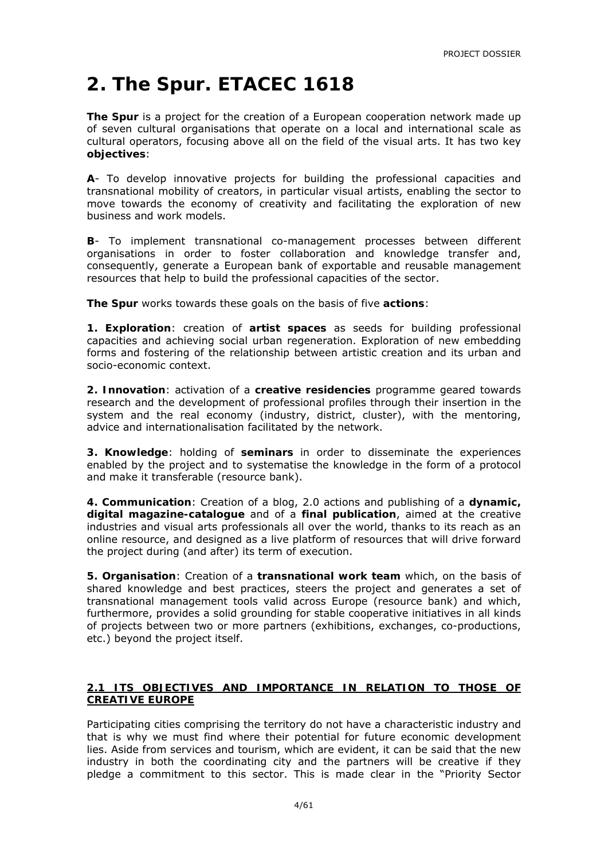## **2. The Spur. ETACEC 1618**

**The Spur** is a project for the creation of a European cooperation network made up of seven cultural organisations that operate on a local and international scale as cultural operators, focusing above all on the field of the visual arts. It has two key **objectives**:

**A**- To develop innovative projects for building the professional capacities and transnational mobility of creators, in particular visual artists, enabling the sector to move towards the economy of creativity and facilitating the exploration of new business and work models.

**B**- To implement transnational co-management processes between different organisations in order to foster collaboration and knowledge transfer and, consequently, generate a European bank of exportable and reusable management resources that help to build the professional capacities of the sector.

*The Spur* works towards these goals on the basis of five **actions**:

**1. Exploration**: creation of **artist spaces** as seeds for building professional capacities and achieving social urban regeneration. Exploration of new embedding forms and fostering of the relationship between artistic creation and its urban and socio-economic context.

**2. Innovation**: activation of a **creative residencies** programme geared towards research and the development of professional profiles through their insertion in the system and the real economy (industry, district, cluster), with the mentoring, advice and internationalisation facilitated by the network.

**3. Knowledge**: holding of **seminars** in order to disseminate the experiences enabled by the project and to systematise the knowledge in the form of a protocol and make it transferable (resource bank).

**4. Communication**: Creation of a blog, 2.0 actions and publishing of a **dynamic, digital magazine-catalogue** and of a **final publication**, aimed at the creative industries and visual arts professionals all over the world, thanks to its reach as an online resource, and designed as a live platform of resources that will drive forward the project during (and after) its term of execution.

**5. Organisation**: Creation of a **transnational work team** which, on the basis of shared knowledge and best practices, steers the project and generates a set of transnational management tools valid across Europe (resource bank) and which, furthermore, provides a solid grounding for stable cooperative initiatives in all kinds of projects between two or more partners (exhibitions, exchanges, co-productions, etc.) beyond the project itself.

#### **2.1 ITS OBJECTIVES AND IMPORTANCE IN RELATION TO THOSE OF CREATIVE EUROPE**

Participating cities comprising the territory do not have a characteristic industry and that is why we must find where their potential for future economic development lies. Aside from services and tourism, which are evident, it can be said that the new industry in both the coordinating city and the partners will be creative if they pledge a commitment to this sector. This is made clear in the "Priority Sector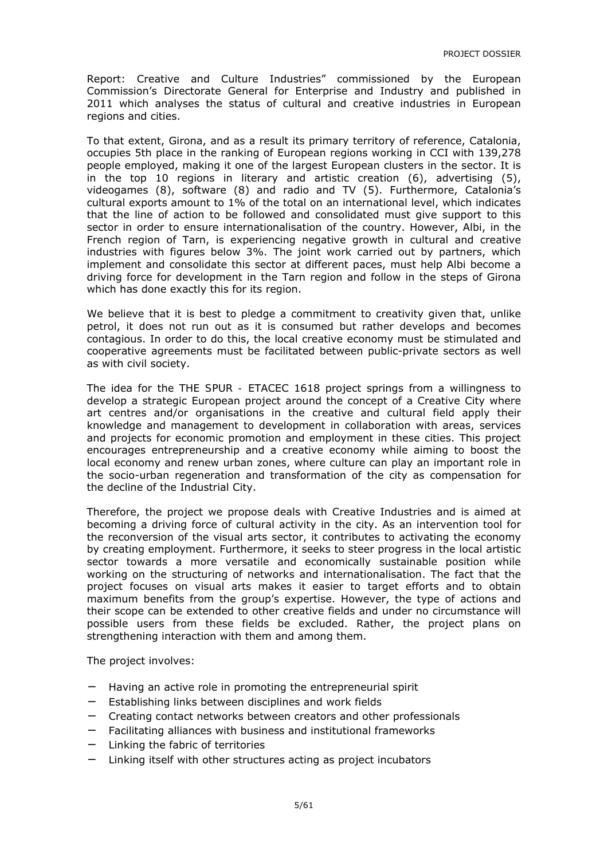Report: Creative and Culture Industries" commissioned by the European Commission's Directorate General for Enterprise and Industry and published in 2011 which analyses the status of cultural and creative industries in European regions and cities.

To that extent, Girona, and as a result its primary territory of reference, Catalonia, occupies 5th place in the ranking of European regions working in CCI with 139,278 people employed, making it one of the largest European clusters in the sector. It is in the top 10 regions in literary and artistic creation (6), advertising (5), videogames (8), software (8) and radio and TV (5). Furthermore, Catalonia's cultural exports amount to 1% of the total on an international level, which indicates that the line of action to be followed and consolidated must give support to this sector in order to ensure internationalisation of the country. However, Albi, in the French region of Tarn, is experiencing negative growth in cultural and creative industries with figures below 3%. The joint work carried out by partners, which implement and consolidate this sector at different paces, must help Albi become a driving force for development in the Tarn region and follow in the steps of Girona which has done exactly this for its region.

We believe that it is best to pledge a commitment to creativity given that, unlike petrol, it does not run out as it is consumed but rather develops and becomes contagious. In order to do this, the local creative economy must be stimulated and cooperative agreements must be facilitated between public-private sectors as well as with civil society.

The idea for the *THE SPUR -* ETACEC 1618 project springs from a willingness to develop a strategic European project around the concept of a Creative City where art centres and/or organisations in the creative and cultural field apply their knowledge and management to development in collaboration with areas, services and projects for economic promotion and employment in these cities. This project encourages entrepreneurship and a creative economy while aiming to boost the local economy and renew urban zones, where culture can play an important role in the socio-urban regeneration and transformation of the city as compensation for the decline of the Industrial City.

Therefore, the project we propose deals with Creative Industries and is aimed at becoming a driving force of cultural activity in the city. As an intervention tool for the reconversion of the visual arts sector, it contributes to activating the economy by creating employment. Furthermore, it seeks to steer progress in the local artistic sector towards a more versatile and economically sustainable position while working on the structuring of networks and internationalisation. The fact that the project focuses on visual arts makes it easier to target efforts and to obtain maximum benefits from the group's expertise. However, the type of actions and their scope can be extended to other creative fields and under no circumstance will possible users from these fields be excluded. Rather, the project plans on strengthening interaction with them and among them.

The project involves:

- Having an active role in promoting the entrepreneurial spirit
- Establishing links between disciplines and work fields
- − Creating contact networks between creators and other professionals
- − Facilitating alliances with business and institutional frameworks
- − Linking the fabric of territories
- − Linking itself with other structures acting as project incubators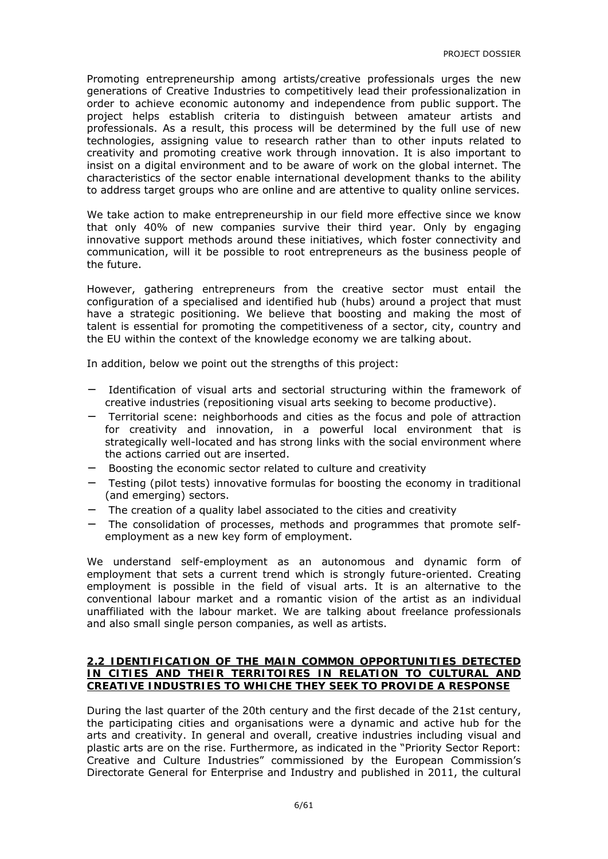Promoting entrepreneurship among artists/creative professionals urges the new generations of Creative Industries to competitively lead their professionalization in order to achieve economic autonomy and independence from public support. The project helps establish criteria to distinguish between amateur artists and professionals. As a result, this process will be determined by the full use of new technologies, assigning value to research rather than to other inputs related to creativity and promoting creative work through innovation. It is also important to insist on a digital environment and to be aware of work on the global internet. The characteristics of the sector enable international development thanks to the ability to address target groups who are online and are attentive to quality online services.

We take action to make entrepreneurship in our field more effective since we know that only 40% of new companies survive their third year. Only by engaging innovative support methods around these initiatives, which foster connectivity and communication, will it be possible to root entrepreneurs as the business people of the future.

However, gathering entrepreneurs from the creative sector must entail the configuration of a specialised and identified hub (hubs) around a project that must have a strategic positioning. We believe that boosting and making the most of talent is essential for promoting the competitiveness of a sector, city, country and the EU within the context of the knowledge economy we are talking about.

In addition, below we point out the strengths of this project:

- Identification of visual arts and sectorial structuring within the framework of creative industries (repositioning visual arts seeking to become productive).
- − Territorial scene: neighborhoods and cities as the focus and pole of attraction for creativity and innovation, in a powerful local environment that is strategically well-located and has strong links with the social environment where the actions carried out are inserted.
- − Boosting the economic sector related to culture and creativity
- − Testing (pilot tests) innovative formulas for boosting the economy in traditional (and emerging) sectors.
- − The creation of a quality label associated to the cities and creativity
- − The consolidation of processes, methods and programmes that promote selfemployment as a new key form of employment.

We understand self-employment as an autonomous and dynamic form of employment that sets a current trend which is strongly future-oriented. Creating employment is possible in the field of visual arts. It is an alternative to the conventional labour market and a romantic vision of the artist as an individual unaffiliated with the labour market. We are talking about freelance professionals and also small single person companies, as well as artists.

#### **2.2 IDENTIFICATION OF THE MAIN COMMON OPPORTUNITIES DETECTED IN CITIES AND THEIR TERRITOIRES IN RELATION TO CULTURAL AND CREATIVE INDUSTRIES TO WHICHE THEY SEEK TO PROVIDE A RESPONSE**

During the last quarter of the 20th century and the first decade of the 21st century, the participating cities and organisations were a dynamic and active hub for the arts and creativity. In general and overall, creative industries including visual and plastic arts are on the rise. Furthermore, as indicated in the "Priority Sector Report: Creative and Culture Industries" commissioned by the European Commission's Directorate General for Enterprise and Industry and published in 2011, the cultural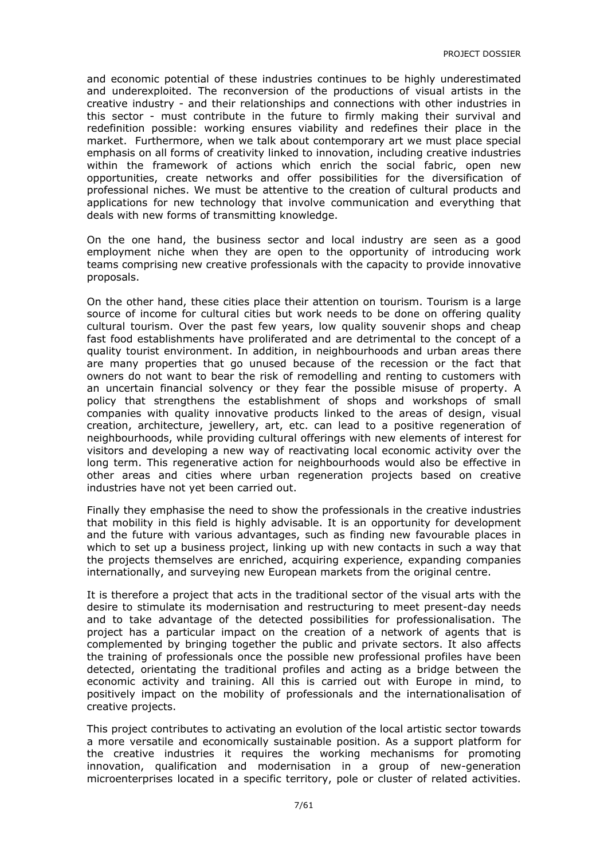and economic potential of these industries continues to be highly underestimated and underexploited. The reconversion of the productions of visual artists in the creative industry - and their relationships and connections with other industries in this sector - must contribute in the future to firmly making their survival and redefinition possible: working ensures viability and redefines their place in the market. Furthermore, when we talk about contemporary art we must place special emphasis on all forms of creativity linked to innovation, including creative industries within the framework of actions which enrich the social fabric, open new opportunities, create networks and offer possibilities for the diversification of professional niches. We must be attentive to the creation of cultural products and applications for new technology that involve communication and everything that deals with new forms of transmitting knowledge.

On the one hand, the business sector and local industry are seen as a good employment niche when they are open to the opportunity of introducing work teams comprising new creative professionals with the capacity to provide innovative proposals.

On the other hand, these cities place their attention on tourism. Tourism is a large source of income for cultural cities but work needs to be done on offering quality cultural tourism. Over the past few years, low quality souvenir shops and cheap fast food establishments have proliferated and are detrimental to the concept of a quality tourist environment. In addition, in neighbourhoods and urban areas there are many properties that go unused because of the recession or the fact that owners do not want to bear the risk of remodelling and renting to customers with an uncertain financial solvency or they fear the possible misuse of property. A policy that strengthens the establishment of shops and workshops of small companies with quality innovative products linked to the areas of design, visual creation, architecture, jewellery, art, etc. can lead to a positive regeneration of neighbourhoods, while providing cultural offerings with new elements of interest for visitors and developing a new way of reactivating local economic activity over the long term. This regenerative action for neighbourhoods would also be effective in other areas and cities where urban regeneration projects based on creative industries have not yet been carried out.

Finally they emphasise the need to show the professionals in the creative industries that mobility in this field is highly advisable. It is an opportunity for development and the future with various advantages, such as finding new favourable places in which to set up a business project, linking up with new contacts in such a way that the projects themselves are enriched, acquiring experience, expanding companies internationally, and surveying new European markets from the original centre.

It is therefore a project that acts in the traditional sector of the visual arts with the desire to stimulate its modernisation and restructuring to meet present-day needs and to take advantage of the detected possibilities for professionalisation. The project has a particular impact on the creation of a network of agents that is complemented by bringing together the public and private sectors. It also affects the training of professionals once the possible new professional profiles have been detected, orientating the traditional profiles and acting as a bridge between the economic activity and training. All this is carried out with Europe in mind, to positively impact on the mobility of professionals and the internationalisation of creative projects.

This project contributes to activating an evolution of the local artistic sector towards a more versatile and economically sustainable position. As a support platform for the creative industries it requires the working mechanisms for promoting innovation, qualification and modernisation in a group of new-generation microenterprises located in a specific territory, pole or cluster of related activities.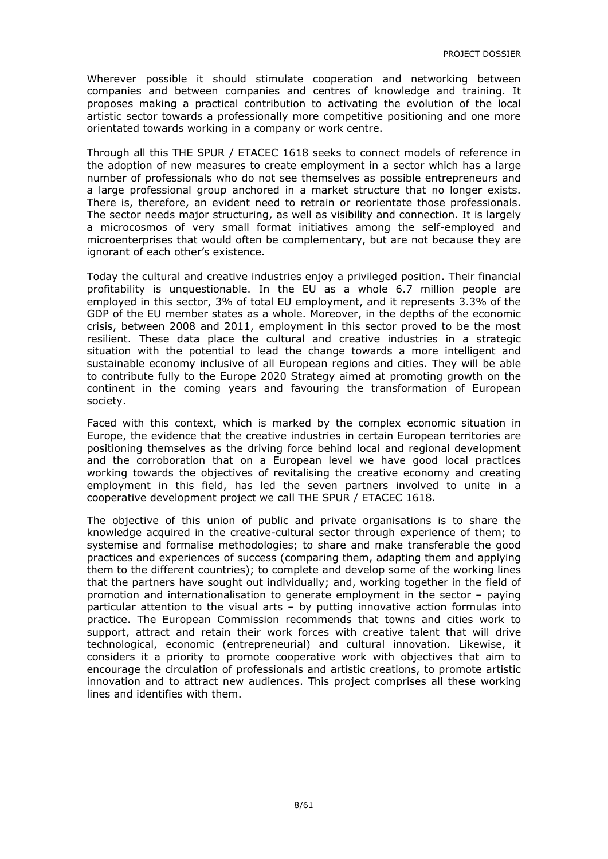Wherever possible it should stimulate cooperation and networking between companies and between companies and centres of knowledge and training. It proposes making a practical contribution to activating the evolution of the local artistic sector towards a professionally more competitive positioning and one more orientated towards working in a company or work centre.

Through all this THE SPUR / ETACEC 1618 seeks to connect models of reference in the adoption of new measures to create employment in a sector which has a large number of professionals who do not see themselves as possible entrepreneurs and a large professional group anchored in a market structure that no longer exists. There is, therefore, an evident need to retrain or reorientate those professionals. The sector needs major structuring, as well as visibility and connection. It is largely a microcosmos of very small format initiatives among the self-employed and microenterprises that would often be complementary, but are not because they are ignorant of each other's existence.

Today the cultural and creative industries enjoy a privileged position. Their financial profitability is unquestionable. In the EU as a whole 6.7 million people are employed in this sector, 3% of total EU employment, and it represents 3.3% of the GDP of the EU member states as a whole. Moreover, in the depths of the economic crisis, between 2008 and 2011, employment in this sector proved to be the most resilient. These data place the cultural and creative industries in a strategic situation with the potential to lead the change towards a more intelligent and sustainable economy inclusive of all European regions and cities. They will be able to contribute fully to the Europe 2020 Strategy aimed at promoting growth on the continent in the coming years and favouring the transformation of European society.

Faced with this context, which is marked by the complex economic situation in Europe, the evidence that the creative industries in certain European territories are positioning themselves as the driving force behind local and regional development and the corroboration that on a European level we have good local practices working towards the objectives of revitalising the creative economy and creating employment in this field, has led the seven partners involved to unite in a cooperative development project we call THE SPUR / ETACEC 1618.

The objective of this union of public and private organisations is to share the knowledge acquired in the creative-cultural sector through experience of them; to systemise and formalise methodologies; to share and make transferable the good practices and experiences of success (comparing them, adapting them and applying them to the different countries); to complete and develop some of the working lines that the partners have sought out individually; and, working together in the field of promotion and internationalisation to generate employment in the sector – paying particular attention to the visual arts – by putting innovative action formulas into practice. The European Commission recommends that towns and cities work to support, attract and retain their work forces with creative talent that will drive technological, economic (entrepreneurial) and cultural innovation. Likewise, it considers it a priority to promote cooperative work with objectives that aim to encourage the circulation of professionals and artistic creations, to promote artistic innovation and to attract new audiences. This project comprises all these working lines and identifies with them.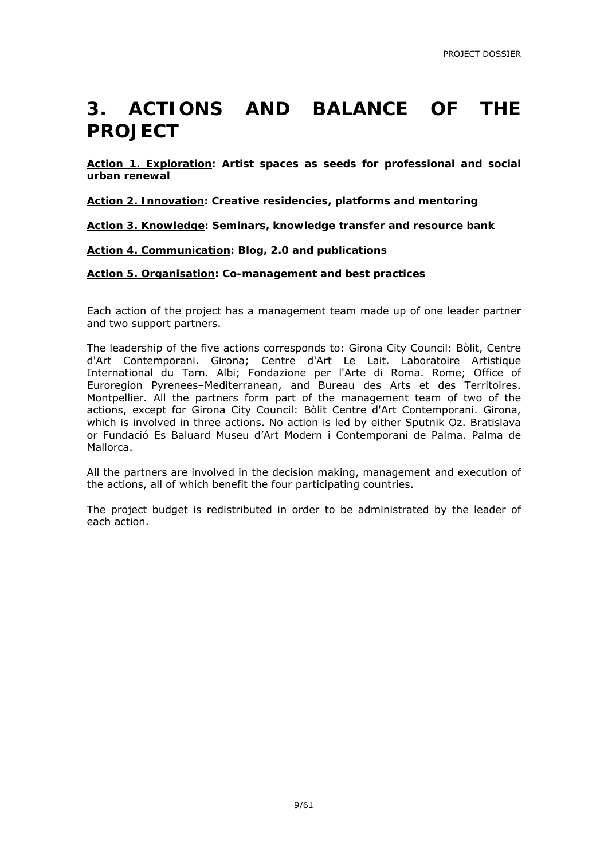### **3. ACTIONS AND BALANCE OF THE PROJECT**

**Action 1. Exploration: Artist spaces as seeds for professional and social urban renewal** 

**Action 2. Innovation: Creative residencies, platforms and mentoring** 

**Action 3. Knowledge: Seminars, knowledge transfer and resource bank** 

**Action 4. Communication: Blog, 2.0 and publications** 

**Action 5. Organisation: Co-management and best practices** 

Each action of the project has a management team made up of one leader partner and two support partners.

The leadership of the five actions corresponds to: Girona City Council: Bòlit, Centre d'Art Contemporani. Girona; Centre d'Art Le Lait. Laboratoire Artistique International du Tarn. Albi; Fondazione per l'Arte di Roma. Rome; Office of Euroregion Pyrenees–Mediterranean, and Bureau des Arts et des Territoires. Montpellier. All the partners form part of the management team of two of the actions, except for Girona City Council: Bòlit Centre d'Art Contemporani. Girona, which is involved in three actions. No action is led by either Sputnik Oz. Bratislava or Fundació Es Baluard Museu d'Art Modern i Contemporani de Palma. Palma de Mallorca.

All the partners are involved in the decision making, management and execution of the actions, all of which benefit the four participating countries.

The project budget is redistributed in order to be administrated by the leader of each action.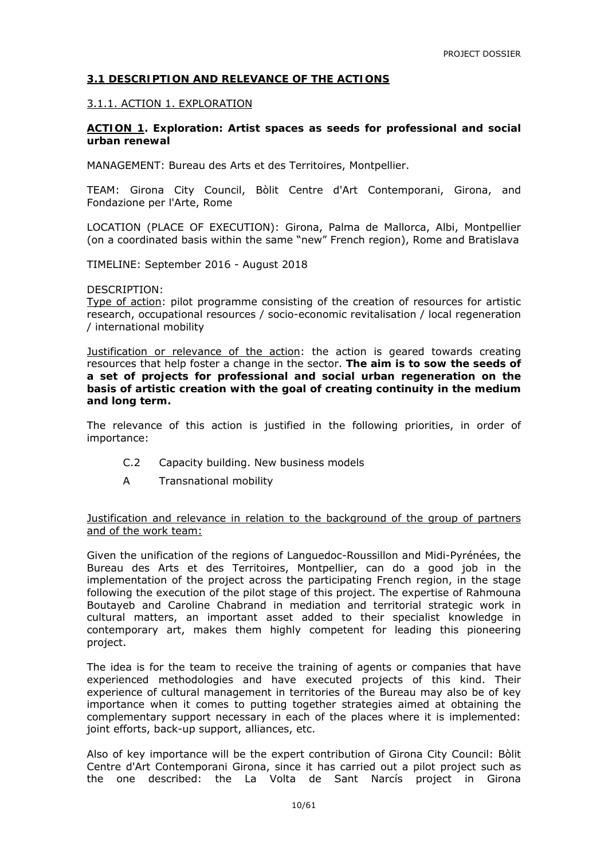#### **3.1 DESCRIPTION AND RELEVANCE OF THE ACTIONS**

#### 3.1.1. ACTION 1. EXPLORATION

**ACTION 1. Exploration: Artist spaces as seeds for professional and social urban renewal** 

MANAGEMENT: Bureau des Arts et des Territoires, Montpellier.

TEAM: Girona City Council, Bòlit Centre d'Art Contemporani, Girona, and Fondazione per l'Arte, Rome

LOCATION (PLACE OF EXECUTION): Girona, Palma de Mallorca, Albi, Montpellier (on a coordinated basis within the same "new" French region), Rome and Bratislava

TIMELINE: September 2016 - August 2018

#### DESCRIPTION:

Type of action: pilot programme consisting of the creation of resources for artistic research, occupational resources / socio-economic revitalisation / local regeneration / international mobility

Justification or relevance of the action: the action is geared towards creating resources that help foster a change in the sector. **The aim is to sow the seeds of a set of projects for professional and social urban regeneration on the basis of artistic creation with the goal of creating continuity in the medium and long term.**

The relevance of this action is justified in the following priorities, in order of importance:

- C.2 Capacity building. New business models
- A Transnational mobility

Justification and relevance in relation to the background of the group of partners and of the work team:

Given the unification of the regions of Languedoc-Roussillon and Midi-Pyrénées, the Bureau des Arts et des Territoires, Montpellier, can do a good job in the implementation of the project across the participating French region, in the stage following the execution of the pilot stage of this project. The expertise of Rahmouna Boutayeb and Caroline Chabrand in mediation and territorial strategic work in cultural matters, an important asset added to their specialist knowledge in contemporary art, makes them highly competent for leading this pioneering project.

The idea is for the team to receive the training of agents or companies that have experienced methodologies and have executed projects of this kind. Their experience of cultural management in territories of the Bureau may also be of key importance when it comes to putting together strategies aimed at obtaining the complementary support necessary in each of the places where it is implemented: joint efforts, back-up support, alliances, etc.

Also of key importance will be the expert contribution of Girona City Council: Bòlit Centre d'Art Contemporani Girona, since it has carried out a pilot project such as the one described: the La Volta de Sant Narcís project in Girona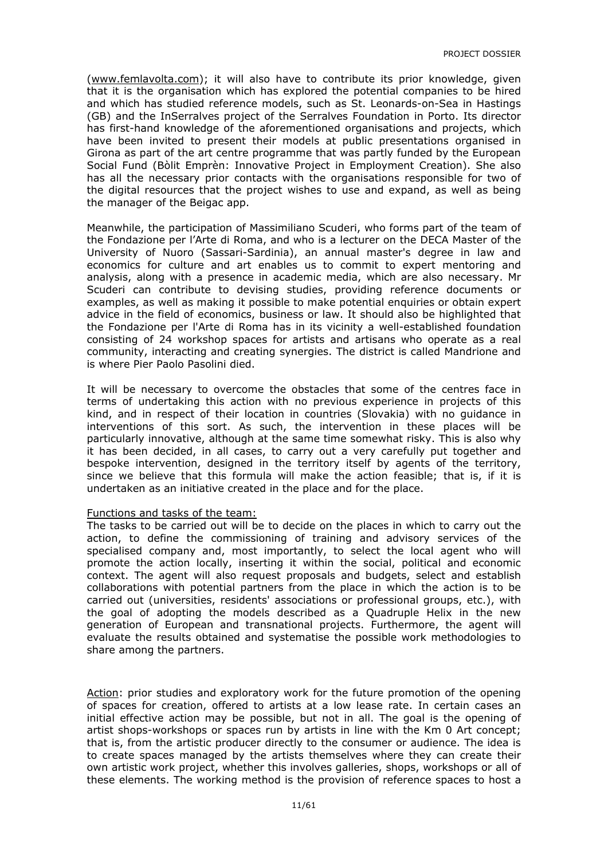(www.femlavolta.com); it will also have to contribute its prior knowledge, given that it is the organisation which has explored the potential companies to be hired and which has studied reference models, such as St. Leonards-on-Sea in Hastings (GB) and the InSerralves project of the Serralves Foundation in Porto. Its director has first-hand knowledge of the aforementioned organisations and projects, which have been invited to present their models at public presentations organised in Girona as part of the art centre programme that was partly funded by the European Social Fund (Bòlit Emprèn: Innovative Project in Employment Creation). She also has all the necessary prior contacts with the organisations responsible for two of the digital resources that the project wishes to use and expand, as well as being the manager of the Beigac app.

Meanwhile, the participation of Massimiliano Scuderi, who forms part of the team of the Fondazione per l'Arte di Roma, and who is a lecturer on the DECA Master of the University of Nuoro (Sassari-Sardinia), an annual master's degree in law and economics for culture and art enables us to commit to expert mentoring and analysis, along with a presence in academic media, which are also necessary. Mr Scuderi can contribute to devising studies, providing reference documents or examples, as well as making it possible to make potential enquiries or obtain expert advice in the field of economics, business or law. It should also be highlighted that the Fondazione per l'Arte di Roma has in its vicinity a well-established foundation consisting of 24 workshop spaces for artists and artisans who operate as a real community, interacting and creating synergies. The district is called Mandrione and is where Pier Paolo Pasolini died.

It will be necessary to overcome the obstacles that some of the centres face in terms of undertaking this action with no previous experience in projects of this kind, and in respect of their location in countries (Slovakia) with no guidance in interventions of this sort. As such, the intervention in these places will be particularly innovative, although at the same time somewhat risky. This is also why it has been decided, in all cases, to carry out a very carefully put together and bespoke intervention, designed in the territory itself by agents of the territory, since we believe that this formula will make the action feasible; that is, if it is undertaken as an initiative created in the place and for the place.

#### Functions and tasks of the team:

The tasks to be carried out will be to decide on the places in which to carry out the action, to define the commissioning of training and advisory services of the specialised company and, most importantly, to select the local agent who will promote the action locally, inserting it within the social, political and economic context. The agent will also request proposals and budgets, select and establish collaborations with potential partners from the place in which the action is to be carried out (universities, residents' associations or professional groups, etc.), with the goal of adopting the models described as a Quadruple Helix in the new generation of European and transnational projects. Furthermore, the agent will evaluate the results obtained and systematise the possible work methodologies to share among the partners.

Action: prior studies and exploratory work for the future promotion of the opening of spaces for creation, offered to artists at a low lease rate. In certain cases an initial effective action may be possible, but not in all. The goal is the opening of artist shops-workshops or spaces run by artists in line with the Km 0 Art concept; that is, from the artistic producer directly to the consumer or audience. The idea is to create spaces managed by the artists themselves where they can create their own artistic work project, whether this involves galleries, shops, workshops or all of these elements. The working method is the provision of reference spaces to host a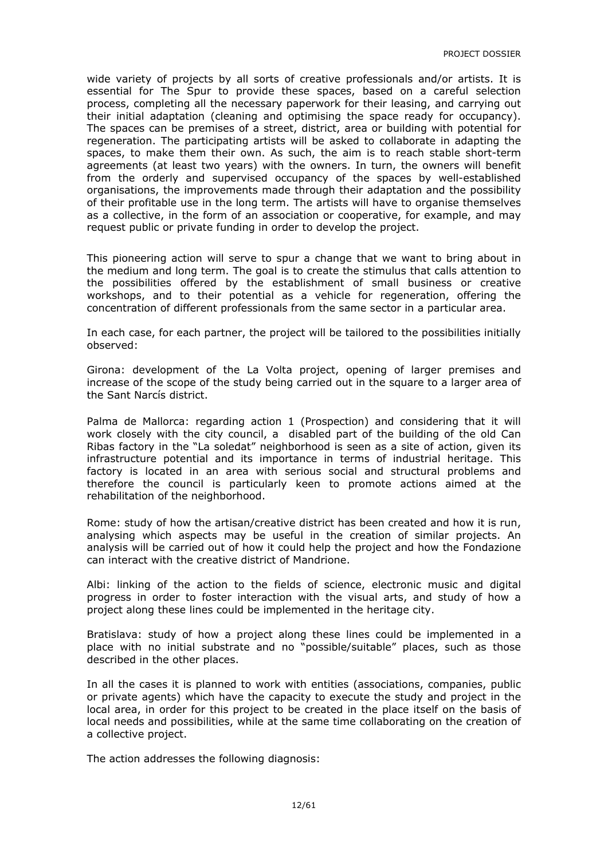wide variety of projects by all sorts of creative professionals and/or artists. It is essential for The Spur to provide these spaces, based on a careful selection process, completing all the necessary paperwork for their leasing, and carrying out their initial adaptation (cleaning and optimising the space ready for occupancy). The spaces can be premises of a street, district, area or building with potential for regeneration. The participating artists will be asked to collaborate in adapting the spaces, to make them their own. As such, the aim is to reach stable short-term agreements (at least two years) with the owners. In turn, the owners will benefit from the orderly and supervised occupancy of the spaces by well-established organisations, the improvements made through their adaptation and the possibility of their profitable use in the long term. The artists will have to organise themselves as a collective, in the form of an association or cooperative, for example, and may request public or private funding in order to develop the project.

This pioneering action will serve to spur a change that we want to bring about in the medium and long term. The goal is to create the stimulus that calls attention to the possibilities offered by the establishment of small business or creative workshops, and to their potential as a vehicle for regeneration, offering the concentration of different professionals from the same sector in a particular area.

In each case, for each partner, the project will be tailored to the possibilities initially observed:

Girona: development of the La Volta project, opening of larger premises and increase of the scope of the study being carried out in the square to a larger area of the Sant Narcís district.

Palma de Mallorca: regarding action 1 (Prospection) and considering that it will work closely with the city council, a disabled part of the building of the old Can Ribas factory in the "La soledat" neighborhood is seen as a site of action, given its infrastructure potential and its importance in terms of industrial heritage. This factory is located in an area with serious social and structural problems and therefore the council is particularly keen to promote actions aimed at the rehabilitation of the neighborhood.

Rome: study of how the artisan/creative district has been created and how it is run, analysing which aspects may be useful in the creation of similar projects. An analysis will be carried out of how it could help the project and how the Fondazione can interact with the creative district of Mandrione.

Albi: linking of the action to the fields of science, electronic music and digital progress in order to foster interaction with the visual arts, and study of how a project along these lines could be implemented in the heritage city.

Bratislava: study of how a project along these lines could be implemented in a place with no initial substrate and no "possible/suitable" places, such as those described in the other places.

In all the cases it is planned to work with entities (associations, companies, public or private agents) which have the capacity to execute the study and project in the local area, in order for this project to be created in the place itself on the basis of local needs and possibilities, while at the same time collaborating on the creation of a collective project.

The action addresses the following diagnosis: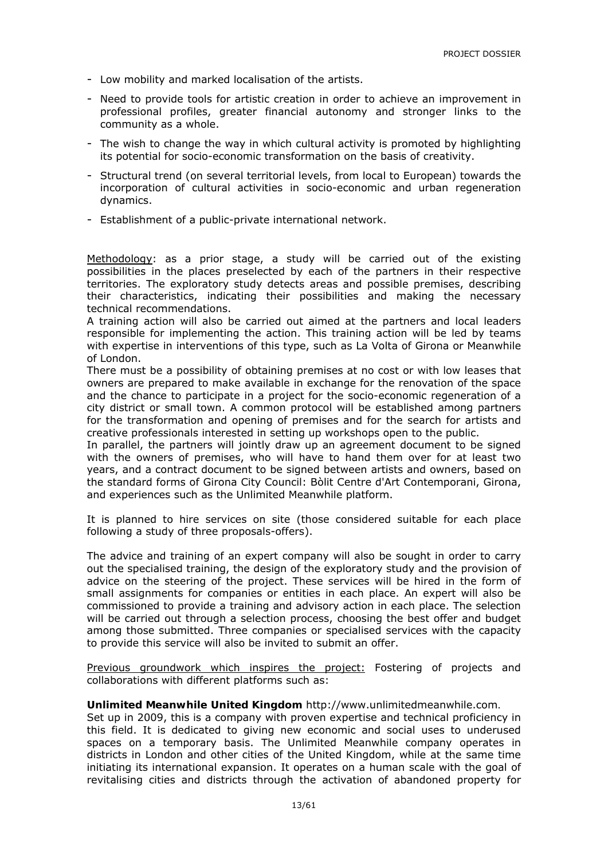- Low mobility and marked localisation of the artists.
- Need to provide tools for artistic creation in order to achieve an improvement in professional profiles, greater financial autonomy and stronger links to the community as a whole.
- The wish to change the way in which cultural activity is promoted by highlighting its potential for socio-economic transformation on the basis of creativity.
- Structural trend (on several territorial levels, from local to European) towards the incorporation of cultural activities in socio-economic and urban regeneration dynamics.
- Establishment of a public-private international network.

Methodology: as a prior stage, a study will be carried out of the existing possibilities in the places preselected by each of the partners in their respective territories. The exploratory study detects areas and possible premises, describing their characteristics, indicating their possibilities and making the necessary technical recommendations.

A training action will also be carried out aimed at the partners and local leaders responsible for implementing the action. This training action will be led by teams with expertise in interventions of this type, such as La Volta of Girona or Meanwhile of London.

There must be a possibility of obtaining premises at no cost or with low leases that owners are prepared to make available in exchange for the renovation of the space and the chance to participate in a project for the socio-economic regeneration of a city district or small town. A common protocol will be established among partners for the transformation and opening of premises and for the search for artists and creative professionals interested in setting up workshops open to the public.

In parallel, the partners will jointly draw up an agreement document to be signed with the owners of premises, who will have to hand them over for at least two years, and a contract document to be signed between artists and owners, based on the standard forms of Girona City Council: Bòlit Centre d'Art Contemporani, Girona, and experiences such as the Unlimited Meanwhile platform.

It is planned to hire services on site (those considered suitable for each place following a study of three proposals-offers).

The advice and training of an expert company will also be sought in order to carry out the specialised training, the design of the exploratory study and the provision of advice on the steering of the project. These services will be hired in the form of small assignments for companies or entities in each place. An expert will also be commissioned to provide a training and advisory action in each place. The selection will be carried out through a selection process, choosing the best offer and budget among those submitted. Three companies or specialised services with the capacity to provide this service will also be invited to submit an offer.

Previous groundwork which inspires the project: Fostering of projects and collaborations with different platforms such as:

#### **Unlimited Meanwhile United Kingdom** http://www.unlimitedmeanwhile.com.

Set up in 2009, this is a company with proven expertise and technical proficiency in this field. It is dedicated to giving new economic and social uses to underused spaces on a temporary basis. The Unlimited Meanwhile company operates in districts in London and other cities of the United Kingdom, while at the same time initiating its international expansion. It operates on a human scale with the goal of revitalising cities and districts through the activation of abandoned property for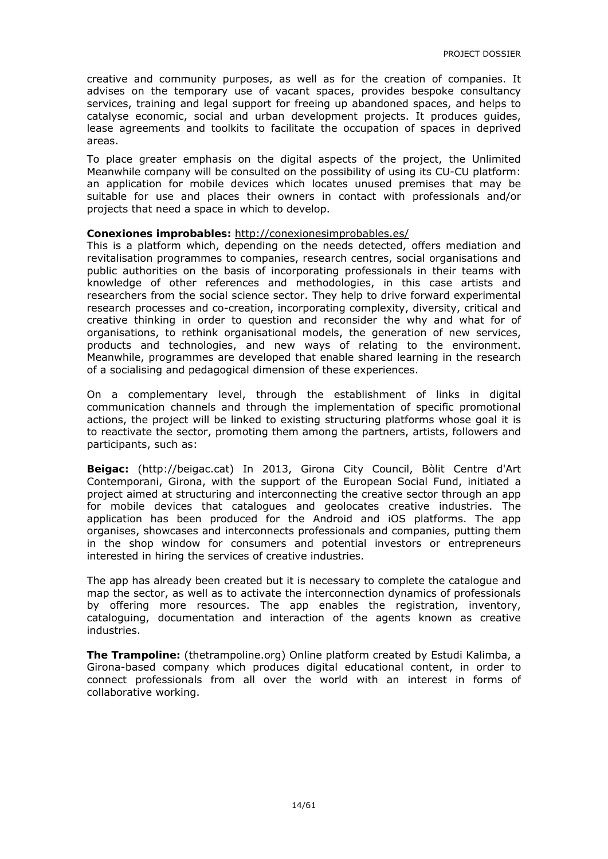creative and community purposes, as well as for the creation of companies. It advises on the temporary use of vacant spaces, provides bespoke consultancy services, training and legal support for freeing up abandoned spaces, and helps to catalyse economic, social and urban development projects. It produces guides, lease agreements and toolkits to facilitate the occupation of spaces in deprived areas.

To place greater emphasis on the digital aspects of the project, the Unlimited Meanwhile company will be consulted on the possibility of using its CU-CU platform: an application for mobile devices which locates unused premises that may be suitable for use and places their owners in contact with professionals and/or projects that need a space in which to develop.

#### **Conexiones improbables:** http://conexionesimprobables.es/

This is a platform which, depending on the needs detected, offers mediation and revitalisation programmes to companies, research centres, social organisations and public authorities on the basis of incorporating professionals in their teams with knowledge of other references and methodologies, in this case artists and researchers from the social science sector. They help to drive forward experimental research processes and co-creation, incorporating complexity, diversity, critical and creative thinking in order to question and reconsider the why and what for of organisations, to rethink organisational models, the generation of new services, products and technologies, and new ways of relating to the environment. Meanwhile, programmes are developed that enable shared learning in the research of a socialising and pedagogical dimension of these experiences.

On a complementary level, through the establishment of links in digital communication channels and through the implementation of specific promotional actions, the project will be linked to existing structuring platforms whose goal it is to reactivate the sector, promoting them among the partners, artists, followers and participants, such as:

**Beigac:** (http://beigac.cat) In 2013, Girona City Council, Bòlit Centre d'Art Contemporani, Girona, with the support of the European Social Fund, initiated a project aimed at structuring and interconnecting the creative sector through an app for mobile devices that catalogues and geolocates creative industries. The application has been produced for the Android and iOS platforms. The app organises, showcases and interconnects professionals and companies, putting them in the shop window for consumers and potential investors or entrepreneurs interested in hiring the services of creative industries.

The app has already been created but it is necessary to complete the catalogue and map the sector, as well as to activate the interconnection dynamics of professionals by offering more resources. The app enables the registration, inventory, cataloguing, documentation and interaction of the agents known as creative industries.

**The Trampoline:** (thetrampoline.org) Online platform created by Estudi Kalimba, a Girona-based company which produces digital educational content, in order to connect professionals from all over the world with an interest in forms of collaborative working.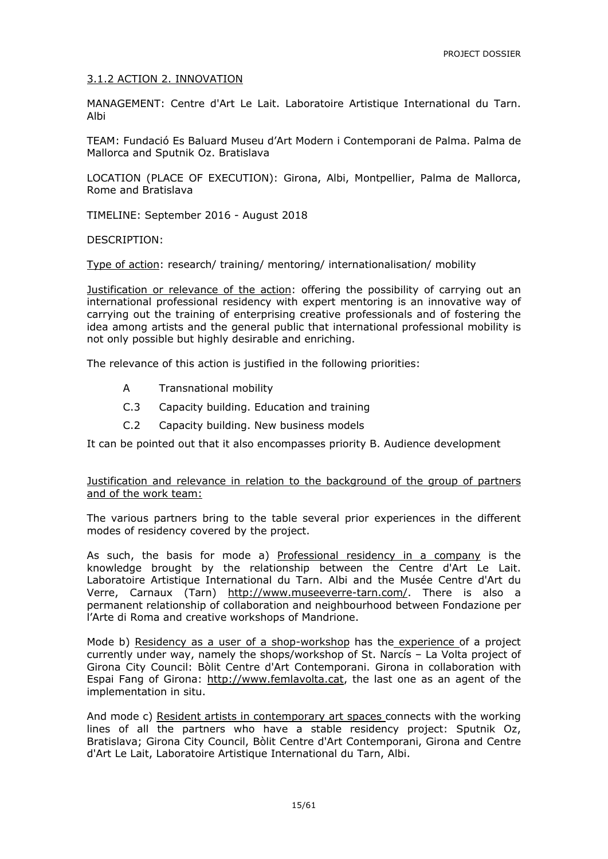#### 3.1.2 ACTION 2. INNOVATION

MANAGEMENT: Centre d'Art Le Lait. Laboratoire Artistique International du Tarn. Albi

TEAM: Fundació Es Baluard Museu d'Art Modern i Contemporani de Palma. Palma de Mallorca and Sputnik Oz. Bratislava

LOCATION (PLACE OF EXECUTION): Girona, Albi, Montpellier, Palma de Mallorca, Rome and Bratislava

TIMELINE: September 2016 - August 2018

DESCRIPTION:

Type of action: research/ training/ mentoring/ internationalisation/ mobility

Justification or relevance of the action: offering the possibility of carrying out an international professional residency with expert mentoring is an innovative way of carrying out the training of enterprising creative professionals and of fostering the idea among artists and the general public that international professional mobility is not only possible but highly desirable and enriching.

The relevance of this action is justified in the following priorities:

- A Transnational mobility
- C.3 Capacity building. Education and training
- C.2 Capacity building. New business models

It can be pointed out that it also encompasses priority B. Audience development

#### Justification and relevance in relation to the background of the group of partners and of the work team:

The various partners bring to the table several prior experiences in the different modes of residency covered by the project.

As such, the basis for mode a) Professional residency in a company is the knowledge brought by the relationship between the Centre d'Art Le Lait. Laboratoire Artistique International du Tarn. Albi and the Musée Centre d'Art du Verre, Carnaux (Tarn) http://www.museeverre-tarn.com/. There is also a permanent relationship of collaboration and neighbourhood between Fondazione per l'Arte di Roma and creative workshops of Mandrione.

Mode b) Residency as a user of a shop-workshop has the experience of a project currently under way, namely the shops/workshop of St. Narcís – La Volta project of Girona City Council: Bòlit Centre d'Art Contemporani. Girona in collaboration with Espai Fang of Girona: http://www.femlavolta.cat, the last one as an agent of the implementation in situ.

And mode c) Resident artists in contemporary art spaces connects with the working lines of all the partners who have a stable residency project: Sputnik Oz, Bratislava; Girona City Council, Bòlit Centre d'Art Contemporani, Girona and Centre d'Art Le Lait, Laboratoire Artistique International du Tarn, Albi.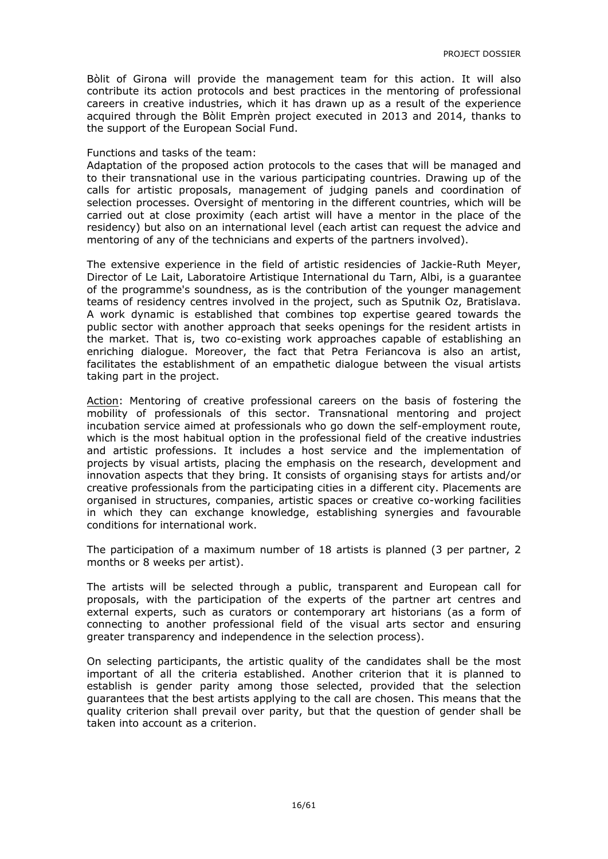Bòlit of Girona will provide the management team for this action. It will also contribute its action protocols and best practices in the mentoring of professional careers in creative industries, which it has drawn up as a result of the experience acquired through the Bòlit Emprèn project executed in 2013 and 2014, thanks to the support of the European Social Fund.

#### Functions and tasks of the team:

Adaptation of the proposed action protocols to the cases that will be managed and to their transnational use in the various participating countries. Drawing up of the calls for artistic proposals, management of judging panels and coordination of selection processes. Oversight of mentoring in the different countries, which will be carried out at close proximity (each artist will have a mentor in the place of the residency) but also on an international level (each artist can request the advice and mentoring of any of the technicians and experts of the partners involved).

The extensive experience in the field of artistic residencies of Jackie-Ruth Meyer, Director of Le Lait, Laboratoire Artistique International du Tarn, Albi, is a guarantee of the programme's soundness, as is the contribution of the younger management teams of residency centres involved in the project, such as Sputnik Oz, Bratislava. A work dynamic is established that combines top expertise geared towards the public sector with another approach that seeks openings for the resident artists in the market. That is, two co-existing work approaches capable of establishing an enriching dialogue. Moreover, the fact that Petra Feriancova is also an artist, facilitates the establishment of an empathetic dialogue between the visual artists taking part in the project.

Action: Mentoring of creative professional careers on the basis of fostering the mobility of professionals of this sector. Transnational mentoring and project incubation service aimed at professionals who go down the self-employment route, which is the most habitual option in the professional field of the creative industries and artistic professions. It includes a host service and the implementation of projects by visual artists, placing the emphasis on the research, development and innovation aspects that they bring. It consists of organising stays for artists and/or creative professionals from the participating cities in a different city. Placements are organised in structures, companies, artistic spaces or creative co-working facilities in which they can exchange knowledge, establishing synergies and favourable conditions for international work.

The participation of a maximum number of 18 artists is planned (3 per partner, 2 months or 8 weeks per artist).

The artists will be selected through a public, transparent and European call for proposals, with the participation of the experts of the partner art centres and external experts, such as curators or contemporary art historians (as a form of connecting to another professional field of the visual arts sector and ensuring greater transparency and independence in the selection process).

On selecting participants, the artistic quality of the candidates shall be the most important of all the criteria established. Another criterion that it is planned to establish is gender parity among those selected, provided that the selection guarantees that the best artists applying to the call are chosen. This means that the quality criterion shall prevail over parity, but that the question of gender shall be taken into account as a criterion.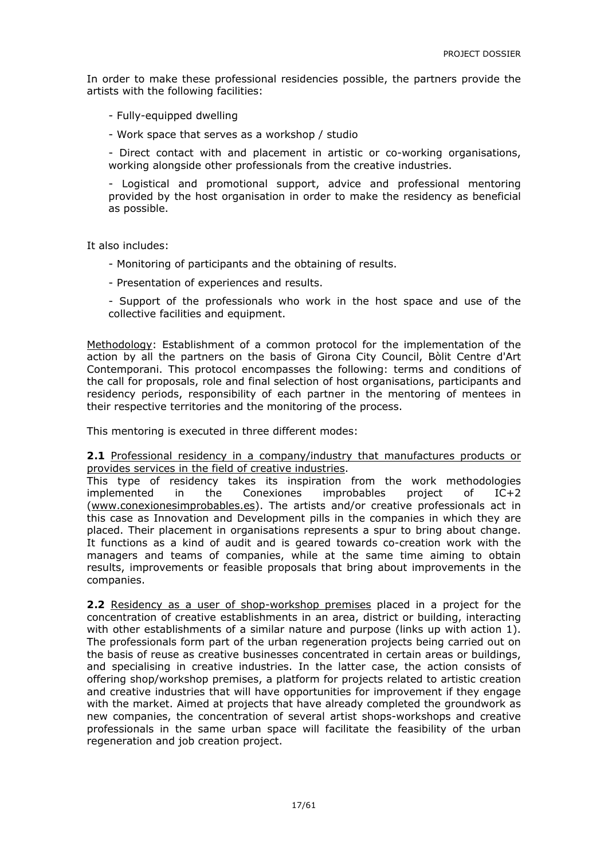In order to make these professional residencies possible, the partners provide the artists with the following facilities:

- Fully-equipped dwelling

- Work space that serves as a workshop / studio

- Direct contact with and placement in artistic or co-working organisations, working alongside other professionals from the creative industries.

- Logistical and promotional support, advice and professional mentoring provided by the host organisation in order to make the residency as beneficial as possible.

It also includes:

- Monitoring of participants and the obtaining of results.
- Presentation of experiences and results.

- Support of the professionals who work in the host space and use of the collective facilities and equipment.

Methodology: Establishment of a common protocol for the implementation of the action by all the partners on the basis of Girona City Council, Bòlit Centre d'Art Contemporani. This protocol encompasses the following: terms and conditions of the call for proposals, role and final selection of host organisations, participants and residency periods, responsibility of each partner in the mentoring of mentees in their respective territories and the monitoring of the process.

This mentoring is executed in three different modes:

**2.1** Professional residency in a company/industry that manufactures products or provides services in the field of creative industries.

This type of residency takes its inspiration from the work methodologies implemented in the Conexiones improbables project of IC+2 (www.conexionesimprobables.es). The artists and/or creative professionals act in this case as Innovation and Development pills in the companies in which they are placed. Their placement in organisations represents a spur to bring about change. It functions as a kind of audit and is geared towards co-creation work with the managers and teams of companies, while at the same time aiming to obtain results, improvements or feasible proposals that bring about improvements in the companies.

**2.2** Residency as a user of shop-workshop premises placed in a project for the concentration of creative establishments in an area, district or building, interacting with other establishments of a similar nature and purpose (links up with action 1). The professionals form part of the urban regeneration projects being carried out on the basis of reuse as creative businesses concentrated in certain areas or buildings, and specialising in creative industries. In the latter case, the action consists of offering shop/workshop premises, a platform for projects related to artistic creation and creative industries that will have opportunities for improvement if they engage with the market. Aimed at projects that have already completed the groundwork as new companies, the concentration of several artist shops-workshops and creative professionals in the same urban space will facilitate the feasibility of the urban regeneration and job creation project.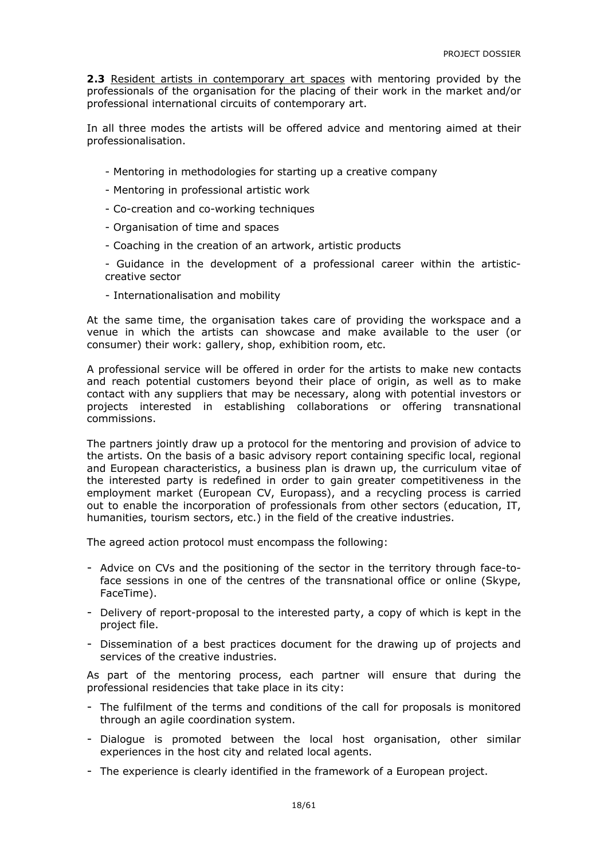**2.3** Resident artists in contemporary art spaces with mentoring provided by the professionals of the organisation for the placing of their work in the market and/or professional international circuits of contemporary art.

In all three modes the artists will be offered advice and mentoring aimed at their professionalisation.

- Mentoring in methodologies for starting up a creative company
- Mentoring in professional artistic work
- Co-creation and co-working techniques
- Organisation of time and spaces
- Coaching in the creation of an artwork, artistic products
- Guidance in the development of a professional career within the artisticcreative sector
- Internationalisation and mobility

At the same time, the organisation takes care of providing the workspace and a venue in which the artists can showcase and make available to the user (or consumer) their work: gallery, shop, exhibition room, etc.

A professional service will be offered in order for the artists to make new contacts and reach potential customers beyond their place of origin, as well as to make contact with any suppliers that may be necessary, along with potential investors or projects interested in establishing collaborations or offering transnational commissions.

The partners jointly draw up a protocol for the mentoring and provision of advice to the artists. On the basis of a basic advisory report containing specific local, regional and European characteristics, a business plan is drawn up, the curriculum vitae of the interested party is redefined in order to gain greater competitiveness in the employment market (European CV, Europass), and a recycling process is carried out to enable the incorporation of professionals from other sectors (education, IT, humanities, tourism sectors, etc.) in the field of the creative industries.

The agreed action protocol must encompass the following:

- Advice on CVs and the positioning of the sector in the territory through face-toface sessions in one of the centres of the transnational office or online (Skype, FaceTime).
- Delivery of report-proposal to the interested party, a copy of which is kept in the project file.
- Dissemination of a best practices document for the drawing up of projects and services of the creative industries.

As part of the mentoring process, each partner will ensure that during the professional residencies that take place in its city:

- The fulfilment of the terms and conditions of the call for proposals is monitored through an agile coordination system.
- Dialogue is promoted between the local host organisation, other similar experiences in the host city and related local agents.
- The experience is clearly identified in the framework of a European project.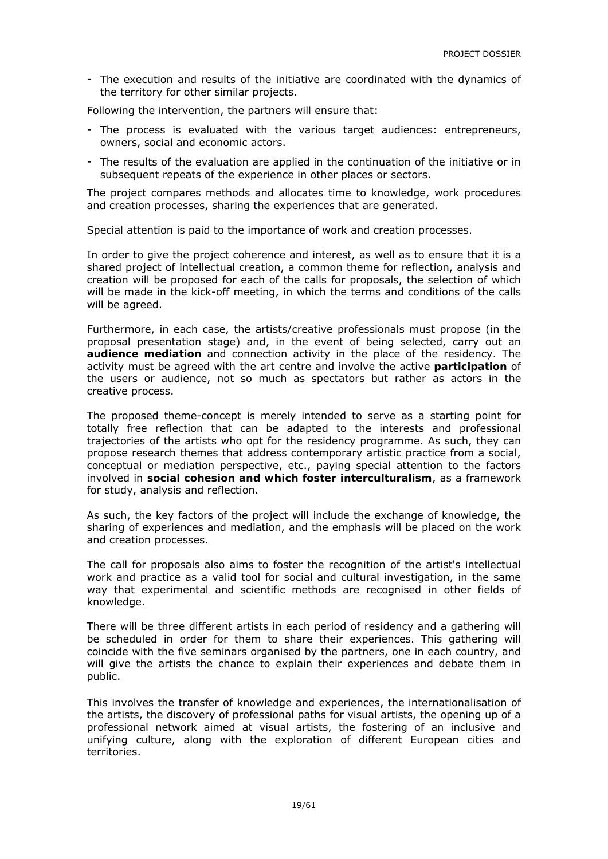- The execution and results of the initiative are coordinated with the dynamics of the territory for other similar projects.

Following the intervention, the partners will ensure that:

- The process is evaluated with the various target audiences: entrepreneurs, owners, social and economic actors.
- The results of the evaluation are applied in the continuation of the initiative or in subsequent repeats of the experience in other places or sectors.

The project compares methods and allocates time to knowledge, work procedures and creation processes, sharing the experiences that are generated.

Special attention is paid to the importance of work and creation processes.

In order to give the project coherence and interest, as well as to ensure that it is a shared project of intellectual creation, a common theme for reflection, analysis and creation will be proposed for each of the calls for proposals, the selection of which will be made in the kick-off meeting, in which the terms and conditions of the calls will be agreed.

Furthermore, in each case, the artists/creative professionals must propose (in the proposal presentation stage) and, in the event of being selected, carry out an **audience mediation** and connection activity in the place of the residency. The activity must be agreed with the art centre and involve the active **participation** of the users or audience, not so much as spectators but rather as actors in the creative process.

The proposed theme-concept is merely intended to serve as a starting point for totally free reflection that can be adapted to the interests and professional trajectories of the artists who opt for the residency programme. As such, they can propose research themes that address contemporary artistic practice from a social, conceptual or mediation perspective, etc., paying special attention to the factors involved in **social cohesion and which foster interculturalism**, as a framework for study, analysis and reflection.

As such, the key factors of the project will include the exchange of knowledge, the sharing of experiences and mediation, and the emphasis will be placed on the work and creation processes.

The call for proposals also aims to foster the recognition of the artist's intellectual work and practice as a valid tool for social and cultural investigation, in the same way that experimental and scientific methods are recognised in other fields of knowledge.

There will be three different artists in each period of residency and a gathering will be scheduled in order for them to share their experiences. This gathering will coincide with the five seminars organised by the partners, one in each country, and will give the artists the chance to explain their experiences and debate them in public.

This involves the transfer of knowledge and experiences, the internationalisation of the artists, the discovery of professional paths for visual artists, the opening up of a professional network aimed at visual artists, the fostering of an inclusive and unifying culture, along with the exploration of different European cities and territories.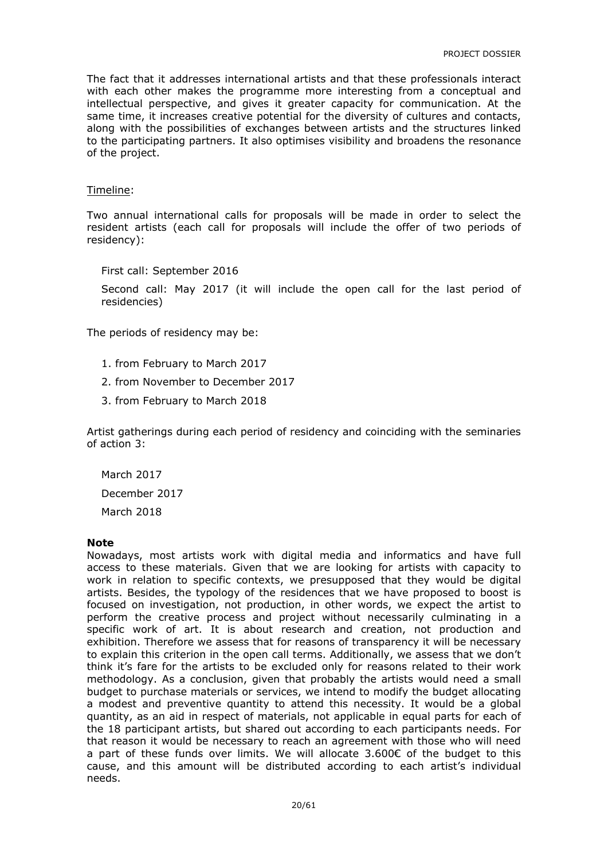The fact that it addresses international artists and that these professionals interact with each other makes the programme more interesting from a conceptual and intellectual perspective, and gives it greater capacity for communication. At the same time, it increases creative potential for the diversity of cultures and contacts, along with the possibilities of exchanges between artists and the structures linked to the participating partners. It also optimises visibility and broadens the resonance of the project.

#### Timeline:

Two annual international calls for proposals will be made in order to select the resident artists (each call for proposals will include the offer of two periods of residency):

First call: September 2016 Second call: May 2017 (it will include the open call for the last period of residencies)

The periods of residency may be:

- 1. from February to March 2017
- 2. from November to December 2017
- 3. from February to March 2018

Artist gatherings during each period of residency and coinciding with the seminaries of action 3:

March 2017 December 2017 March 2018

#### **Note**

Nowadays, most artists work with digital media and informatics and have full access to these materials. Given that we are looking for artists with capacity to work in relation to specific contexts, we presupposed that they would be digital artists. Besides, the typology of the residences that we have proposed to boost is focused on investigation, not production, in other words, we expect the artist to perform the creative process and project without necessarily culminating in a specific work of art. It is about research and creation, not production and exhibition. Therefore we assess that for reasons of transparency it will be necessary to explain this criterion in the open call terms. Additionally, we assess that we don't think it's fare for the artists to be excluded only for reasons related to their work methodology. As a conclusion, given that probably the artists would need a small budget to purchase materials or services, we intend to modify the budget allocating a modest and preventive quantity to attend this necessity. It would be a global quantity, as an aid in respect of materials, not applicable in equal parts for each of the 18 participant artists, but shared out according to each participants needs. For that reason it would be necessary to reach an agreement with those who will need a part of these funds over limits. We will allocate 3.600€ of the budget to this cause, and this amount will be distributed according to each artist's individual needs.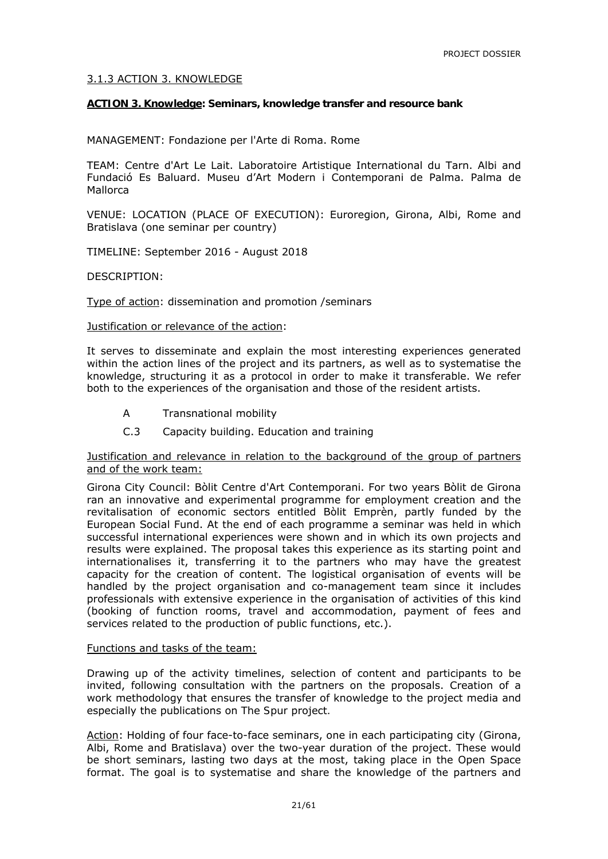#### 3.1.3 ACTION 3. KNOWLEDGE

#### **ACTION 3. Knowledge: Seminars, knowledge transfer and resource bank**

MANAGEMENT: Fondazione per l'Arte di Roma. Rome

TEAM: Centre d'Art Le Lait. Laboratoire Artistique International du Tarn. Albi and Fundació Es Baluard. Museu d'Art Modern i Contemporani de Palma. Palma de Mallorca

VENUE: LOCATION (PLACE OF EXECUTION): Euroregion, Girona, Albi, Rome and Bratislava (one seminar per country)

TIMELINE: September 2016 - August 2018

#### DESCRIPTION:

Type of action: dissemination and promotion /seminars

Justification or relevance of the action:

It serves to disseminate and explain the most interesting experiences generated within the action lines of the project and its partners, as well as to systematise the knowledge, structuring it as a protocol in order to make it transferable. We refer both to the experiences of the organisation and those of the resident artists.

- A Transnational mobility
- C.3 Capacity building. Education and training

#### Justification and relevance in relation to the background of the group of partners and of the work team:

Girona City Council: Bòlit Centre d'Art Contemporani. For two years Bòlit de Girona ran an innovative and experimental programme for employment creation and the revitalisation of economic sectors entitled Bòlit Emprèn, partly funded by the European Social Fund. At the end of each programme a seminar was held in which successful international experiences were shown and in which its own projects and results were explained. The proposal takes this experience as its starting point and internationalises it, transferring it to the partners who may have the greatest capacity for the creation of content. The logistical organisation of events will be handled by the project organisation and co-management team since it includes professionals with extensive experience in the organisation of activities of this kind (booking of function rooms, travel and accommodation, payment of fees and services related to the production of public functions, etc.).

#### Functions and tasks of the team:

Drawing up of the activity timelines, selection of content and participants to be invited, following consultation with the partners on the proposals. Creation of a work methodology that ensures the transfer of knowledge to the project media and especially the publications on *The Spur* project*.*

Action: Holding of four face-to-face seminars, one in each participating city (Girona, Albi, Rome and Bratislava) over the two-year duration of the project. These would be short seminars, lasting two days at the most, taking place in the Open Space format. The goal is to systematise and share the knowledge of the partners and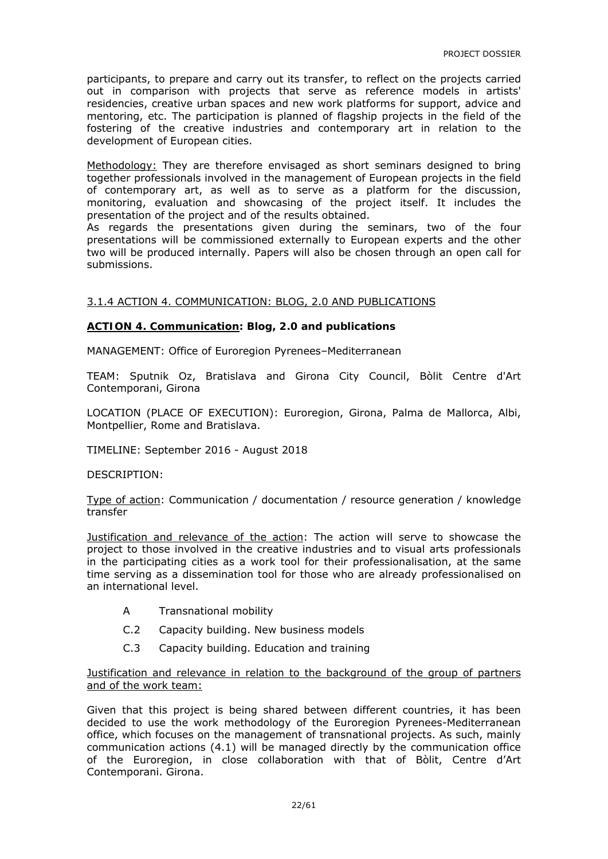participants, to prepare and carry out its transfer, to reflect on the projects carried out in comparison with projects that serve as reference models in artists' residencies, creative urban spaces and new work platforms for support, advice and mentoring, etc. The participation is planned of flagship projects in the field of the fostering of the creative industries and contemporary art in relation to the development of European cities.

Methodology: They are therefore envisaged as short seminars designed to bring together professionals involved in the management of European projects in the field of contemporary art, as well as to serve as a platform for the discussion, monitoring, evaluation and showcasing of the project itself. It includes the presentation of the project and of the results obtained.

As regards the presentations given during the seminars, two of the four presentations will be commissioned externally to European experts and the other two will be produced internally. Papers will also be chosen through an open call for submissions.

#### 3.1.4 ACTION 4. COMMUNICATION: BLOG, 2.0 AND PUBLICATIONS

#### **ACTION 4. Communication: Blog, 2.0 and publications**

MANAGEMENT: Office of Euroregion Pyrenees–Mediterranean

TEAM: Sputnik Oz, Bratislava and Girona City Council, Bòlit Centre d'Art Contemporani, Girona

LOCATION (PLACE OF EXECUTION): Euroregion, Girona, Palma de Mallorca, Albi, Montpellier, Rome and Bratislava.

TIMELINE: September 2016 - August 2018

DESCRIPTION:

Type of action: Communication / documentation / resource generation / knowledge transfer

Justification and relevance of the action: The action will serve to showcase the project to those involved in the creative industries and to visual arts professionals in the participating cities as a work tool for their professionalisation, at the same time serving as a dissemination tool for those who are already professionalised on an international level.

- A Transnational mobility
- C.2 Capacity building. New business models
- C.3 Capacity building. Education and training

#### Justification and relevance in relation to the background of the group of partners and of the work team:

Given that this project is being shared between different countries, it has been decided to use the work methodology of the Euroregion Pyrenees-Mediterranean office, which focuses on the management of transnational projects. As such, mainly communication actions (4.1) will be managed directly by the communication office of the Euroregion, in close collaboration with that of Bòlit, Centre d'Art Contemporani. Girona.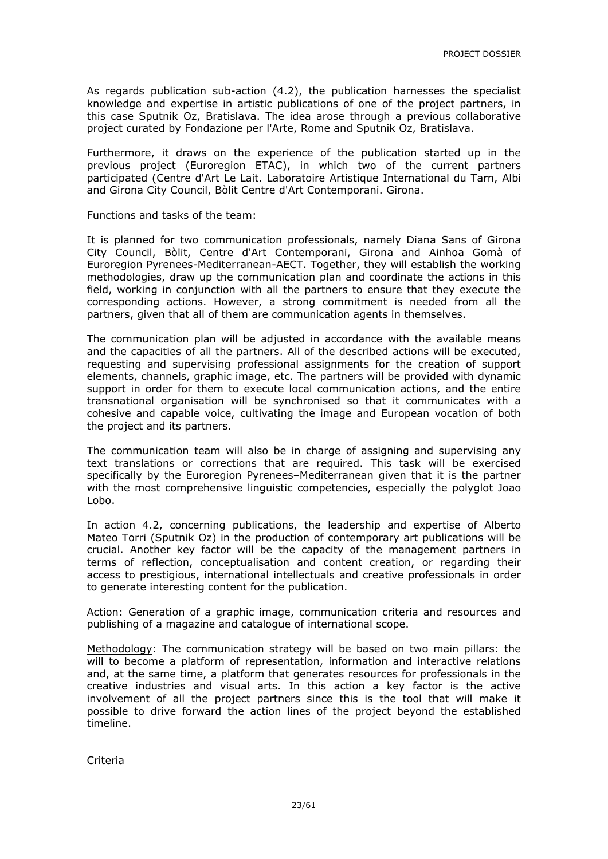As regards publication sub-action (4.2), the publication harnesses the specialist knowledge and expertise in artistic publications of one of the project partners, in this case Sputnik Oz, Bratislava. The idea arose through a previous collaborative project curated by Fondazione per l'Arte, Rome and Sputnik Oz, Bratislava.

Furthermore, it draws on the experience of the publication started up in the previous project (Euroregion ETAC), in which two of the current partners participated (Centre d'Art Le Lait. Laboratoire Artistique International du Tarn, Albi and Girona City Council, Bòlit Centre d'Art Contemporani. Girona.

#### Functions and tasks of the team:

It is planned for two communication professionals, namely Diana Sans of Girona City Council, Bòlit, Centre d'Art Contemporani, Girona and Ainhoa Gomà of Euroregion Pyrenees-Mediterranean-AECT. Together, they will establish the working methodologies, draw up the communication plan and coordinate the actions in this field, working in conjunction with all the partners to ensure that they execute the corresponding actions. However, a strong commitment is needed from all the partners, given that all of them are communication agents in themselves.

The communication plan will be adjusted in accordance with the available means and the capacities of all the partners. All of the described actions will be executed, requesting and supervising professional assignments for the creation of support elements, channels, graphic image, etc. The partners will be provided with dynamic support in order for them to execute local communication actions, and the entire transnational organisation will be synchronised so that it communicates with a cohesive and capable voice, cultivating the image and European vocation of both the project and its partners.

The communication team will also be in charge of assigning and supervising any text translations or corrections that are required. This task will be exercised specifically by the Euroregion Pyrenees–Mediterranean given that it is the partner with the most comprehensive linguistic competencies, especially the polyglot Joao Lobo.

In action 4.2, concerning publications, the leadership and expertise of Alberto Mateo Torri (Sputnik Oz) in the production of contemporary art publications will be crucial. Another key factor will be the capacity of the management partners in terms of reflection, conceptualisation and content creation, or regarding their access to prestigious, international intellectuals and creative professionals in order to generate interesting content for the publication.

Action: Generation of a graphic image, communication criteria and resources and publishing of a magazine and catalogue of international scope.

Methodology: The communication strategy will be based on two main pillars: the will to become a platform of representation, information and interactive relations and, at the same time, a platform that generates resources for professionals in the creative industries and visual arts. In this action a key factor is the active involvement of all the project partners since this is the tool that will make it possible to drive forward the action lines of the project beyond the established timeline.

Criteria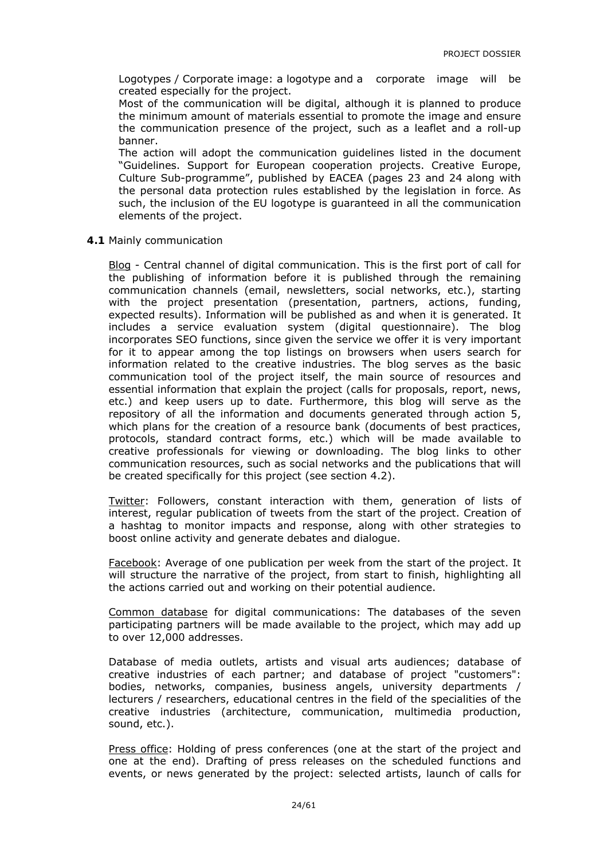Logotypes / Corporate image: a logotype and a corporate image will be created especially for the project.

Most of the communication will be digital, although it is planned to produce the minimum amount of materials essential to promote the image and ensure the communication presence of the project, such as a leaflet and a roll-up banner.

The action will adopt the communication guidelines listed in the document "Guidelines. Support for European cooperation projects. Creative Europe, Culture Sub-programme", published by EACEA (pages 23 and 24 along with the personal data protection rules established by the legislation in force. As such, the inclusion of the EU logotype is guaranteed in all the communication elements of the project.

**4.1** Mainly communication

Blog - Central channel of digital communication. This is the first port of call for the publishing of information before it is published through the remaining communication channels (email, newsletters, social networks, etc.), starting with the project presentation (presentation, partners, actions, funding, expected results). Information will be published as and when it is generated. It includes a service evaluation system (digital questionnaire). The blog incorporates SEO functions, since given the service we offer it is very important for it to appear among the top listings on browsers when users search for information related to the creative industries. The blog serves as the basic communication tool of the project itself, the main source of resources and essential information that explain the project (calls for proposals, report, news, etc.) and keep users up to date. Furthermore, this blog will serve as the repository of all the information and documents generated through action 5, which plans for the creation of a resource bank (documents of best practices, protocols, standard contract forms, etc.) which will be made available to creative professionals for viewing or downloading. The blog links to other communication resources, such as social networks and the publications that will be created specifically for this project (see section 4.2).

Twitter: Followers, constant interaction with them, generation of lists of interest, regular publication of tweets from the start of the project. Creation of a hashtag to monitor impacts and response, along with other strategies to boost online activity and generate debates and dialogue.

Facebook: Average of one publication per week from the start of the project. It will structure the narrative of the project, from start to finish, highlighting all the actions carried out and working on their potential audience.

Common database for digital communications: The databases of the seven participating partners will be made available to the project, which may add up to over 12,000 addresses.

Database of media outlets, artists and visual arts audiences; database of creative industries of each partner; and database of project "customers": bodies, networks, companies, business angels, university departments / lecturers / researchers, educational centres in the field of the specialities of the creative industries (architecture, communication, multimedia production, sound, etc.).

Press office: Holding of press conferences (one at the start of the project and one at the end). Drafting of press releases on the scheduled functions and events, or news generated by the project: selected artists, launch of calls for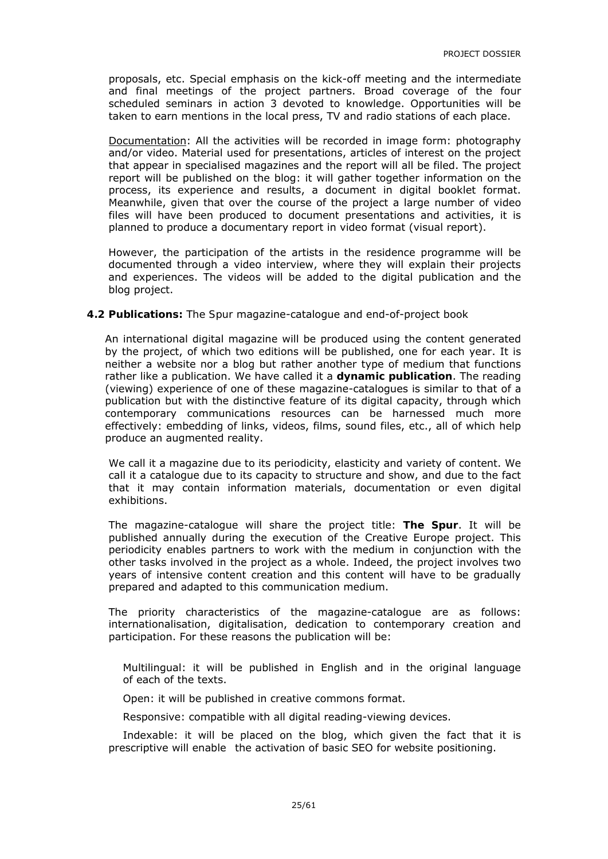proposals, etc. Special emphasis on the kick-off meeting and the intermediate and final meetings of the project partners. Broad coverage of the four scheduled seminars in action 3 devoted to knowledge. Opportunities will be taken to earn mentions in the local press, TV and radio stations of each place.

Documentation: All the activities will be recorded in image form: photography and/or video. Material used for presentations, articles of interest on the project that appear in specialised magazines and the report will all be filed. The project report will be published on the blog: it will gather together information on the process, its experience and results, a document in digital booklet format. Meanwhile, given that over the course of the project a large number of video files will have been produced to document presentations and activities, it is planned to produce a documentary report in video format (visual report).

However, the participation of the artists in the residence programme will be documented through a video interview, where they will explain their projects and experiences. The videos will be added to the digital publication and the blog project.

#### **4.2 Publications:** *The Spur* magazine-catalogue and end-of-project book

An international digital magazine will be produced using the content generated by the project, of which two editions will be published, one for each year. It is neither a website nor a blog but rather another type of medium that functions rather like a publication. We have called it a **dynamic publication**. The reading (viewing) experience of one of these magazine-catalogues is similar to that of a publication but with the distinctive feature of its digital capacity, through which contemporary communications resources can be harnessed much more effectively: embedding of links, videos, films, sound files, etc., all of which help produce an augmented reality.

We call it a magazine due to its periodicity, elasticity and variety of content. We call it a catalogue due to its capacity to structure and show, and due to the fact that it may contain information materials, documentation or even digital exhibitions.

The magazine-catalogue will share the project title: *The Spur*. It will be published annually during the execution of the Creative Europe project. This periodicity enables partners to work with the medium in conjunction with the other tasks involved in the project as a whole. Indeed, the project involves two years of intensive content creation and this content will have to be gradually prepared and adapted to this communication medium.

The priority characteristics of the magazine-catalogue are as follows: internationalisation, digitalisation, dedication to contemporary creation and participation. For these reasons the publication will be:

Multilingual: it will be published in English and in the original language of each of the texts.

Open: it will be published in *creative commons* format.

Responsive: compatible with all digital reading-viewing devices.

Indexable: it will be placed on the blog, which given the fact that it is prescriptive will enable the activation of basic SEO for website positioning.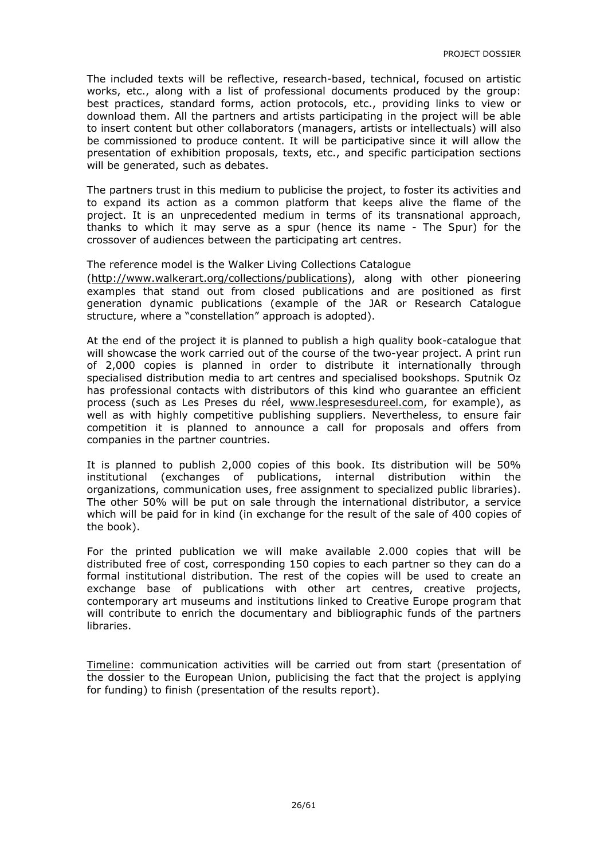The included texts will be reflective, research-based, technical, focused on artistic works, etc., along with a list of professional documents produced by the group: best practices, standard forms, action protocols, etc., providing links to view or download them. All the partners and artists participating in the project will be able to insert content but other collaborators (managers, artists or intellectuals) will also be commissioned to produce content. It will be participative since it will allow the presentation of exhibition proposals, texts, etc., and specific participation sections will be generated, such as debates.

The partners trust in this medium to publicise the project, to foster its activities and to expand its action as a common platform that keeps alive the flame of the project. It is an unprecedented medium in terms of its transnational approach, thanks to which it may serve as a spur (hence its name - *The Spur*) for the crossover of audiences between the participating art centres.

#### The reference model is the Walker Living Collections Catalogue

(http://www.walkerart.org/collections/publications), along with other pioneering examples that stand out from closed publications and are positioned as first generation dynamic publications (example of the JAR or Research Catalogue structure, where a "constellation" approach is adopted).

At the end of the project it is planned to publish a high quality book-catalogue that will showcase the work carried out of the course of the two-year project. A print run of 2,000 copies is planned in order to distribute it internationally through specialised distribution media to art centres and specialised bookshops. Sputnik Oz has professional contacts with distributors of this kind who guarantee an efficient process (such as Les Preses du réel, www.lespresesdureel.com, for example), as well as with highly competitive publishing suppliers. Nevertheless, to ensure fair competition it is planned to announce a call for proposals and offers from companies in the partner countries.

It is planned to publish 2,000 copies of this book. Its distribution will be 50% institutional (exchanges of publications, internal distribution within the organizations, communication uses, free assignment to specialized public libraries). The other 50% will be put on sale through the international distributor, a service which will be paid for in kind (in exchange for the result of the sale of 400 copies of the book).

For the printed publication we will make available 2.000 copies that will be distributed free of cost, corresponding 150 copies to each partner so they can do a formal institutional distribution. The rest of the copies will be used to create an exchange base of publications with other art centres, creative projects, contemporary art museums and institutions linked to Creative Europe program that will contribute to enrich the documentary and bibliographic funds of the partners libraries.

Timeline: communication activities will be carried out from start (presentation of the dossier to the European Union, publicising the fact that the project is applying for funding) to finish (presentation of the results report).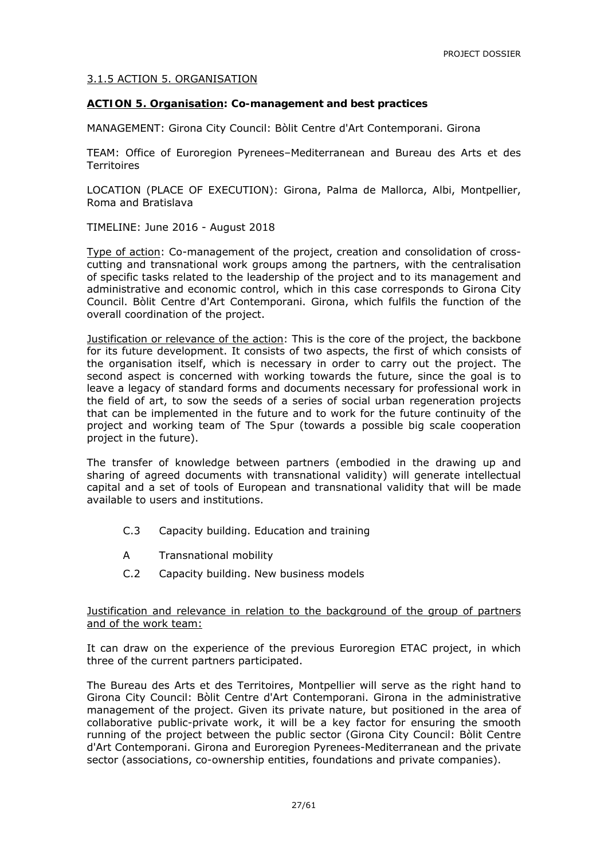#### 3.1.5 ACTION 5. ORGANISATION

#### **ACTION 5. Organisation: Co-management and best practices**

MANAGEMENT: Girona City Council: Bòlit Centre d'Art Contemporani. Girona

TEAM: Office of Euroregion Pyrenees–Mediterranean and Bureau des Arts et des **Territoires** 

LOCATION (PLACE OF EXECUTION): Girona, Palma de Mallorca, Albi, Montpellier, Roma and Bratislava

TIMELINE: June 2016 - August 2018

Type of action: Co-management of the project, creation and consolidation of crosscutting and transnational work groups among the partners, with the centralisation of specific tasks related to the leadership of the project and to its management and administrative and economic control, which in this case corresponds to Girona City Council. Bòlit Centre d'Art Contemporani. Girona, which fulfils the function of the overall coordination of the project.

Justification or relevance of the action: This is the core of the project, the backbone for its future development. It consists of two aspects, the first of which consists of the organisation itself, which is necessary in order to carry out the project. The second aspect is concerned with working towards the future, since the goal is to leave a legacy of standard forms and documents necessary for professional work in the field of art, to sow the seeds of a series of social urban regeneration projects that can be implemented in the future and to work for the future continuity of the project and working team of *The Spur* (towards a possible big scale cooperation project in the future).

The transfer of knowledge between partners (embodied in the drawing up and sharing of agreed documents with transnational validity) will generate intellectual capital and a set of tools of European and transnational validity that will be made available to users and institutions.

- C.3 Capacity building. Education and training
- A Transnational mobility
- C.2 Capacity building. New business models

#### Justification and relevance in relation to the background of the group of partners and of the work team:

It can draw on the experience of the previous Euroregion ETAC project, in which three of the current partners participated.

The Bureau des Arts et des Territoires, Montpellier will serve as the right hand to Girona City Council: Bòlit Centre d'Art Contemporani. Girona in the administrative management of the project. Given its private nature, but positioned in the area of collaborative public-private work, it will be a key factor for ensuring the smooth running of the project between the public sector (Girona City Council: Bòlit Centre d'Art Contemporani. Girona and Euroregion Pyrenees-Mediterranean and the private sector (associations, co-ownership entities, foundations and private companies).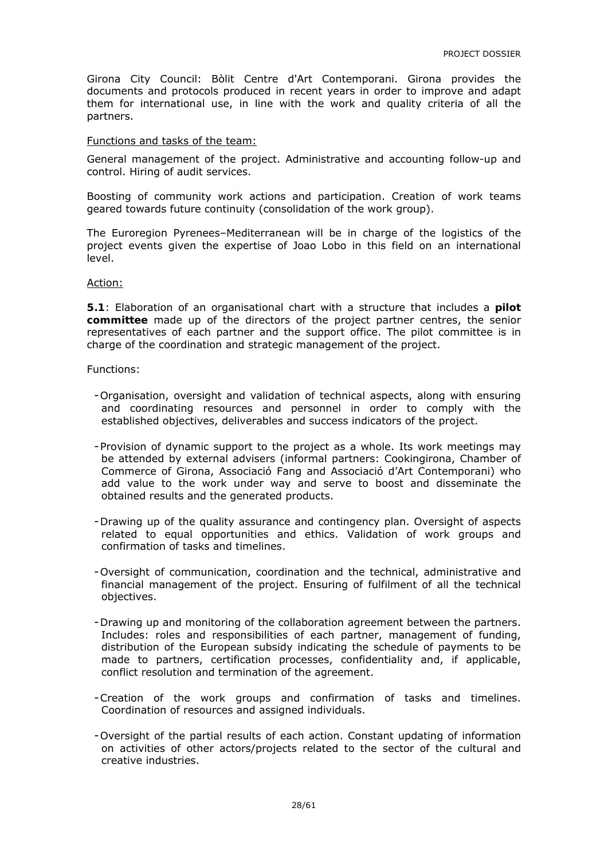Girona City Council: Bòlit Centre d'Art Contemporani. Girona provides the documents and protocols produced in recent years in order to improve and adapt them for international use, in line with the work and quality criteria of all the partners.

#### Functions and tasks of the team:

General management of the project. Administrative and accounting follow-up and control. Hiring of audit services.

Boosting of community work actions and participation. Creation of work teams geared towards future continuity (consolidation of the work group).

The Euroregion Pyrenees–Mediterranean will be in charge of the logistics of the project events given the expertise of Joao Lobo in this field on an international level.

#### Action:

**5.1**: Elaboration of an organisational chart with a structure that includes a **pilot committee** made up of the directors of the project partner centres, the senior representatives of each partner and the support office. The pilot committee is in charge of the coordination and strategic management of the project.

#### Functions:

- -Organisation, oversight and validation of technical aspects, along with ensuring and coordinating resources and personnel in order to comply with the established objectives, deliverables and success indicators of the project.
- -Provision of dynamic support to the project as a whole. Its work meetings may be attended by external advisers (informal partners: Cookingirona, Chamber of Commerce of Girona, Associació Fang and Associació d'Art Contemporani) who add value to the work under way and serve to boost and disseminate the obtained results and the generated products.
- -Drawing up of the quality assurance and contingency plan. Oversight of aspects related to equal opportunities and ethics. Validation of work groups and confirmation of tasks and timelines.
- -Oversight of communication, coordination and the technical, administrative and financial management of the project. Ensuring of fulfilment of all the technical objectives.
- -Drawing up and monitoring of the collaboration agreement between the partners. Includes: roles and responsibilities of each partner, management of funding, distribution of the European subsidy indicating the schedule of payments to be made to partners, certification processes, confidentiality and, if applicable, conflict resolution and termination of the agreement.
- -Creation of the work groups and confirmation of tasks and timelines. Coordination of resources and assigned individuals.
- -Oversight of the partial results of each action. Constant updating of information on activities of other actors/projects related to the sector of the cultural and creative industries.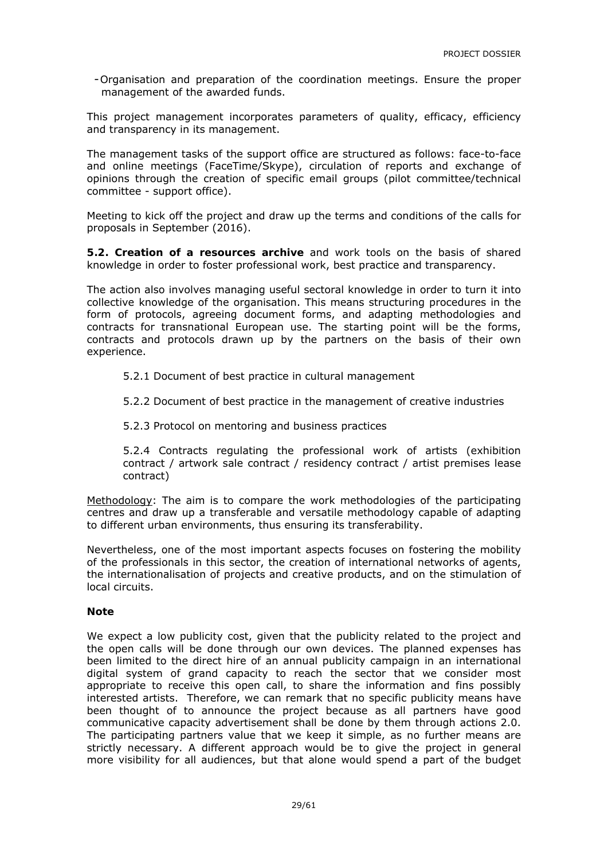-Organisation and preparation of the coordination meetings. Ensure the proper management of the awarded funds.

This project management incorporates parameters of quality, efficacy, efficiency and transparency in its management.

The management tasks of the support office are structured as follows: face-to-face and online meetings (FaceTime/Skype), circulation of reports and exchange of opinions through the creation of specific email groups (pilot committee/technical committee - support office).

Meeting to kick off the project and draw up the terms and conditions of the calls for proposals in September (2016).

**5.2. Creation of a resources archive** and work tools on the basis of shared knowledge in order to foster professional work, best practice and transparency.

The action also involves managing useful sectoral knowledge in order to turn it into collective knowledge of the organisation. This means structuring procedures in the form of protocols, agreeing document forms, and adapting methodologies and contracts for transnational European use. The starting point will be the forms, contracts and protocols drawn up by the partners on the basis of their own experience.

5.2.1 Document of best practice in cultural management

5.2.2 Document of best practice in the management of creative industries

5.2.3 Protocol on mentoring and business practices

5.2.4 Contracts regulating the professional work of artists (exhibition contract / artwork sale contract / residency contract / artist premises lease contract)

Methodology: The aim is to compare the work methodologies of the participating centres and draw up a transferable and versatile methodology capable of adapting to different urban environments, thus ensuring its transferability.

Nevertheless, one of the most important aspects focuses on fostering the mobility of the professionals in this sector, the creation of international networks of agents, the internationalisation of projects and creative products, and on the stimulation of local circuits.

#### **Note**

We expect a low publicity cost, given that the publicity related to the project and the open calls will be done through our own devices. The planned expenses has been limited to the direct hire of an annual publicity campaign in an international digital system of grand capacity to reach the sector that we consider most appropriate to receive this open call, to share the information and fins possibly interested artists. Therefore, we can remark that no specific publicity means have been thought of to announce the project because as all partners have good communicative capacity advertisement shall be done by them through actions 2.0. The participating partners value that we keep it simple, as no further means are strictly necessary. A different approach would be to give the project in general more visibility for all audiences, but that alone would spend a part of the budget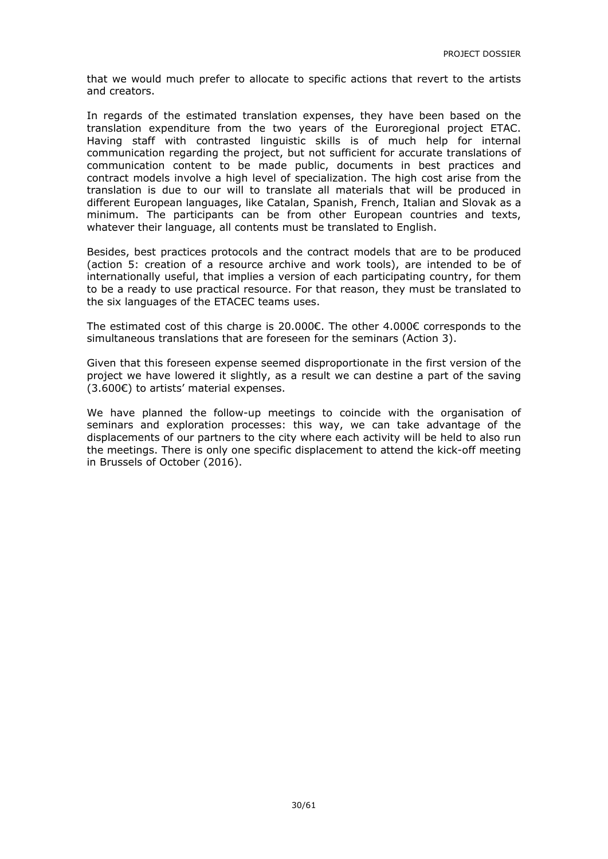that we would much prefer to allocate to specific actions that revert to the artists and creators.

In regards of the estimated translation expenses, they have been based on the translation expenditure from the two years of the Euroregional project ETAC. Having staff with contrasted linguistic skills is of much help for internal communication regarding the project, but not sufficient for accurate translations of communication content to be made public, documents in best practices and contract models involve a high level of specialization. The high cost arise from the translation is due to our will to translate all materials that will be produced in different European languages, like Catalan, Spanish, French, Italian and Slovak as a minimum. The participants can be from other European countries and texts, whatever their language, all contents must be translated to English.

Besides, best practices protocols and the contract models that are to be produced (action 5: creation of a resource archive and work tools), are intended to be of internationally useful, that implies a version of each participating country, for them to be a ready to use practical resource. For that reason, they must be translated to the six languages of the ETACEC teams uses.

The estimated cost of this charge is 20.000€. The other  $4.000\epsilon$  corresponds to the simultaneous translations that are foreseen for the seminars (Action 3).

Given that this foreseen expense seemed disproportionate in the first version of the project we have lowered it slightly, as a result we can destine a part of the saving (3.600€) to artists' material expenses.

We have planned the follow-up meetings to coincide with the organisation of seminars and exploration processes: this way, we can take advantage of the displacements of our partners to the city where each activity will be held to also run the meetings. There is only one specific displacement to attend the kick-off meeting in Brussels of October (2016).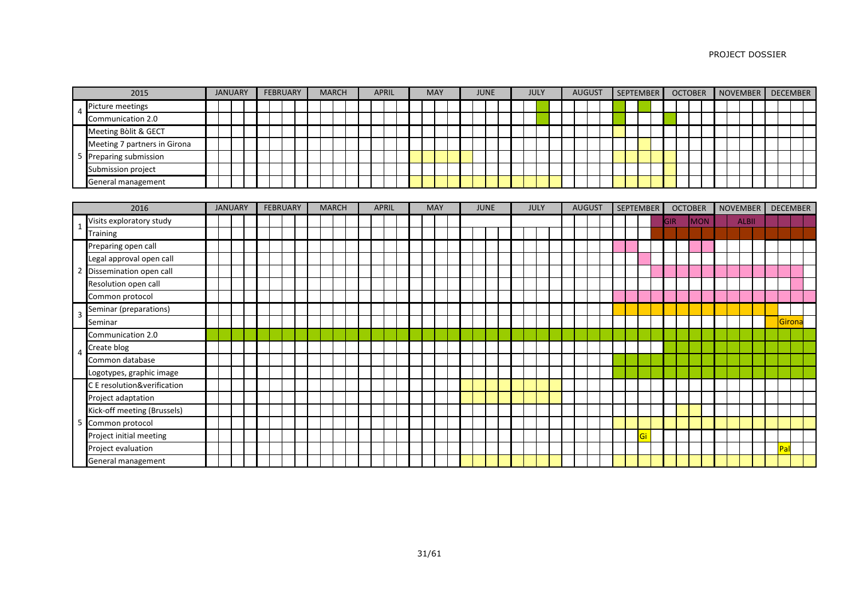|                         | 2015                         |  | <b>JANUARY</b> |  | <b>FEBRUARY</b> |  | <b>MARCH</b> |  | <b>APRIL</b> |  | <b>MAY</b> |  | <b>JUNE</b> |  | <b>JULY</b> |  | <b>AUGUST</b> |  | <b>SEPTEMBER</b> |            | <b>OCTOBER</b> | NOVEMBER |                 | <b>DECEMBER</b> |        |  |
|-------------------------|------------------------------|--|----------------|--|-----------------|--|--------------|--|--------------|--|------------|--|-------------|--|-------------|--|---------------|--|------------------|------------|----------------|----------|-----------------|-----------------|--------|--|
| $\overline{4}$          | Picture meetings             |  |                |  |                 |  |              |  |              |  |            |  |             |  |             |  |               |  |                  |            |                |          |                 |                 |        |  |
|                         | Communication 2.0            |  |                |  |                 |  |              |  |              |  |            |  |             |  |             |  |               |  |                  |            |                |          |                 |                 |        |  |
|                         | Meeting Bòlit & GECT         |  |                |  |                 |  |              |  |              |  |            |  |             |  |             |  |               |  |                  |            |                |          |                 |                 |        |  |
|                         | Meeting 7 partners in Girona |  |                |  |                 |  |              |  |              |  |            |  |             |  |             |  |               |  |                  |            |                |          |                 |                 |        |  |
| - 5                     | Preparing submission         |  |                |  |                 |  |              |  |              |  |            |  |             |  |             |  |               |  |                  |            |                |          |                 |                 |        |  |
|                         | Submission project           |  |                |  |                 |  |              |  |              |  |            |  |             |  |             |  |               |  |                  |            |                |          |                 |                 |        |  |
|                         | General management           |  |                |  |                 |  |              |  |              |  |            |  |             |  |             |  |               |  |                  |            |                |          |                 |                 |        |  |
|                         |                              |  |                |  |                 |  |              |  |              |  |            |  |             |  |             |  |               |  |                  |            |                |          |                 |                 |        |  |
|                         | 2016                         |  | <b>JANUARY</b> |  | <b>FEBRUARY</b> |  | <b>MARCH</b> |  | <b>APRIL</b> |  | <b>MAY</b> |  | <b>JUNE</b> |  | <b>JULY</b> |  | <b>AUGUST</b> |  | <b>SEPTEMBER</b> |            | <b>OCTOBER</b> |          | <b>NOVEMBER</b> | <b>DECEMBER</b> |        |  |
|                         | Visits exploratory study     |  |                |  |                 |  |              |  |              |  |            |  |             |  |             |  |               |  |                  | <b>GIR</b> | <b>MON</b>     |          | <b>ALBII</b>    |                 |        |  |
|                         | <b>Training</b>              |  |                |  |                 |  |              |  |              |  |            |  |             |  |             |  |               |  |                  |            |                |          |                 |                 |        |  |
|                         | Preparing open call          |  |                |  |                 |  |              |  |              |  |            |  |             |  |             |  |               |  |                  |            |                |          |                 |                 |        |  |
|                         | Legal approval open call     |  |                |  |                 |  |              |  |              |  |            |  |             |  |             |  |               |  |                  |            |                |          |                 |                 |        |  |
| $\overline{2}$          | Dissemination open call      |  |                |  |                 |  |              |  |              |  |            |  |             |  |             |  |               |  |                  |            |                |          |                 |                 |        |  |
|                         | Resolution open call         |  |                |  |                 |  |              |  |              |  |            |  |             |  |             |  |               |  |                  |            |                |          |                 |                 |        |  |
|                         | Common protocol              |  |                |  |                 |  |              |  |              |  |            |  |             |  |             |  |               |  |                  |            |                |          |                 |                 |        |  |
| $\overline{\mathbf{3}}$ | Seminar (preparations)       |  |                |  |                 |  |              |  |              |  |            |  |             |  |             |  |               |  |                  |            |                |          |                 |                 |        |  |
|                         | Seminar                      |  |                |  |                 |  |              |  |              |  |            |  |             |  |             |  |               |  |                  |            |                |          |                 |                 | Girona |  |
|                         | Communication 2.0            |  |                |  |                 |  |              |  |              |  |            |  |             |  |             |  |               |  |                  |            |                |          |                 |                 |        |  |
| -4                      | Create blog                  |  |                |  |                 |  |              |  |              |  |            |  |             |  |             |  |               |  |                  |            |                |          |                 |                 |        |  |
|                         | Common database              |  |                |  |                 |  |              |  |              |  |            |  |             |  |             |  |               |  |                  |            |                |          |                 |                 |        |  |
|                         | Logotypes, graphic image     |  |                |  |                 |  |              |  |              |  |            |  |             |  |             |  |               |  |                  |            |                |          |                 |                 |        |  |
|                         | C E resolution&verification  |  |                |  |                 |  |              |  |              |  |            |  |             |  |             |  |               |  |                  |            |                |          |                 |                 |        |  |
|                         | Project adaptation           |  |                |  |                 |  |              |  |              |  |            |  |             |  |             |  |               |  |                  |            |                |          |                 |                 |        |  |
|                         | Kick-off meeting (Brussels)  |  |                |  |                 |  |              |  |              |  |            |  |             |  |             |  |               |  |                  |            |                |          |                 |                 |        |  |
|                         | 5 Common protocol            |  |                |  |                 |  |              |  |              |  |            |  |             |  |             |  |               |  |                  |            |                |          |                 |                 |        |  |
|                         | Project initial meeting      |  |                |  |                 |  |              |  |              |  |            |  |             |  |             |  |               |  | Gi               |            |                |          |                 |                 |        |  |
|                         | Project evaluation           |  |                |  |                 |  |              |  |              |  |            |  |             |  |             |  |               |  |                  |            |                |          |                 | Pal             |        |  |
|                         | General management           |  |                |  |                 |  |              |  |              |  |            |  |             |  |             |  |               |  |                  |            |                |          |                 |                 |        |  |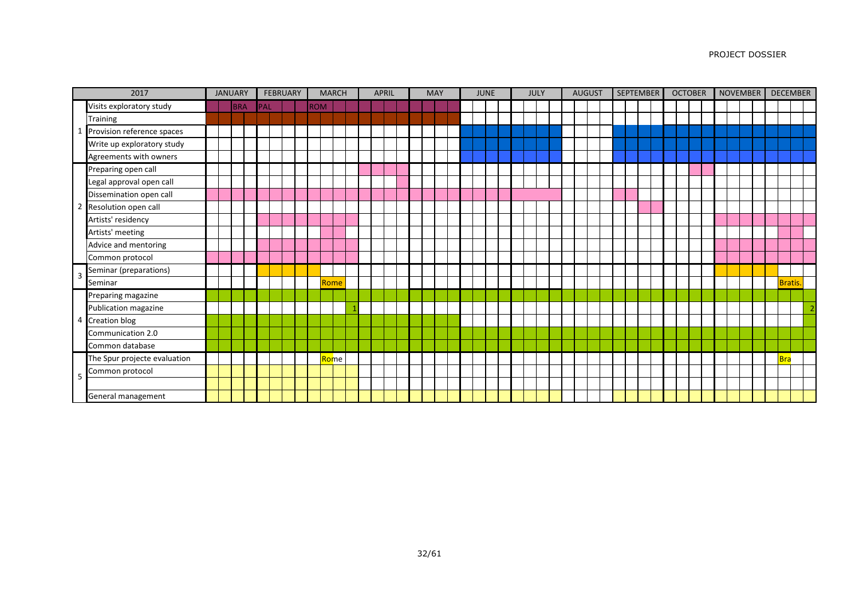|                | 2017                         |  | <b>JANUARY</b> |     | <b>FEBRUARY</b> |            | <b>MARCH</b> |                    |  | <b>APRIL</b> |  | <b>MAY</b> |  | <b>JUNE</b> |  | <b>JULY</b> |  | <b>AUGUST</b> |  | <b>SEPTEMBER</b> |  | <b>OCTOBER</b> |  | <b>NOVEMBER</b> |  |               | <b>DECEMBER</b> |
|----------------|------------------------------|--|----------------|-----|-----------------|------------|--------------|--------------------|--|--------------|--|------------|--|-------------|--|-------------|--|---------------|--|------------------|--|----------------|--|-----------------|--|---------------|-----------------|
|                | Visits exploratory study     |  | <b>BRA</b>     | PAL |                 | <b>ROM</b> |              |                    |  |              |  |            |  |             |  |             |  |               |  |                  |  |                |  |                 |  |               |                 |
|                | Training                     |  |                |     |                 |            |              |                    |  |              |  |            |  |             |  |             |  |               |  |                  |  |                |  |                 |  |               |                 |
|                | Provision reference spaces   |  |                |     |                 |            |              |                    |  |              |  |            |  |             |  |             |  |               |  |                  |  |                |  |                 |  |               |                 |
|                | Write up exploratory study   |  |                |     |                 |            |              |                    |  |              |  |            |  |             |  |             |  |               |  |                  |  |                |  |                 |  |               |                 |
|                | Agreements with owners       |  |                |     |                 |            |              |                    |  |              |  |            |  |             |  |             |  |               |  |                  |  |                |  |                 |  |               |                 |
|                | Preparing open call          |  |                |     |                 |            |              |                    |  |              |  |            |  |             |  |             |  |               |  |                  |  |                |  |                 |  |               |                 |
|                | Legal approval open call     |  |                |     |                 |            |              |                    |  |              |  |            |  |             |  |             |  |               |  |                  |  |                |  |                 |  |               |                 |
|                | Dissemination open call      |  |                |     |                 |            |              |                    |  |              |  |            |  |             |  |             |  |               |  |                  |  |                |  |                 |  |               |                 |
|                | Resolution open call         |  |                |     |                 |            |              |                    |  |              |  |            |  |             |  |             |  |               |  |                  |  |                |  |                 |  |               |                 |
|                | Artists' residency           |  |                |     |                 |            |              |                    |  |              |  |            |  |             |  |             |  |               |  |                  |  |                |  |                 |  |               |                 |
|                | Artists' meeting             |  |                |     |                 |            |              |                    |  |              |  |            |  |             |  |             |  |               |  |                  |  |                |  |                 |  |               |                 |
|                | Advice and mentoring         |  |                |     |                 |            |              |                    |  |              |  |            |  |             |  |             |  |               |  |                  |  |                |  |                 |  |               |                 |
|                | Common protocol              |  |                |     |                 |            |              |                    |  |              |  |            |  |             |  |             |  |               |  |                  |  |                |  |                 |  |               |                 |
| 3              | Seminar (preparations)       |  |                |     |                 |            |              |                    |  |              |  |            |  |             |  |             |  |               |  |                  |  |                |  |                 |  |               |                 |
|                | Seminar                      |  |                |     |                 |            | Rome         |                    |  |              |  |            |  |             |  |             |  |               |  |                  |  |                |  |                 |  | <b>Bratis</b> |                 |
|                | Preparing magazine           |  |                |     |                 |            |              |                    |  |              |  |            |  |             |  |             |  |               |  |                  |  |                |  |                 |  |               |                 |
|                | Publication magazine         |  |                |     |                 |            |              |                    |  |              |  |            |  |             |  |             |  |               |  |                  |  |                |  |                 |  |               |                 |
| $\overline{4}$ | <b>Creation blog</b>         |  |                |     |                 |            |              |                    |  |              |  |            |  |             |  |             |  |               |  |                  |  |                |  |                 |  |               |                 |
|                | Communication 2.0            |  |                |     |                 |            |              |                    |  |              |  |            |  |             |  |             |  |               |  |                  |  |                |  |                 |  |               |                 |
|                | Common database              |  |                |     |                 |            |              |                    |  |              |  |            |  |             |  |             |  |               |  |                  |  |                |  |                 |  |               |                 |
|                | The Spur projecte evaluation |  |                |     |                 |            |              | <mark>Ro</mark> me |  |              |  |            |  |             |  |             |  |               |  |                  |  |                |  |                 |  | <b>Bra</b>    |                 |
| 5              | Common protocol              |  |                |     |                 |            |              |                    |  |              |  |            |  |             |  |             |  |               |  |                  |  |                |  |                 |  |               |                 |
|                |                              |  |                |     |                 |            |              |                    |  |              |  |            |  |             |  |             |  |               |  |                  |  |                |  |                 |  |               |                 |
|                | General management           |  |                |     |                 |            |              |                    |  |              |  |            |  |             |  |             |  |               |  |                  |  |                |  |                 |  |               |                 |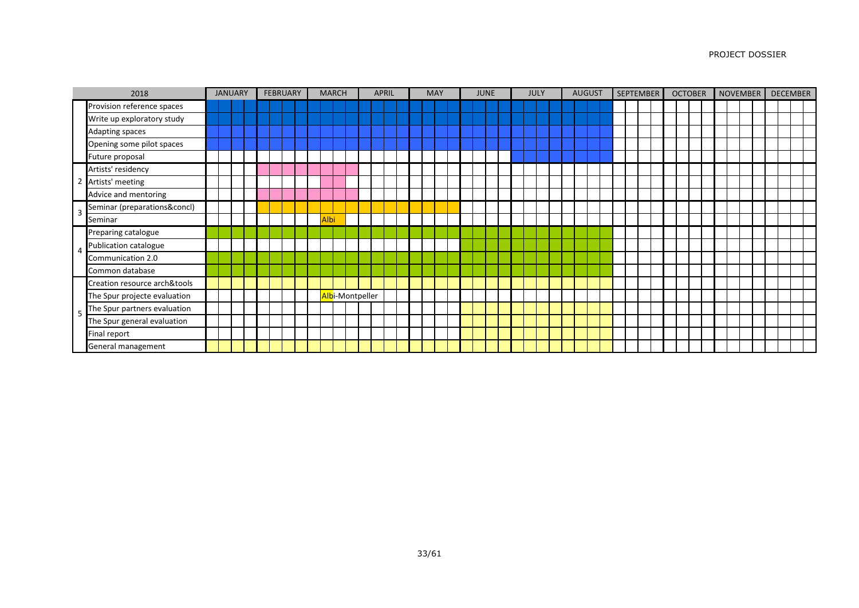|                | 2018                         |  | <b>JANUARY</b> |  | <b>FEBRUARY</b> |  |      | <b>MARCH</b> |                 |  | <b>APRIL</b> |  | <b>MAY</b> |  | <b>JUNE</b> |  | JULY |  | <b>AUGUST</b> |  | <b>SEPTEMBER</b> | <b>OCTOBER</b> |  | NOVEMBER |  |  | <b>DECEMBER</b> |
|----------------|------------------------------|--|----------------|--|-----------------|--|------|--------------|-----------------|--|--------------|--|------------|--|-------------|--|------|--|---------------|--|------------------|----------------|--|----------|--|--|-----------------|
|                | Provision reference spaces   |  |                |  |                 |  |      |              |                 |  |              |  |            |  |             |  |      |  |               |  |                  |                |  |          |  |  |                 |
|                | Write up exploratory study   |  |                |  |                 |  |      |              |                 |  |              |  |            |  |             |  |      |  |               |  |                  |                |  |          |  |  |                 |
|                | Adapting spaces              |  |                |  |                 |  |      |              |                 |  |              |  |            |  |             |  |      |  |               |  |                  |                |  |          |  |  |                 |
|                | Opening some pilot spaces    |  |                |  |                 |  |      |              |                 |  |              |  |            |  |             |  |      |  |               |  |                  |                |  |          |  |  |                 |
|                | Future proposal              |  |                |  |                 |  |      |              |                 |  |              |  |            |  |             |  |      |  |               |  |                  |                |  |          |  |  |                 |
|                | Artists' residency           |  |                |  |                 |  |      |              |                 |  |              |  |            |  |             |  |      |  |               |  |                  |                |  |          |  |  |                 |
| $\overline{2}$ | Artists' meeting             |  |                |  |                 |  |      |              |                 |  |              |  |            |  |             |  |      |  |               |  |                  |                |  |          |  |  |                 |
|                | Advice and mentoring         |  |                |  |                 |  |      |              |                 |  |              |  |            |  |             |  |      |  |               |  |                  |                |  |          |  |  |                 |
| 3              | Seminar (preparations&concl) |  |                |  |                 |  |      |              |                 |  |              |  |            |  |             |  |      |  |               |  |                  |                |  |          |  |  |                 |
|                | Seminar                      |  |                |  |                 |  | Albi |              |                 |  |              |  |            |  |             |  |      |  |               |  |                  |                |  |          |  |  |                 |
|                | Preparing catalogue          |  |                |  |                 |  |      |              |                 |  |              |  |            |  |             |  |      |  |               |  |                  |                |  |          |  |  |                 |
|                | Publication catalogue        |  |                |  |                 |  |      |              |                 |  |              |  |            |  |             |  |      |  |               |  |                  |                |  |          |  |  |                 |
|                | Communication 2.0            |  |                |  |                 |  |      |              |                 |  |              |  |            |  |             |  |      |  |               |  |                  |                |  |          |  |  |                 |
|                | Common database              |  |                |  |                 |  |      |              |                 |  |              |  |            |  |             |  |      |  |               |  |                  |                |  |          |  |  |                 |
|                | Creation resource arch&tools |  |                |  |                 |  |      |              |                 |  |              |  |            |  |             |  |      |  |               |  |                  |                |  |          |  |  |                 |
|                | The Spur projecte evaluation |  |                |  |                 |  |      |              | Albi-Montpeller |  |              |  |            |  |             |  |      |  |               |  |                  |                |  |          |  |  |                 |
| -5             | The Spur partners evaluation |  |                |  |                 |  |      |              |                 |  |              |  |            |  |             |  |      |  |               |  |                  |                |  |          |  |  |                 |
|                | The Spur general evaluation  |  |                |  |                 |  |      |              |                 |  |              |  |            |  |             |  |      |  |               |  |                  |                |  |          |  |  |                 |
|                | Final report                 |  |                |  |                 |  |      |              |                 |  |              |  |            |  |             |  |      |  |               |  |                  |                |  |          |  |  |                 |
|                | General management           |  |                |  |                 |  |      |              |                 |  |              |  |            |  |             |  |      |  |               |  |                  |                |  |          |  |  |                 |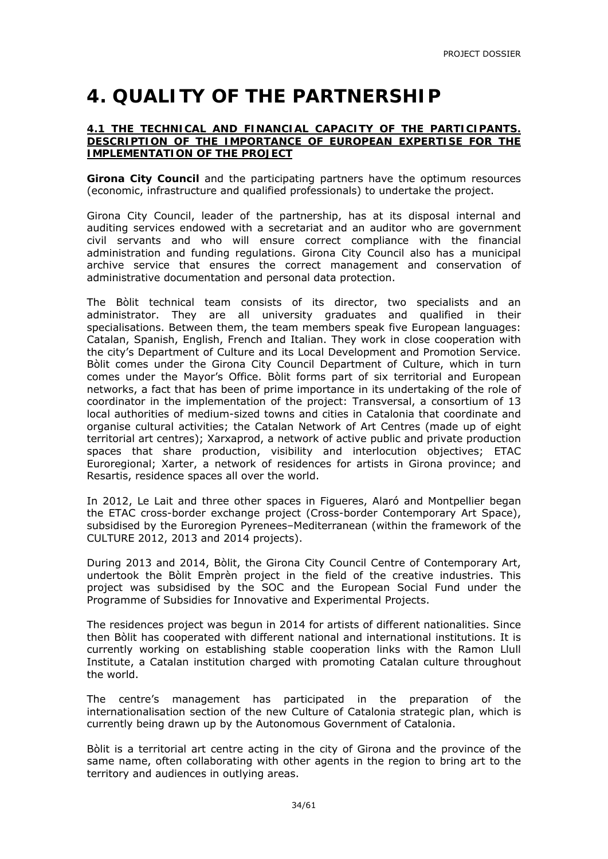## **4. QUALITY OF THE PARTNERSHIP**

#### **4.1 THE TECHNICAL AND FINANCIAL CAPACITY OF THE PARTICIPANTS. DESCRIPTION OF THE IMPORTANCE OF EUROPEAN EXPERTISE FOR THE IMPLEMENTATION OF THE PROJECT**

**Girona City Council** and the participating partners have the optimum resources (economic, infrastructure and qualified professionals) to undertake the project.

Girona City Council, leader of the partnership, has at its disposal internal and auditing services endowed with a secretariat and an auditor who are government civil servants and who will ensure correct compliance with the financial administration and funding regulations. Girona City Council also has a municipal archive service that ensures the correct management and conservation of administrative documentation and personal data protection.

The Bòlit technical team consists of its director, two specialists and an administrator. They are all university graduates and qualified in their specialisations. Between them, the team members speak five European languages: Catalan, Spanish, English, French and Italian. They work in close cooperation with the city's Department of Culture and its Local Development and Promotion Service. Bòlit comes under the Girona City Council Department of Culture, which in turn comes under the Mayor's Office. Bòlit forms part of six territorial and European networks, a fact that has been of prime importance in its undertaking of the role of coordinator in the implementation of the project: Transversal, a consortium of 13 local authorities of medium-sized towns and cities in Catalonia that coordinate and organise cultural activities; the Catalan Network of Art Centres (made up of eight territorial art centres); Xarxaprod, a network of active public and private production spaces that share production, visibility and interlocution objectives; ETAC Euroregional; Xarter, a network of residences for artists in Girona province; and Resartis, residence spaces all over the world.

In 2012, Le Lait and three other spaces in Figueres, Alaró and Montpellier began the ETAC cross-border exchange project (Cross-border Contemporary Art Space), subsidised by the Euroregion Pyrenees–Mediterranean (within the framework of the CULTURE 2012, 2013 and 2014 projects).

During 2013 and 2014, Bòlit, the Girona City Council Centre of Contemporary Art, undertook the Bòlit Emprèn project in the field of the creative industries. This project was subsidised by the SOC and the European Social Fund under the Programme of Subsidies for Innovative and Experimental Projects.

The residences project was begun in 2014 for artists of different nationalities. Since then Bòlit has cooperated with different national and international institutions. It is currently working on establishing stable cooperation links with the Ramon Llull Institute, a Catalan institution charged with promoting Catalan culture throughout the world.

The centre's management has participated in the preparation of the internationalisation section of the new Culture of Catalonia strategic plan, which is currently being drawn up by the Autonomous Government of Catalonia.

Bòlit is a territorial art centre acting in the city of Girona and the province of the same name, often collaborating with other agents in the region to bring art to the territory and audiences in outlying areas.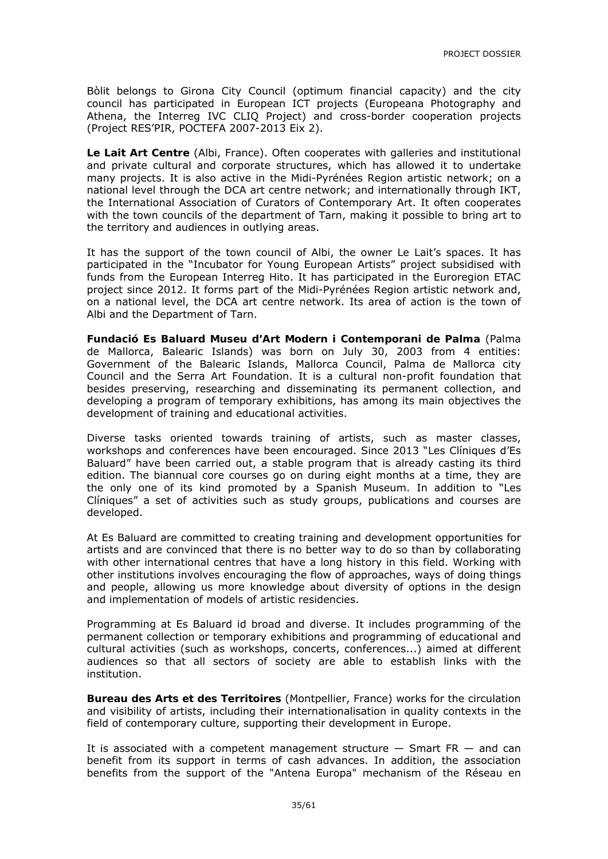Bòlit belongs to Girona City Council (optimum financial capacity) and the city council has participated in European ICT projects (Europeana Photography and Athena, the Interreg IVC CLIQ Project) and cross-border cooperation projects (Project RES'PIR, POCTEFA 2007-2013 Eix 2).

**Le Lait Art Centre** (Albi, France). Often cooperates with galleries and institutional and private cultural and corporate structures, which has allowed it to undertake many projects. It is also active in the Midi-Pyrénées Region artistic network; on a national level through the DCA art centre network; and internationally through IKT, the International Association of Curators of Contemporary Art. It often cooperates with the town councils of the department of Tarn, making it possible to bring art to the territory and audiences in outlying areas.

It has the support of the town council of Albi, the owner Le Lait's spaces. It has participated in the "Incubator for Young European Artists" project subsidised with funds from the European Interreg Hito. It has participated in the Euroregion ETAC project since 2012. It forms part of the Midi-Pyrénées Region artistic network and, on a national level, the DCA art centre network. Its area of action is the town of Albi and the Department of Tarn.

**Fundació Es Baluard Museu d'Art Modern i Contemporani de Palma** (Palma de Mallorca, Balearic Islands) was born on July 30, 2003 from 4 entities: Government of the Balearic Islands, Mallorca Council, Palma de Mallorca city Council and the Serra Art Foundation. It is a cultural non-profit foundation that besides preserving, researching and disseminating its permanent collection, and developing a program of temporary exhibitions, has among its main objectives the development of training and educational activities.

Diverse tasks oriented towards training of artists, such as master classes, workshops and conferences have been encouraged. Since 2013 "Les Clíniques d'Es Baluard" have been carried out, a stable program that is already casting its third edition. The biannual core courses go on during eight months at a time, they are the only one of its kind promoted by a Spanish Museum. In addition to "Les Clíniques" a set of activities such as study groups, publications and courses are developed.

At Es Baluard are committed to creating training and development opportunities for artists and are convinced that there is no better way to do so than by collaborating with other international centres that have a long history in this field. Working with other institutions involves encouraging the flow of approaches, ways of doing things and people, allowing us more knowledge about diversity of options in the design and implementation of models of artistic residencies.

Programming at Es Baluard id broad and diverse. It includes programming of the permanent collection or temporary exhibitions and programming of educational and cultural activities (such as workshops, concerts, conferences...) aimed at different audiences so that all sectors of society are able to establish links with the institution.

**Bureau des Arts et des Territoires** (Montpellier, France) works for the circulation and visibility of artists, including their internationalisation in quality contexts in the field of contemporary culture, supporting their development in Europe.

It is associated with a competent management structure  $-$  Smart FR  $-$  and can benefit from its support in terms of cash advances. In addition, the association benefits from the support of the "Antena Europa" mechanism of the Réseau en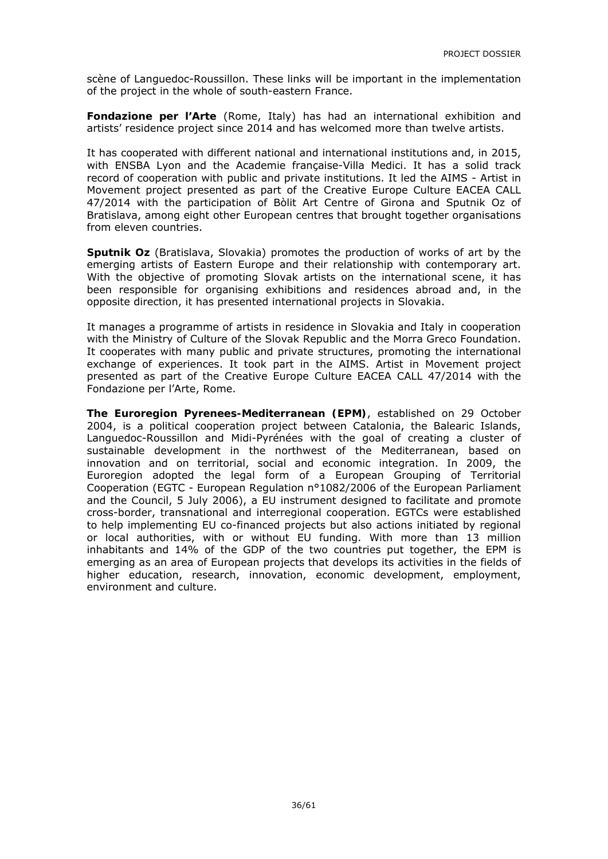scène of Languedoc-Roussillon. These links will be important in the implementation of the project in the whole of south-eastern France.

**Fondazione per l'Arte** (Rome, Italy) has had an international exhibition and artists' residence project since 2014 and has welcomed more than twelve artists.

It has cooperated with different national and international institutions and, in 2015, with ENSBA Lyon and the Academie française-Villa Medici. It has a solid track record of cooperation with public and private institutions. It led the AIMS - Artist in Movement project presented as part of the Creative Europe Culture EACEA CALL 47/2014 with the participation of Bòlit Art Centre of Girona and Sputnik Oz of Bratislava, among eight other European centres that brought together organisations from eleven countries.

**Sputnik Oz** (Bratislava, Slovakia) promotes the production of works of art by the emerging artists of Eastern Europe and their relationship with contemporary art. With the objective of promoting Slovak artists on the international scene, it has been responsible for organising exhibitions and residences abroad and, in the opposite direction, it has presented international projects in Slovakia.

It manages a programme of artists in residence in Slovakia and Italy in cooperation with the Ministry of Culture of the Slovak Republic and the Morra Greco Foundation. It cooperates with many public and private structures, promoting the international exchange of experiences. It took part in the AIMS. Artist in Movement project presented as part of the Creative Europe Culture EACEA CALL 47/2014 with the Fondazione per l'Arte, Rome.

**The Euroregion Pyrenees-Mediterranean (EPM)**, established on 29 October 2004, is a political cooperation project between Catalonia, the Balearic Islands, Languedoc-Roussillon and Midi-Pyrénées with the goal of creating a cluster of sustainable development in the northwest of the Mediterranean, based on innovation and on territorial, social and economic integration. In 2009, the Euroregion adopted the legal form of a European Grouping of Territorial Cooperation (EGTC - European Regulation n°1082/2006 of the European Parliament and the Council, 5 July 2006), a EU instrument designed to facilitate and promote cross-border, transnational and interregional cooperation. EGTCs were established to help implementing EU co-financed projects but also actions initiated by regional or local authorities, with or without EU funding. With more than 13 million inhabitants and 14% of the GDP of the two countries put together, the EPM is emerging as an area of European projects that develops its activities in the fields of higher education, research, innovation, economic development, employment, environment and culture.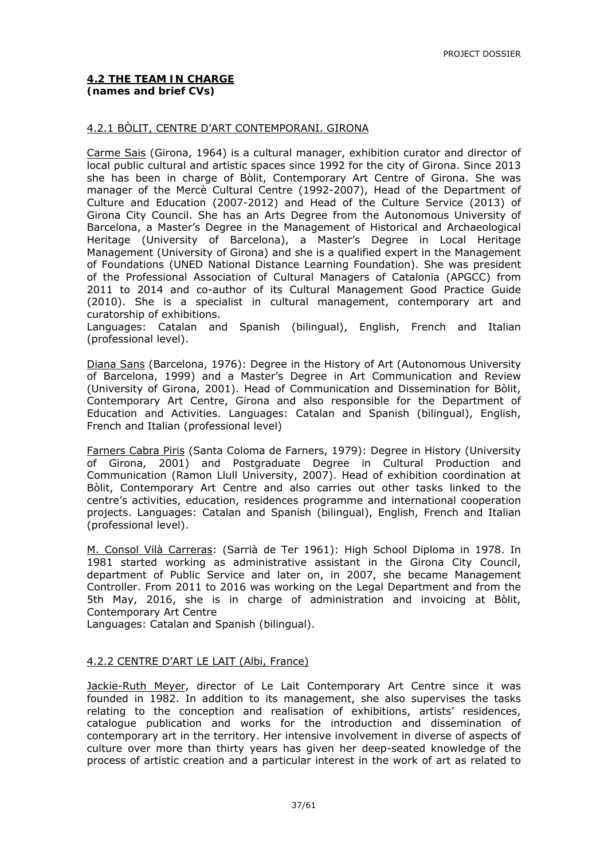#### 4.2.1 BÒLIT, CENTRE D'ART CONTEMPORANI. GIRONA

Carme Sais (Girona, 1964) is a cultural manager, exhibition curator and director of local public cultural and artistic spaces since 1992 for the city of Girona. Since 2013 she has been in charge of Bòlit, Contemporary Art Centre of Girona. She was manager of the Mercè Cultural Centre (1992-2007), Head of the Department of Culture and Education (2007-2012) and Head of the Culture Service (2013) of Girona City Council. She has an Arts Degree from the Autonomous University of Barcelona, a Master's Degree in the Management of Historical and Archaeological Heritage (University of Barcelona), a Master's Degree in Local Heritage Management (University of Girona) and she is a qualified expert in the Management of Foundations (UNED National Distance Learning Foundation). She was president of the Professional Association of Cultural Managers of Catalonia (APGCC) from 2011 to 2014 and co-author of its Cultural Management Good Practice Guide (2010). She is a specialist in cultural management, contemporary art and curatorship of exhibitions.

Languages: Catalan and Spanish (bilingual), English, French and Italian (professional level).

Diana Sans (Barcelona, 1976): Degree in the History of Art (Autonomous University of Barcelona, 1999) and a Master's Degree in Art Communication and Review (University of Girona, 2001). Head of Communication and Dissemination for Bòlit, Contemporary Art Centre, Girona and also responsible for the Department of Education and Activities. Languages: Catalan and Spanish (bilingual), English, French and Italian (professional level)

Farners Cabra Piris (Santa Coloma de Farners, 1979): Degree in History (University of Girona, 2001) and Postgraduate Degree in Cultural Production and Communication (Ramon Llull University, 2007). Head of exhibition coordination at Bòlit, Contemporary Art Centre and also carries out other tasks linked to the centre's activities, education, residences programme and international cooperation projects. Languages: Catalan and Spanish (bilingual), English, French and Italian (professional level).

M. Consol Vilà Carreras: (Sarrià de Ter 1961): High School Diploma in 1978. In 1981 started working as administrative assistant in the Girona City Council, department of Public Service and later on, in 2007, she became Management Controller. From 2011 to 2016 was working on the Legal Department and from the 5th May, 2016, she is in charge of administration and invoicing at Bòlit, Contemporary Art Centre

Languages: Catalan and Spanish (bilingual).

#### 4.2.2 CENTRE D'ART LE LAIT (Albi, France)

Jackie-Ruth Meyer, director of Le Lait Contemporary Art Centre since it was founded in 1982. In addition to its management, she also supervises the tasks relating to the conception and realisation of exhibitions, artists' residences, catalogue publication and works for the introduction and dissemination of contemporary art in the territory. Her intensive involvement in diverse of aspects of culture over more than thirty years has given her deep-seated knowledge of the process of artistic creation and a particular interest in the work of art as related to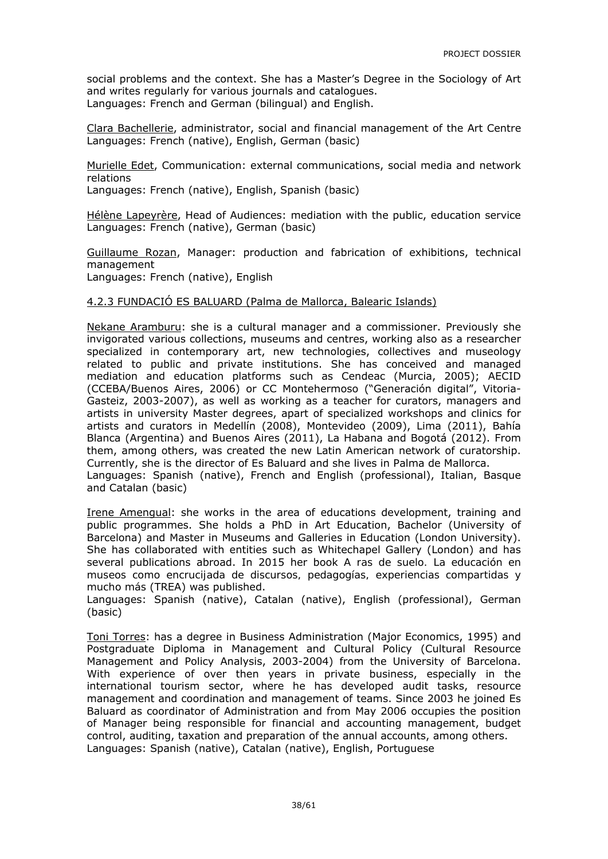social problems and the context. She has a Master's Degree in the Sociology of Art and writes regularly for various journals and catalogues. Languages: French and German (bilingual) and English.

Clara Bachellerie, administrator, social and financial management of the Art Centre Languages: French (native), English, German (basic)

Murielle Edet, Communication: external communications, social media and network relations

Languages: French (native), English, Spanish (basic)

Hélène Lapeyrère, Head of Audiences: mediation with the public, education service Languages: French (native), German (basic)

Guillaume Rozan, Manager: production and fabrication of exhibitions, technical management

Languages: French (native), English

#### 4.2.3 FUNDACIÓ ES BALUARD (Palma de Mallorca, Balearic Islands)

Nekane Aramburu: she is a cultural manager and a commissioner. Previously she invigorated various collections, museums and centres, working also as a researcher specialized in contemporary art, new technologies, collectives and museology related to public and private institutions. She has conceived and managed mediation and education platforms such as Cendeac (Murcia, 2005); AECID (CCEBA/Buenos Aires, 2006) or CC Montehermoso ("Generación digital", Vitoria-Gasteiz, 2003-2007), as well as working as a teacher for curators, managers and artists in university Master degrees, apart of specialized workshops and clinics for artists and curators in Medellín (2008), Montevideo (2009), Lima (2011), Bahía Blanca (Argentina) and Buenos Aires (2011), La Habana and Bogotá (2012). From them, among others, was created the new Latin American network of curatorship. Currently, she is the director of Es Baluard and she lives in Palma de Mallorca. Languages: Spanish (native), French and English (professional), Italian, Basque and Catalan (basic)

Irene Amengual: she works in the area of educations development, training and public programmes. She holds a PhD in Art Education, Bachelor (University of Barcelona) and Master in Museums and Galleries in Education (London University). She has collaborated with entities such as Whitechapel Gallery (London) and has several publications abroad. In 2015 her book *A ras de suelo. La educación en museos como encrucijada de discursos, pedagogías, experiencias compartidas y mucho más* (TREA) was published.

Languages: Spanish (native), Catalan (native), English (professional), German (basic)

Toni Torres: has a degree in Business Administration (Major Economics, 1995) and Postgraduate Diploma in Management and Cultural Policy (Cultural Resource Management and Policy Analysis, 2003-2004) from the University of Barcelona. With experience of over then years in private business, especially in the international tourism sector, where he has developed audit tasks, resource management and coordination and management of teams. Since 2003 he joined Es Baluard as coordinator of Administration and from May 2006 occupies the position of Manager being responsible for financial and accounting management, budget control, auditing, taxation and preparation of the annual accounts, among others. Languages: Spanish (native), Catalan (native), English, Portuguese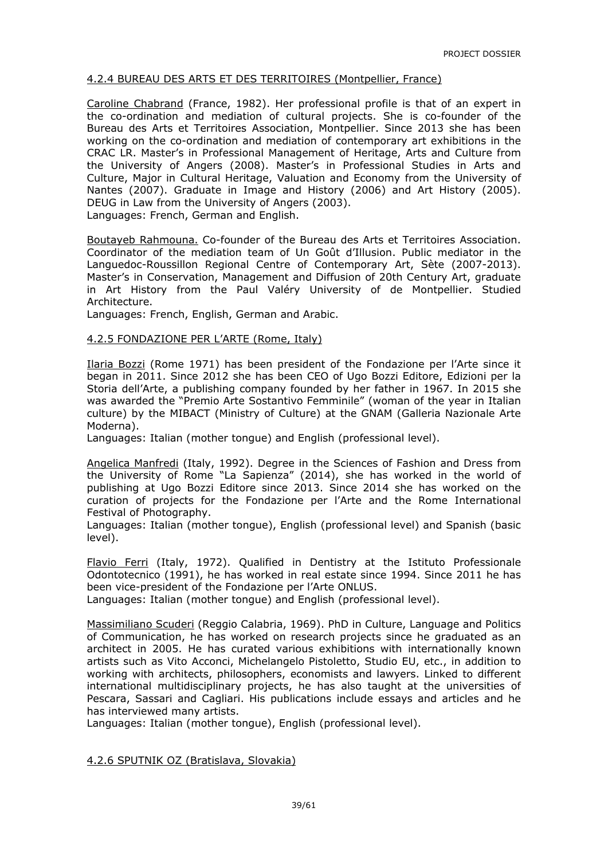#### 4.2.4 BUREAU DES ARTS ET DES TERRITOIRES (Montpellier, France)

Caroline Chabrand (France, 1982). Her professional profile is that of an expert in the co-ordination and mediation of cultural projects. She is co-founder of the Bureau des Arts et Territoires Association, Montpellier. Since 2013 she has been working on the co-ordination and mediation of contemporary art exhibitions in the CRAC LR. Master's in Professional Management of Heritage, Arts and Culture from the University of Angers (2008). Master's in Professional Studies in Arts and Culture, Major in Cultural Heritage, Valuation and Economy from the University of Nantes (2007). Graduate in Image and History (2006) and Art History (2005). DEUG in Law from the University of Angers (2003). Languages: French, German and English.

Boutayeb Rahmouna. Co-founder of the Bureau des Arts et Territoires Association. Coordinator of the mediation team of Un Goût d'Illusion. Public mediator in the Languedoc-Roussillon Regional Centre of Contemporary Art, Sète (2007-2013). Master's in Conservation, Management and Diffusion of 20th Century Art, graduate in Art History from the Paul Valéry University of de Montpellier. Studied Architecture.

Languages: French, English, German and Arabic.

#### 4.2.5 FONDAZIONE PER L'ARTE (Rome, Italy)

Ilaria Bozzi (Rome 1971) has been president of the Fondazione per l'Arte since it began in 2011. Since 2012 she has been CEO of Ugo Bozzi Editore, Edizioni per la Storia dell'Arte, a publishing company founded by her father in 1967. In 2015 she was awarded the "Premio Arte Sostantivo Femminile" (woman of the year in Italian culture) by the MIBACT (Ministry of Culture) at the GNAM (Galleria Nazionale Arte Moderna).

Languages: Italian (mother tongue) and English (professional level).

Angelica Manfredi (Italy, 1992). Degree in the Sciences of Fashion and Dress from the University of Rome "La Sapienza" (2014), she has worked in the world of publishing at Ugo Bozzi Editore since 2013. Since 2014 she has worked on the curation of projects for the Fondazione per l'Arte and the Rome International Festival of Photography.

Languages: Italian (mother tongue), English (professional level) and Spanish (basic level).

Flavio Ferri (Italy, 1972). Qualified in Dentistry at the Istituto Professionale Odontotecnico (1991), he has worked in real estate since 1994. Since 2011 he has been vice-president of the Fondazione per l'Arte ONLUS.

Languages: Italian (mother tongue) and English (professional level).

Massimiliano Scuderi (Reggio Calabria, 1969). PhD in Culture, Language and Politics of Communication, he has worked on research projects since he graduated as an architect in 2005. He has curated various exhibitions with internationally known artists such as Vito Acconci, Michelangelo Pistoletto, Studio EU, etc., in addition to working with architects, philosophers, economists and lawyers. Linked to different international multidisciplinary projects, he has also taught at the universities of Pescara, Sassari and Cagliari. His publications include essays and articles and he has interviewed many artists.

Languages: Italian (mother tongue), English (professional level).

4.2.6 SPUTNIK OZ (Bratislava, Slovakia)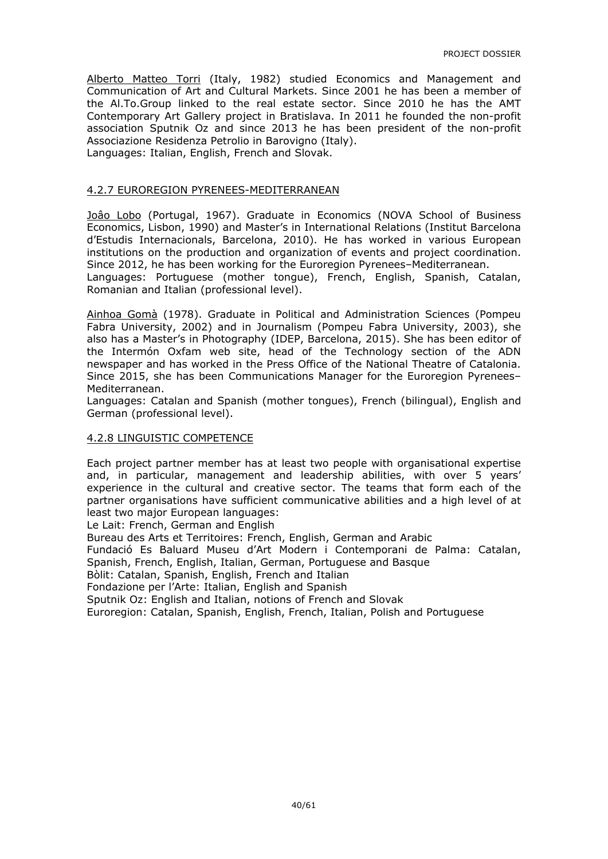Alberto Matteo Torri (Italy, 1982) studied Economics and Management and Communication of Art and Cultural Markets. Since 2001 he has been a member of the Al.To.Group linked to the real estate sector. Since 2010 he has the AMT Contemporary Art Gallery project in Bratislava. In 2011 he founded the non-profit association Sputnik Oz and since 2013 he has been president of the non-profit Associazione Residenza Petrolio in Barovigno (Italy). Languages: Italian, English, French and Slovak.

#### 4.2.7 EUROREGION PYRENEES-MEDITERRANEAN

Joâo Lobo (Portugal, 1967). Graduate in Economics (NOVA School of Business Economics, Lisbon, 1990) and Master's in International Relations (Institut Barcelona d'Estudis Internacionals, Barcelona, 2010). He has worked in various European institutions on the production and organization of events and project coordination. Since 2012, he has been working for the Euroregion Pyrenees–Mediterranean. Languages: Portuguese (mother tongue), French, English, Spanish, Catalan, Romanian and Italian (professional level).

Ainhoa Gomà (1978). Graduate in Political and Administration Sciences (Pompeu Fabra University, 2002) and in Journalism (Pompeu Fabra University, 2003), she also has a Master's in Photography (IDEP, Barcelona, 2015). She has been editor of the Intermón Oxfam web site, head of the Technology section of the ADN newspaper and has worked in the Press Office of the National Theatre of Catalonia. Since 2015, she has been Communications Manager for the Euroregion Pyrenees– Mediterranean.

Languages: Catalan and Spanish (mother tongues), French (bilingual), English and German (professional level).

#### 4.2.8 LINGUISTIC COMPETENCE

Each project partner member has at least two people with organisational expertise and, in particular, management and leadership abilities, with over 5 years' experience in the cultural and creative sector. The teams that form each of the partner organisations have sufficient communicative abilities and a high level of at least two major European languages:

Le Lait: French, German and English

Bureau des Arts et Territoires: French, English, German and Arabic

Fundació Es Baluard Museu d'Art Modern i Contemporani de Palma: Catalan,

Spanish, French, English, Italian, German, Portuguese and Basque

Bòlit: Catalan, Spanish, English, French and Italian

Fondazione per l'Arte: Italian, English and Spanish

Sputnik Oz: English and Italian, notions of French and Slovak

Euroregion: Catalan, Spanish, English, French, Italian, Polish and Portuguese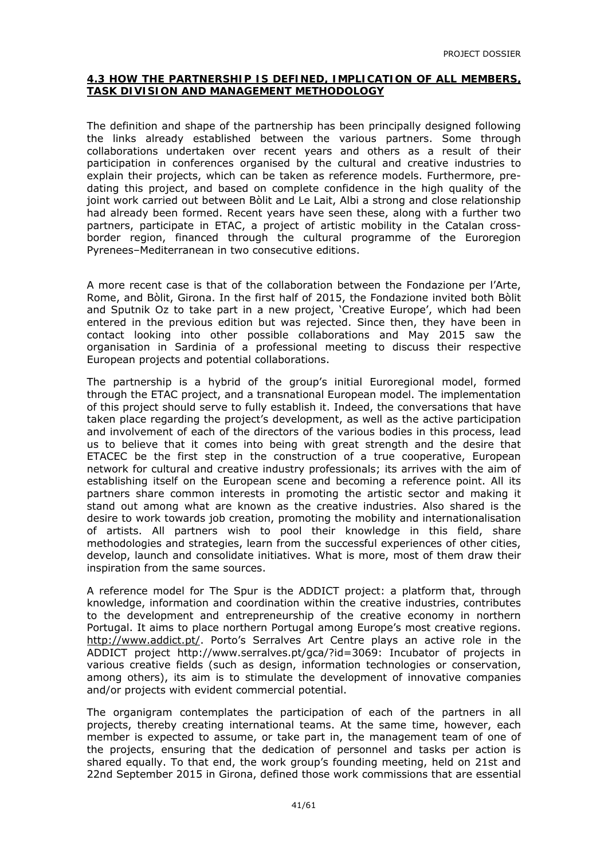#### **4.3 HOW THE PARTNERSHIP IS DEFINED, IMPLICATION OF ALL MEMBERS, TASK DIVISION AND MANAGEMENT METHODOLOGY**

The definition and shape of the partnership has been principally designed following the links already established between the various partners. Some through collaborations undertaken over recent years and others as a result of their participation in conferences organised by the cultural and creative industries to explain their projects, which can be taken as reference models. Furthermore, predating this project, and based on complete confidence in the high quality of the joint work carried out between Bòlit and Le Lait, Albi a strong and close relationship had already been formed. Recent years have seen these, along with a further two partners, participate in ETAC, a project of artistic mobility in the Catalan crossborder region, financed through the cultural programme of the Euroregion Pyrenees–Mediterranean in two consecutive editions.

A more recent case is that of the collaboration between the Fondazione per l'Arte, Rome, and Bòlit, Girona. In the first half of 2015, the Fondazione invited both Bòlit and Sputnik Oz to take part in a new project, 'Creative Europe', which had been entered in the previous edition but was rejected. Since then, they have been in contact looking into other possible collaborations and May 2015 saw the organisation in Sardinia of a professional meeting to discuss their respective European projects and potential collaborations.

The partnership is a hybrid of the group's initial Euroregional model, formed through the ETAC project, and a transnational European model. The implementation of this project should serve to fully establish it. Indeed, the conversations that have taken place regarding the project's development, as well as the active participation and involvement of each of the directors of the various bodies in this process, lead us to believe that it comes into being with great strength and the desire that ETACEC be the first step in the construction of a true cooperative, European network for cultural and creative industry professionals; its arrives with the aim of establishing itself on the European scene and becoming a reference point. All its partners share common interests in promoting the artistic sector and making it stand out among what are known as the creative industries. Also shared is the desire to work towards job creation, promoting the mobility and internationalisation of artists. All partners wish to pool their knowledge in this field, share methodologies and strategies, learn from the successful experiences of other cities, develop, launch and consolidate initiatives. What is more, most of them draw their inspiration from the same sources.

A reference model for The Spur is the ADDICT project: a platform that, through knowledge, information and coordination within the creative industries, contributes to the development and entrepreneurship of the creative economy in northern Portugal. It aims to place northern Portugal among Europe's most creative regions. http://www.addict.pt/. Porto's Serralves Art Centre plays an active role in the ADDICT project http://www.serralves.pt/gca/?id=3069: Incubator of projects in various creative fields (such as design, information technologies or conservation, among others), its aim is to stimulate the development of innovative companies and/or projects with evident commercial potential.

The organigram contemplates the participation of each of the partners in all projects, thereby creating international teams. At the same time, however, each member is expected to assume, or take part in, the management team of one of the projects, ensuring that the dedication of personnel and tasks per action is shared equally. To that end, the work group's founding meeting, held on 21st and 22nd September 2015 in Girona, defined those work commissions that are essential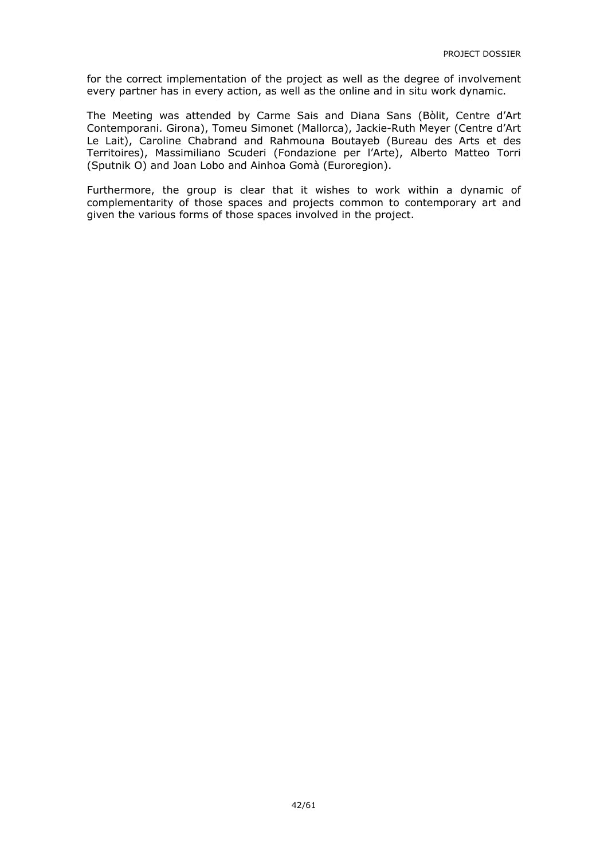for the correct implementation of the project as well as the degree of involvement every partner has in every action, as well as the online and *in situ* work dynamic.

The Meeting was attended by Carme Sais and Diana Sans (Bòlit, Centre d'Art Contemporani. Girona), Tomeu Simonet (Mallorca), Jackie-Ruth Meyer (Centre d'Art Le Lait), Caroline Chabrand and Rahmouna Boutayeb (Bureau des Arts et des Territoires), Massimiliano Scuderi (Fondazione per l'Arte), Alberto Matteo Torri (Sputnik O) and Joan Lobo and Ainhoa Gomà (Euroregion).

Furthermore, the group is clear that it wishes to work within a dynamic of complementarity of those spaces and projects common to contemporary art and given the various forms of those spaces involved in the project.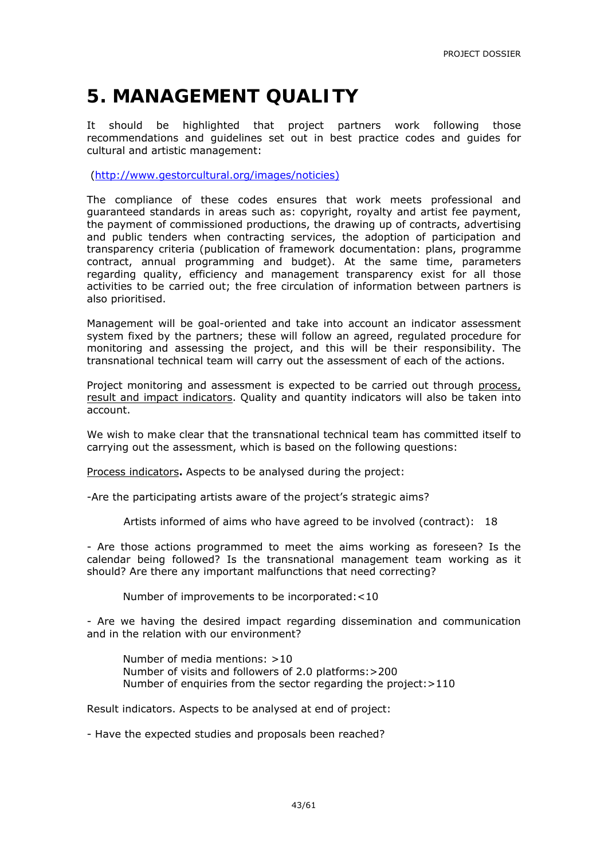### **5. MANAGEMENT QUALITY**

It should be highlighted that project partners work following those recommendations and guidelines set out in best practice codes and guides for cultural and artistic management:

(http://www.gestorcultural.org/images/noticies)

The compliance of these codes ensures that work meets professional and guaranteed standards in areas such as: copyright, royalty and artist fee payment, the payment of commissioned productions, the drawing up of contracts, advertising and public tenders when contracting services, the adoption of participation and transparency criteria (publication of framework documentation: plans, programme contract, annual programming and budget). At the same time, parameters regarding quality, efficiency and management transparency exist for all those activities to be carried out; the free circulation of information between partners is also prioritised.

Management will be goal-oriented and take into account an indicator assessment system fixed by the partners; these will follow an agreed, regulated procedure for monitoring and assessing the project, and this will be their responsibility. The transnational technical team will carry out the assessment of each of the actions.

Project monitoring and assessment is expected to be carried out through process, result and impact indicators. Quality and quantity indicators will also be taken into account.

We wish to make clear that the transnational technical team has committed itself to carrying out the assessment, which is based on the following questions:

Process indicators**.** Aspects to be analysed during the project:

-Are the participating artists aware of the project's strategic aims?

Artists informed of aims who have agreed to be involved (contract): 18

- Are those actions programmed to meet the aims working as foreseen? Is the calendar being followed? Is the transnational management team working as it should? Are there any important malfunctions that need correcting?

Number of improvements to be incorporated:<10

- Are we having the desired impact regarding dissemination and communication and in the relation with our environment?

 Number of media mentions: >10 Number of visits and followers of 2.0 platforms:>200 Number of enquiries from the sector regarding the project:>110

Result indicators. Aspects to be analysed at end of project:

- Have the expected studies and proposals been reached?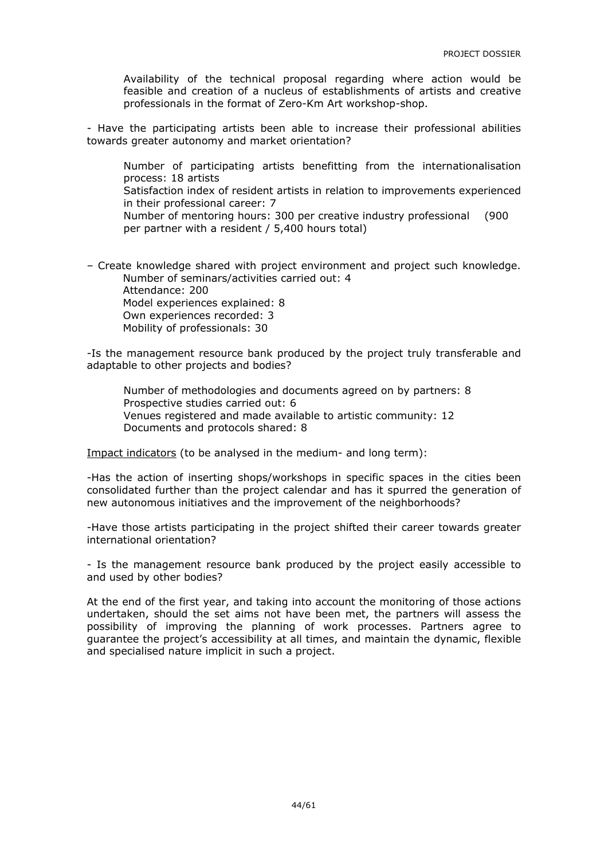Availability of the technical proposal regarding where action would be feasible and creation of a nucleus of establishments of artists and creative professionals in the format of Zero-Km Art workshop-shop.

- Have the participating artists been able to increase their professional abilities towards greater autonomy and market orientation?

Number of participating artists benefitting from the internationalisation process: 18 artists

Satisfaction index of resident artists in relation to improvements experienced in their professional career: 7

Number of mentoring hours: 300 per creative industry professional (900 per partner with a resident / 5,400 hours total)

– Create knowledge shared with project environment and project such knowledge. Number of seminars/activities carried out: 4 Attendance: 200 Model experiences explained: 8

Own experiences recorded: 3

Mobility of professionals: 30

-Is the management resource bank produced by the project truly transferable and adaptable to other projects and bodies?

Number of methodologies and documents agreed on by partners: 8 Prospective studies carried out: 6 Venues registered and made available to artistic community: 12 Documents and protocols shared: 8

Impact indicators (to be analysed in the medium- and long term):

-Has the action of inserting shops/workshops in specific spaces in the cities been consolidated further than the project calendar and has it spurred the generation of new autonomous initiatives and the improvement of the neighborhoods?

-Have those artists participating in the project shifted their career towards greater international orientation?

- Is the management resource bank produced by the project easily accessible to and used by other bodies?

At the end of the first year, and taking into account the monitoring of those actions undertaken, should the set aims not have been met, the partners will assess the possibility of improving the planning of work processes. Partners agree to guarantee the project's accessibility at all times, and maintain the dynamic, flexible and specialised nature implicit in such a project.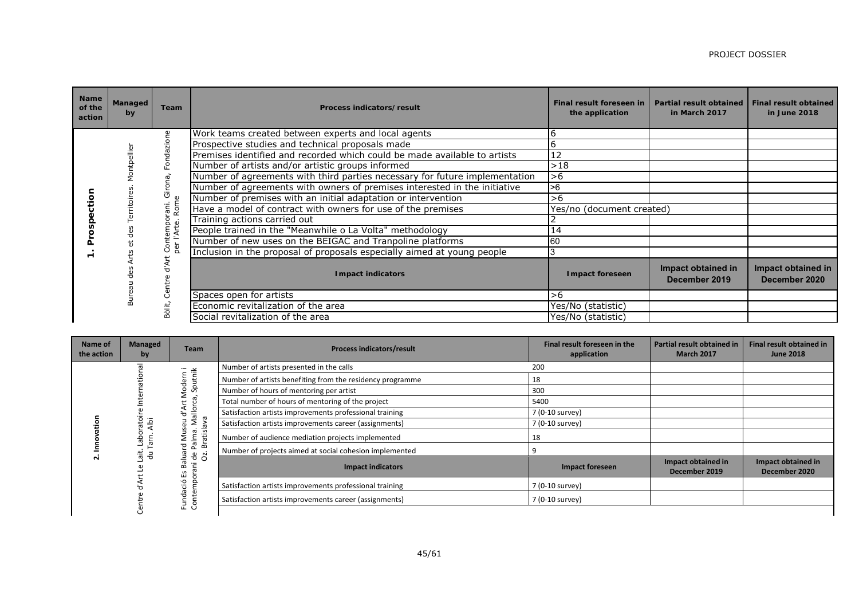| <b>Name</b><br>of the<br>action | <b>Managed</b><br>by | Team         | Process indicators/result                                                   | Final result foreseen in<br>the application | <b>Partial result obtained</b><br>in March 2017 | <b>Final result obtained</b><br>in June 2018 |
|---------------------------------|----------------------|--------------|-----------------------------------------------------------------------------|---------------------------------------------|-------------------------------------------------|----------------------------------------------|
|                                 |                      | Φ            | Work teams created between experts and local agents                         |                                             |                                                 |                                              |
|                                 |                      |              | Prospective studies and technical proposals made                            |                                             |                                                 |                                              |
|                                 |                      | ℸ            | Premises identified and recorded which could be made available to artists   | 12                                          |                                                 |                                              |
|                                 |                      |              | Number of artists and/or artistic groups informed                           | >18                                         |                                                 |                                              |
|                                 |                      | G            | Number of agreements with third parties necessary for future implementation | >6                                          |                                                 |                                              |
|                                 |                      |              | Number of agreements with owners of premises interested in the initiative   | >6                                          |                                                 |                                              |
|                                 |                      | O            | Number of premises with an initial adaptation or intervention               | >6                                          |                                                 |                                              |
|                                 |                      | Rom<br>āni.  | Have a model of contract with owners for use of the premises                | Yes/no (document created)                   |                                                 |                                              |
|                                 |                      | $\mathbf{d}$ | Training actions carried out                                                |                                             |                                                 |                                              |
|                                 |                      | ontempo      | People trained in the "Meanwhile o La Volta" methodology                    | 14                                          |                                                 |                                              |
|                                 |                      |              | Number of new uses on the BEIGAC and Tranpoline platforms                   | 60                                          |                                                 |                                              |
|                                 |                      |              | Inclusion in the proposal of proposals especially aimed at young people     |                                             |                                                 |                                              |
|                                 |                      |              | <b>Impact indicators</b>                                                    | <b>Impact foreseen</b>                      | Impact obtained in<br>December 2019             | Impact obtained in<br>December 2020          |
|                                 |                      | Ċ            | Spaces open for artists                                                     | >6                                          |                                                 |                                              |
|                                 |                      | Bòlit,       | Economic revitalization of the area                                         | Yes/No (statistic)                          |                                                 |                                              |
|                                 |                      |              | Social revitalization of the area                                           | Yes/No (statistic)                          |                                                 |                                              |

| Name of<br>the action | Managed<br>by                    | <b>Team</b>                                            | <b>Process indicators/result</b>                          | Final result foreseen in the<br>application | <b>Partial result obtained in</b><br><b>March 2017</b> | <b>Final result obtained in</b><br><b>June 2018</b> |
|-----------------------|----------------------------------|--------------------------------------------------------|-----------------------------------------------------------|---------------------------------------------|--------------------------------------------------------|-----------------------------------------------------|
|                       |                                  | $\overline{\phantom{a}}$<br>$\cdot$ $-$                | Number of artists presented in the calls                  | 200                                         |                                                        |                                                     |
|                       |                                  | Ē                                                      | Number of artists benefiting from the residency programme | 18                                          |                                                        |                                                     |
|                       |                                  | ode<br>Spu                                             | Number of hours of mentoring per artist                   | 300                                         |                                                        |                                                     |
|                       |                                  |                                                        | Total number of hours of mentoring of the project         | 5400                                        |                                                        |                                                     |
|                       |                                  | allorca<br>⋖<br>ਠ                                      | Satisfaction artists improvements professional training   | 7 (0-10 survey)                             |                                                        |                                                     |
|                       | $\circ$<br>Albi                  | Σ<br>ਨੌ<br>S<br>ੱਕੋ                                    | Satisfaction artists improvements career (assignments)    | 7 (0-10 survey)                             |                                                        |                                                     |
|                       | <b>Tarn</b><br>음                 | Σä<br>ਛੋਂ<br>트<br>$\sigma$                             | Number of audience mediation projects implemented         | 18                                          |                                                        |                                                     |
|                       | it.<br>킁                         | ᅌ<br>짇<br>௨<br>ത                                       | Number of projects aimed at social cohesion implemented   |                                             |                                                        |                                                     |
| $\sim$                | σ                                | ò.<br>ᄒ<br>ᇹ<br>$\cdot$ $-$<br>co<br>$\mathbf{v}$<br>ш | <b>Impact indicators</b>                                  | Impact foreseen                             | Impact obtained in<br>December 2019                    | Impact obtained in<br>December 2020                 |
|                       | $\bigcap$<br>ċó<br>ρ<br>$\sigma$ |                                                        | Satisfaction artists improvements professional training   | 7 (0-10 survey)                             |                                                        |                                                     |
|                       |                                  | ਠ<br>$\bar{z}$ $\bar{s}$                               | Satisfaction artists improvements career (assignments)    | 7 (0-10 survey)                             |                                                        |                                                     |
|                       |                                  |                                                        |                                                           |                                             |                                                        |                                                     |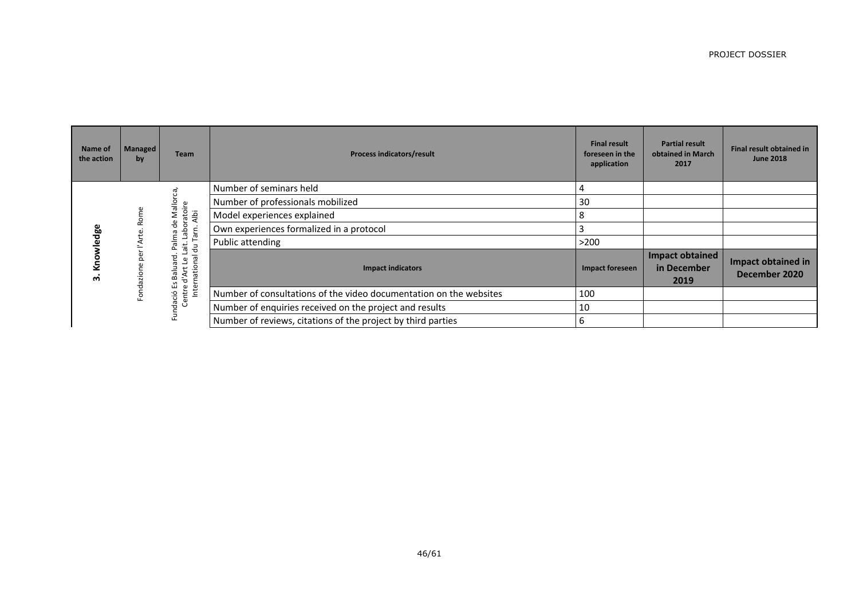| Name of<br>the action | Managed<br>by | <b>Team</b>                                                      | <b>Process indicators/result</b>                                   | <b>Final result</b><br>foreseen in the<br>application | <b>Partial result</b><br>obtained in March<br>2017 | Final result obtained in<br><b>June 2018</b> |
|-----------------------|---------------|------------------------------------------------------------------|--------------------------------------------------------------------|-------------------------------------------------------|----------------------------------------------------|----------------------------------------------|
|                       |               |                                                                  | Number of seminars held                                            |                                                       |                                                    |                                              |
|                       |               | Mallorca                                                         | Number of professionals mobilized                                  | 30                                                    |                                                    |                                              |
|                       | ē             | atoire<br>Albi                                                   | Model experiences explained                                        |                                                       |                                                    |                                              |
| စိတ                   |               | $\frac{1}{\sigma}$<br>Tarn.                                      | Own experiences formalized in a protocol                           |                                                       |                                                    |                                              |
|                       |               | ait. Labor<br>alma<br>킁<br>௳                                     | Public attending                                                   | >200                                                  |                                                    |                                              |
| ო                     | oizepi        | ಕ<br>짇<br>ω<br>Internation<br>t<br>Balu<br>∢<br>ਣ<br>م<br>س<br>ω | <b>Impact indicators</b>                                           | Impact foreseen                                       | <b>Impact obtained</b><br>in December<br>2019      | Impact obtained in<br>December 2020          |
|                       |               | Centr<br>dació                                                   | Number of consultations of the video documentation on the websites | 100                                                   |                                                    |                                              |
|                       |               |                                                                  | Number of enquiries received on the project and results            | 10                                                    |                                                    |                                              |
|                       |               | Ĕ                                                                | Number of reviews, citations of the project by third parties       |                                                       |                                                    |                                              |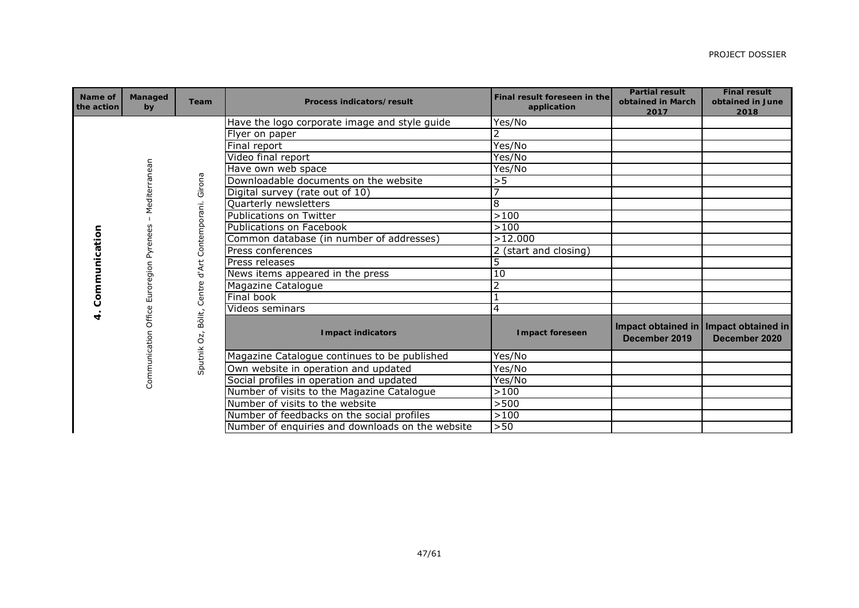| Name of<br>the action | <b>Managed</b><br>by | Team                       | <b>Process indicators/result</b>                 | Final result foreseen in the<br>application | <b>Partial result</b><br>obtained in March<br>2017       | <b>Final result</b><br>obtained in June<br>2018 |
|-----------------------|----------------------|----------------------------|--------------------------------------------------|---------------------------------------------|----------------------------------------------------------|-------------------------------------------------|
|                       |                      |                            | Have the logo corporate image and style guide    | Yes/No                                      |                                                          |                                                 |
|                       |                      |                            | Flyer on paper                                   | $\overline{2}$                              |                                                          |                                                 |
|                       |                      |                            | Final report                                     | Yes/No                                      |                                                          |                                                 |
|                       |                      |                            | Video final report                               | Yes/No                                      |                                                          |                                                 |
|                       |                      |                            | Have own web space                               | Yes/No                                      |                                                          |                                                 |
|                       |                      |                            | Downloadable documents on the website            | >5                                          |                                                          |                                                 |
|                       | Mediterranean        | Girona                     | Digital survey (rate out of 10)                  | 7                                           |                                                          |                                                 |
|                       |                      |                            | Quarterly newsletters                            | $\overline{8}$                              |                                                          |                                                 |
|                       |                      |                            | <b>Publications on Twitter</b>                   | $>100$                                      |                                                          |                                                 |
|                       |                      |                            | Publications on Facebook                         | >100                                        |                                                          |                                                 |
|                       |                      |                            | Common database (in number of addresses)         | >12.000                                     |                                                          |                                                 |
| Communication         | Euroregion Pyrenees  | Centre d'Art Contemporani. | Press conferences                                | 2 (start and closing)                       |                                                          |                                                 |
|                       |                      |                            | Press releases                                   | 5                                           |                                                          |                                                 |
|                       |                      |                            | News items appeared in the press                 | 10                                          |                                                          |                                                 |
|                       |                      |                            | Magazine Catalogue                               | $\overline{2}$                              |                                                          |                                                 |
|                       |                      |                            | Final book                                       | $\mathbf{1}$                                |                                                          |                                                 |
| 4.                    | Office               |                            | Videos seminars                                  | 4                                           |                                                          |                                                 |
|                       | Communication        | Bòlit,<br>Sputnik Oz,      | <b>Impact indicators</b>                         | <b>Impact foreseen</b>                      | Impact obtained in   Impact obtained in<br>December 2019 | December 2020                                   |
|                       |                      |                            | Magazine Catalogue continues to be published     | Yes/No                                      |                                                          |                                                 |
|                       |                      |                            | Own website in operation and updated             | Yes/No                                      |                                                          |                                                 |
|                       |                      |                            | Social profiles in operation and updated         | Yes/No                                      |                                                          |                                                 |
|                       |                      |                            | Number of visits to the Magazine Catalogue       | >100                                        |                                                          |                                                 |
|                       |                      |                            | Number of visits to the website                  | >500                                        |                                                          |                                                 |
|                       |                      |                            | Number of feedbacks on the social profiles       | >100                                        |                                                          |                                                 |
|                       |                      |                            | Number of enquiries and downloads on the website | >50                                         |                                                          |                                                 |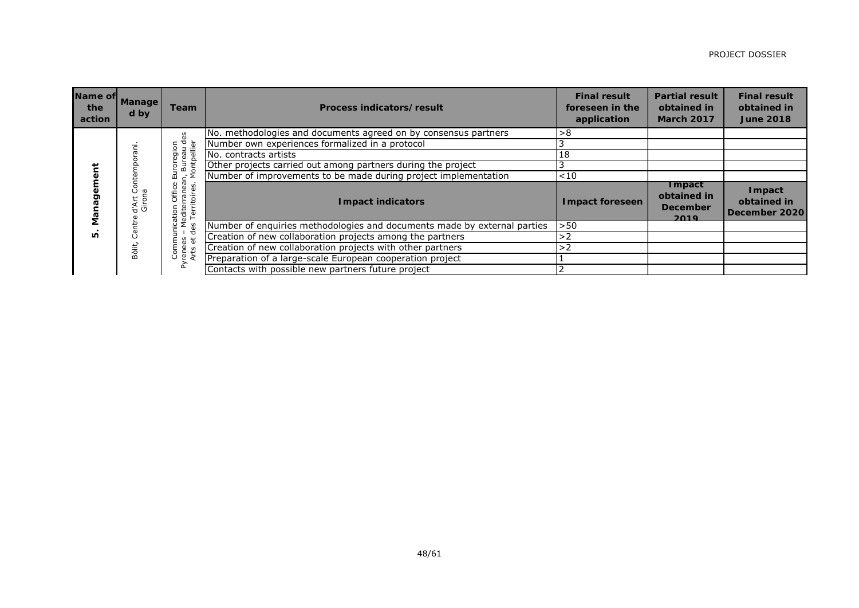| Name of<br>the<br>action | <b>Manage</b><br>d by | <b>Team</b>                                       | Process indicators/result                                                | <b>Final result</b><br>foreseen in the<br>application | <b>Partial result</b><br>obtained in<br><b>March 2017</b> | <b>Final result</b><br>obtained in<br><b>June 2018</b> |
|--------------------------|-----------------------|---------------------------------------------------|--------------------------------------------------------------------------|-------------------------------------------------------|-----------------------------------------------------------|--------------------------------------------------------|
|                          |                       | 3                                                 | No. methodologies and documents agreed on by consensus partners          | >8                                                    |                                                           |                                                        |
|                          |                       |                                                   | Number own experiences formalized in a protocol                          |                                                       |                                                           |                                                        |
|                          |                       | uoiɓa.                                            | No. contracts artists                                                    | 18                                                    |                                                           |                                                        |
|                          |                       | ontpellier<br>ŏ                                   | Other projects carried out among partners during the project             |                                                       |                                                           |                                                        |
|                          |                       | 모                                                 | Number of improvements to be made during project implementation          | ${<}10$                                               |                                                           |                                                        |
| Man.                     | ăuo<br>d'Art<br>Giron | Office<br>ω<br>$\overline{2}$<br>5<br>은<br>ℸ<br>衰 | <b>Impact indicators</b>                                                 | <b>Impact foreseen</b>                                | <b>Impact</b><br>obtained in<br><b>December</b><br>2019   | Impact<br>obtained in<br>December 2020                 |
|                          | 눧                     |                                                   | Number of enquiries methodologies and documents made by external parties | >50                                                   |                                                           |                                                        |
| LO                       |                       | ರ<br>ť                                            | Creation of new collaboration projects among the partners                | >2                                                    |                                                           |                                                        |
|                          | Bòlit,                | g<br>rene<br>Arts                                 | Creation of new collaboration projects with other partners               | >2                                                    |                                                           |                                                        |
|                          |                       |                                                   | Preparation of a large-scale European cooperation project                |                                                       |                                                           |                                                        |
|                          |                       | ≿                                                 | Contacts with possible new partners future project                       |                                                       |                                                           |                                                        |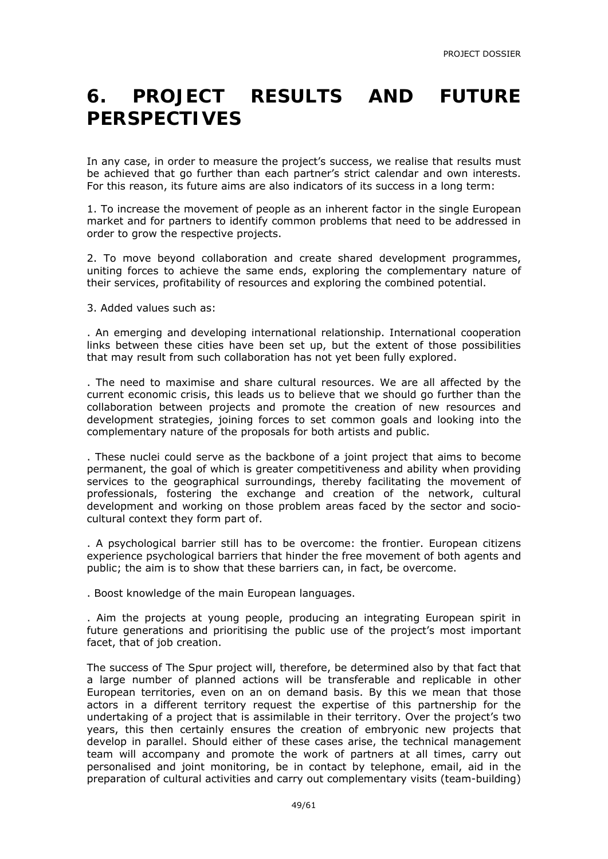### **6. PROJECT RESULTS AND FUTURE PERSPECTIVES**

In any case, in order to measure the project's success, we realise that results must be achieved that go further than each partner's strict calendar and own interests. For this reason, its future aims are also indicators of its success in a long term:

1. To increase the movement of people as an inherent factor in the single European market and for partners to identify common problems that need to be addressed in order to grow the respective projects.

2. To move beyond collaboration and create shared development programmes, uniting forces to achieve the same ends, exploring the complementary nature of their services, profitability of resources and exploring the combined potential.

3. Added values such as:

. An emerging and developing international relationship. International cooperation links between these cities have been set up, but the extent of those possibilities that may result from such collaboration has not yet been fully explored.

. The need to maximise and share cultural resources. We are all affected by the current economic crisis, this leads us to believe that we should go further than the collaboration between projects and promote the creation of new resources and development strategies, joining forces to set common goals and looking into the complementary nature of the proposals for both artists and public.

. These nuclei could serve as the backbone of a joint project that aims to become permanent, the goal of which is greater competitiveness and ability when providing services to the geographical surroundings, thereby facilitating the movement of professionals, fostering the exchange and creation of the network, cultural development and working on those problem areas faced by the sector and sociocultural context they form part of.

. A psychological barrier still has to be overcome: the frontier. European citizens experience psychological barriers that hinder the free movement of both agents and public; the aim is to show that these barriers can, in fact, be overcome.

. Boost knowledge of the main European languages.

. Aim the projects at young people, producing an integrating European spirit in future generations and prioritising the public use of the project's most important facet, that of job creation.

The success of The Spur project will, therefore, be determined also by that fact that a large number of planned actions will be transferable and replicable in other European territories, even on an on demand basis. By this we mean that those actors in a different territory request the expertise of this partnership for the undertaking of a project that is assimilable in their territory. Over the project's two years, this then certainly ensures the creation of embryonic new projects that develop in parallel. Should either of these cases arise, the technical management team will accompany and promote the work of partners at all times, carry out personalised and joint monitoring, be in contact by telephone, email, aid in the preparation of cultural activities and carry out complementary visits (team-building)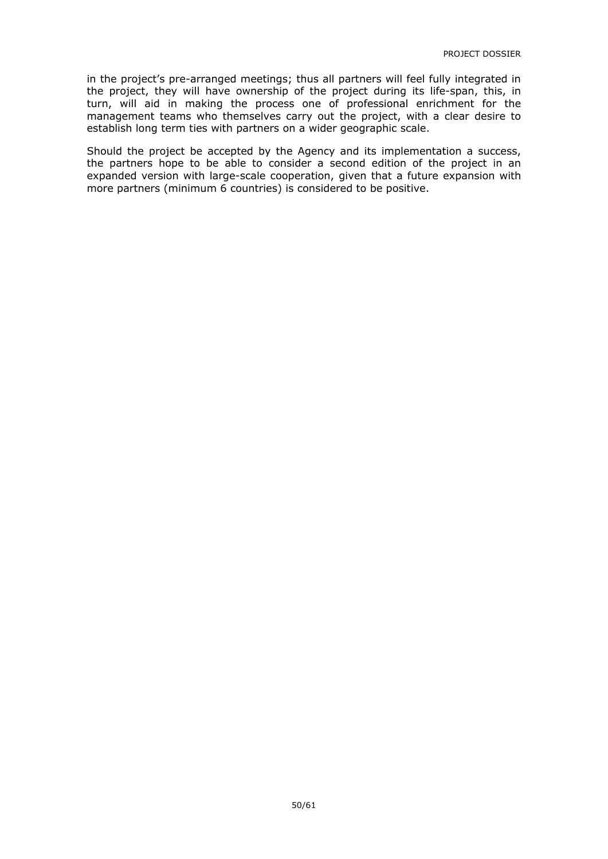in the project's pre-arranged meetings; thus all partners will feel fully integrated in the project, they will have ownership of the project during its life-span, this, in turn, will aid in making the process one of professional enrichment for the management teams who themselves carry out the project, with a clear desire to establish long term ties with partners on a wider geographic scale.

Should the project be accepted by the Agency and its implementation a success, the partners hope to be able to consider a second edition of the project in an expanded version with large-scale cooperation, given that a future expansion with more partners (minimum 6 countries) is considered to be positive.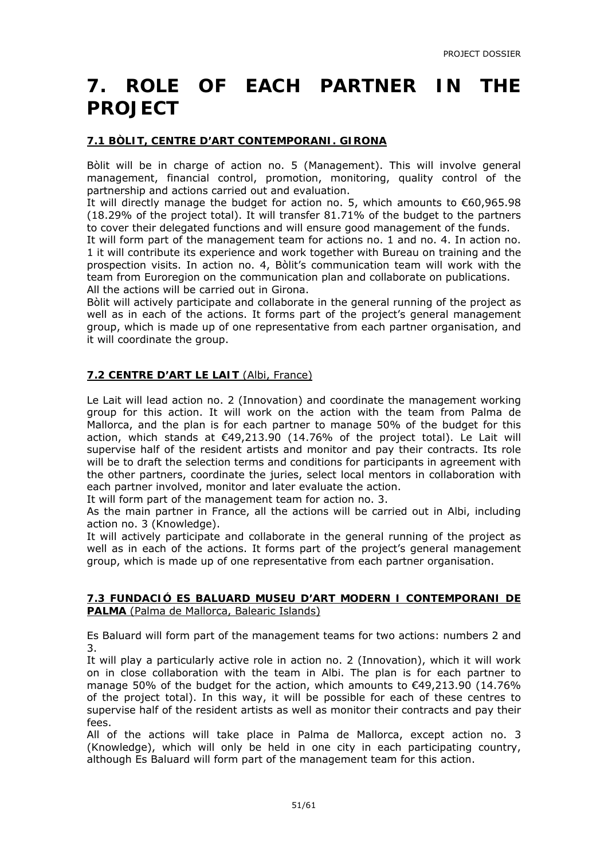### **7. ROLE OF EACH PARTNER IN THE PROJECT**

#### **7.1 BÒLIT, CENTRE D'ART CONTEMPORANI. GIRONA**

Bòlit will be in charge of action no. 5 (Management). This will involve general management, financial control, promotion, monitoring, quality control of the partnership and actions carried out and evaluation.

It will directly manage the budget for action no. 5, which amounts to €60,965.98 (18.29% of the project total). It will transfer 81.71% of the budget to the partners to cover their delegated functions and will ensure good management of the funds.

It will form part of the management team for actions no. 1 and no. 4. In action no. 1 it will contribute its experience and work together with Bureau on training and the prospection visits. In action no. 4, Bòlit's communication team will work with the team from Euroregion on the communication plan and collaborate on publications. All the actions will be carried out in Girona.

Bòlit will actively participate and collaborate in the general running of the project as well as in each of the actions. It forms part of the project's general management group, which is made up of one representative from each partner organisation, and it will coordinate the group.

#### **7.2 CENTRE D'ART LE LAIT** (Albi, France)

Le Lait will lead action no. 2 (Innovation) and coordinate the management working group for this action. It will work on the action with the team from Palma de Mallorca, and the plan is for each partner to manage 50% of the budget for this action, which stands at €49,213.90 (14.76% of the project total). Le Lait will supervise half of the resident artists and monitor and pay their contracts. Its role will be to draft the selection terms and conditions for participants in agreement with the other partners, coordinate the juries, select local mentors in collaboration with each partner involved, monitor and later evaluate the action.

It will form part of the management team for action no. 3.

As the main partner in France, all the actions will be carried out in Albi, including action no. 3 (Knowledge).

It will actively participate and collaborate in the general running of the project as well as in each of the actions. It forms part of the project's general management group, which is made up of one representative from each partner organisation.

#### **7.3 FUNDACIÓ ES BALUARD MUSEU D'ART MODERN I CONTEMPORANI DE PALMA** (Palma de Mallorca, Balearic Islands)

Es Baluard will form part of the management teams for two actions: numbers 2 and 3.

It will play a particularly active role in action no. 2 (Innovation), which it will work on in close collaboration with the team in Albi. The plan is for each partner to manage 50% of the budget for the action, which amounts to €49,213.90 (14.76% of the project total). In this way, it will be possible for each of these centres to supervise half of the resident artists as well as monitor their contracts and pay their fees.

All of the actions will take place in Palma de Mallorca, except action no. 3 (Knowledge), which will only be held in one city in each participating country, although Es Baluard will form part of the management team for this action.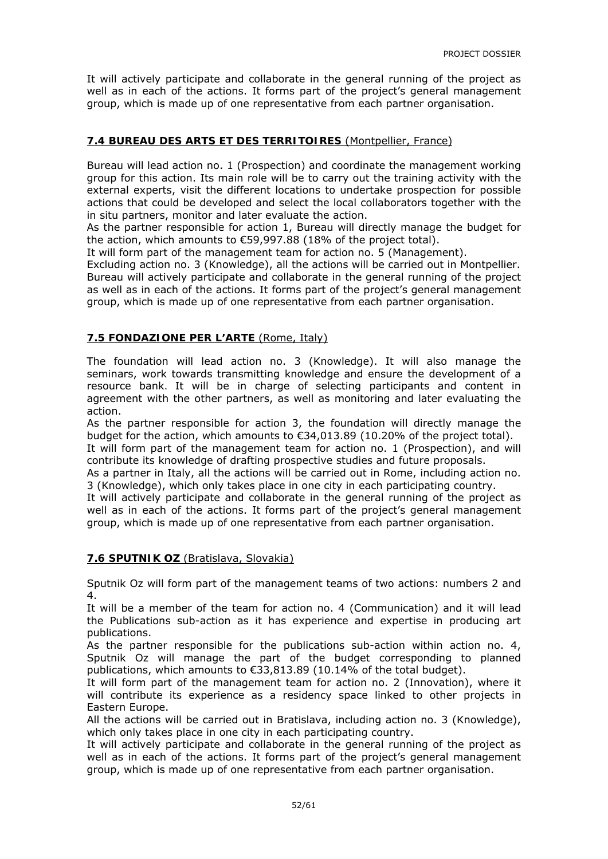It will actively participate and collaborate in the general running of the project as well as in each of the actions. It forms part of the project's general management group, which is made up of one representative from each partner organisation.

#### **7.4 BUREAU DES ARTS ET DES TERRITOIRES** (Montpellier, France)

Bureau will lead action no. 1 (Prospection) and coordinate the management working group for this action. Its main role will be to carry out the training activity with the external experts, visit the different locations to undertake prospection for possible actions that could be developed and select the local collaborators together with the in situ partners, monitor and later evaluate the action.

As the partner responsible for action 1, Bureau will directly manage the budget for the action, which amounts to €59,997.88 (18% of the project total).

It will form part of the management team for action no. 5 (Management).

Excluding action no. 3 (Knowledge), all the actions will be carried out in Montpellier. Bureau will actively participate and collaborate in the general running of the project as well as in each of the actions. It forms part of the project's general management group, which is made up of one representative from each partner organisation.

#### **7.5 FONDAZIONE PER L'ARTE** (Rome, Italy)

The foundation will lead action no. 3 (Knowledge). It will also manage the seminars, work towards transmitting knowledge and ensure the development of a resource bank. It will be in charge of selecting participants and content in agreement with the other partners, as well as monitoring and later evaluating the action.

As the partner responsible for action 3, the foundation will directly manage the budget for the action, which amounts to €34,013.89 (10.20% of the project total).

It will form part of the management team for action no. 1 (Prospection), and will contribute its knowledge of drafting prospective studies and future proposals.

As a partner in Italy, all the actions will be carried out in Rome, including action no. 3 (Knowledge), which only takes place in one city in each participating country.

It will actively participate and collaborate in the general running of the project as well as in each of the actions. It forms part of the project's general management group, which is made up of one representative from each partner organisation.

#### **7.6 SPUTNIK OZ** (Bratislava, Slovakia)

Sputnik Oz will form part of the management teams of two actions: numbers 2 and 4.

It will be a member of the team for action no. 4 (Communication) and it will lead the Publications sub-action as it has experience and expertise in producing art publications.

As the partner responsible for the publications sub-action within action no. 4, Sputnik Oz will manage the part of the budget corresponding to planned publications, which amounts to €33,813.89 (10.14% of the total budget).

It will form part of the management team for action no. 2 (Innovation), where it will contribute its experience as a residency space linked to other projects in Eastern Europe.

All the actions will be carried out in Bratislava, including action no. 3 (Knowledge), which only takes place in one city in each participating country.

It will actively participate and collaborate in the general running of the project as well as in each of the actions. It forms part of the project's general management group, which is made up of one representative from each partner organisation.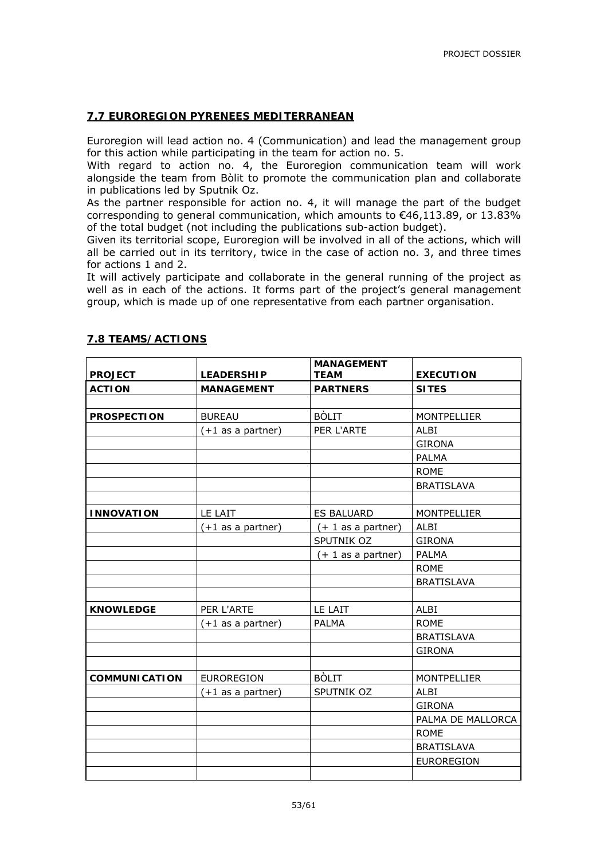#### **7.7 EUROREGION PYRENEES MEDITERRANEAN**

Euroregion will lead action no. 4 (Communication) and lead the management group for this action while participating in the team for action no. 5.

With regard to action no. 4, the Euroregion communication team will work alongside the team from Bòlit to promote the communication plan and collaborate in publications led by Sputnik Oz.

As the partner responsible for action no. 4, it will manage the part of the budget corresponding to general communication, which amounts to €46,113.89, or 13.83% of the total budget (not including the publications sub-action budget).

Given its territorial scope, Euroregion will be involved in all of the actions, which will all be carried out in its territory, twice in the case of action no. 3, and three times for actions 1 and 2.

It will actively participate and collaborate in the general running of the project as well as in each of the actions. It forms part of the project's general management group, which is made up of one representative from each partner organisation.

|                      |                     | <b>MANAGEMENT</b>    |                    |
|----------------------|---------------------|----------------------|--------------------|
| <b>PROJECT</b>       | <b>LEADERSHIP</b>   | <b>TEAM</b>          | <b>EXECUTION</b>   |
| <b>ACTION</b>        | <b>MANAGEMENT</b>   | <b>PARTNERS</b>      | <b>SITES</b>       |
|                      |                     |                      |                    |
| <b>PROSPECTION</b>   | <b>BUREAU</b>       | <b>BÒLIT</b>         | <b>MONTPELLIER</b> |
|                      | $(+1$ as a partner) | PER L'ARTE           | <b>ALBI</b>        |
|                      |                     |                      | <b>GIRONA</b>      |
|                      |                     |                      | <b>PALMA</b>       |
|                      |                     |                      | <b>ROME</b>        |
|                      |                     |                      | <b>BRATISLAVA</b>  |
|                      |                     |                      |                    |
| <b>INNOVATION</b>    | LE LAIT             | <b>ES BALUARD</b>    | <b>MONTPELLIER</b> |
|                      | $(+1$ as a partner) | $(+ 1 as a partner)$ | ALBI               |
|                      |                     | SPUTNIK OZ           | <b>GIRONA</b>      |
|                      |                     | $(+ 1$ as a partner) | <b>PALMA</b>       |
|                      |                     |                      | <b>ROME</b>        |
|                      |                     |                      | <b>BRATISLAVA</b>  |
|                      |                     |                      |                    |
| <b>KNOWLEDGE</b>     | PER L'ARTE          | LE LAIT              | <b>ALBI</b>        |
|                      | $(+1$ as a partner) | <b>PALMA</b>         | <b>ROME</b>        |
|                      |                     |                      | <b>BRATISLAVA</b>  |
|                      |                     |                      | <b>GIRONA</b>      |
|                      |                     |                      |                    |
| <b>COMMUNICATION</b> | <b>EUROREGION</b>   | <b>BÒLIT</b>         | <b>MONTPELLIER</b> |
|                      | $(+1$ as a partner) | SPUTNIK OZ           | ALBI               |
|                      |                     |                      | <b>GIRONA</b>      |
|                      |                     |                      | PALMA DE MALLORCA  |
|                      |                     |                      | <b>ROME</b>        |
|                      |                     |                      | <b>BRATISLAVA</b>  |
|                      |                     |                      | <b>EUROREGION</b>  |
|                      |                     |                      |                    |

#### **7.8 TEAMS/ACTIONS**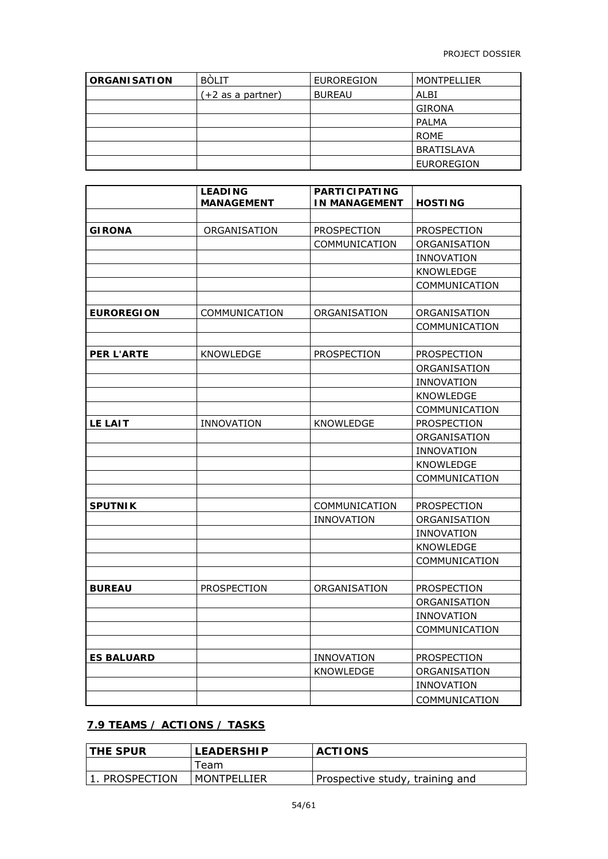| <b>ORGANISATION</b> | <b>BOLIT</b>      | <b>EUROREGION</b> | MONTPELLIER       |
|---------------------|-------------------|-------------------|-------------------|
|                     | (+2 as a partner) | <b>BUREAU</b>     | ALBI              |
|                     |                   |                   | <b>GIRONA</b>     |
|                     |                   |                   | PALMA             |
|                     |                   |                   | <b>ROME</b>       |
|                     |                   |                   | <b>BRATISLAVA</b> |
|                     |                   |                   | EUROREGION        |

|                   | <b>LEADING</b><br><b>MANAGEMENT</b> | <b>PARTICIPATING</b><br><b>IN MANAGEMENT</b> | <b>HOSTING</b>    |
|-------------------|-------------------------------------|----------------------------------------------|-------------------|
|                   |                                     |                                              |                   |
| <b>GIRONA</b>     | ORGANISATION                        | PROSPECTION                                  | PROSPECTION       |
|                   |                                     | COMMUNICATION                                | ORGANISATION      |
|                   |                                     |                                              | <b>INNOVATION</b> |
|                   |                                     |                                              | KNOWLEDGE         |
|                   |                                     |                                              | COMMUNICATION     |
|                   |                                     |                                              |                   |
| <b>EUROREGION</b> | COMMUNICATION                       | ORGANISATION                                 | ORGANISATION      |
|                   |                                     |                                              | COMMUNICATION     |
|                   |                                     |                                              |                   |
| <b>PER L'ARTE</b> | <b>KNOWLEDGE</b>                    | PROSPECTION                                  | PROSPECTION       |
|                   |                                     |                                              | ORGANISATION      |
|                   |                                     |                                              | <b>INNOVATION</b> |
|                   |                                     |                                              | <b>KNOWLEDGE</b>  |
|                   |                                     |                                              | COMMUNICATION     |
| LE LAIT           | INNOVATION                          | KNOWLEDGE                                    | PROSPECTION       |
|                   |                                     |                                              | ORGANISATION      |
|                   |                                     |                                              | <b>INNOVATION</b> |
|                   |                                     |                                              | KNOWLEDGE         |
|                   |                                     |                                              | COMMUNICATION     |
|                   |                                     |                                              |                   |
| <b>SPUTNIK</b>    |                                     | COMMUNICATION                                | PROSPECTION       |
|                   |                                     | <b>INNOVATION</b>                            | ORGANISATION      |
|                   |                                     |                                              | <b>INNOVATION</b> |
|                   |                                     |                                              | KNOWLEDGE         |
|                   |                                     |                                              | COMMUNICATION     |
|                   |                                     |                                              |                   |
| <b>BUREAU</b>     | PROSPECTION                         | ORGANISATION                                 | PROSPECTION       |
|                   |                                     |                                              | ORGANISATION      |
|                   |                                     |                                              | <b>INNOVATION</b> |
|                   |                                     |                                              | COMMUNICATION     |
|                   |                                     |                                              |                   |
| <b>ES BALUARD</b> |                                     | <b>INNOVATION</b>                            | PROSPECTION       |
|                   |                                     | KNOWLEDGE                                    | ORGANISATION      |
|                   |                                     |                                              | <b>INNOVATION</b> |
|                   |                                     |                                              | COMMUNICATION     |

#### **7.9 TEAMS / ACTIONS / TASKS**

| <b>THE SPUR</b> | <b>LEADERSHIP</b> | <b>ACTIONS</b>                  |
|-----------------|-------------------|---------------------------------|
|                 | ēam-              |                                 |
| 1. PROSPECTION  | MONTPELLIER       | Prospective study, training and |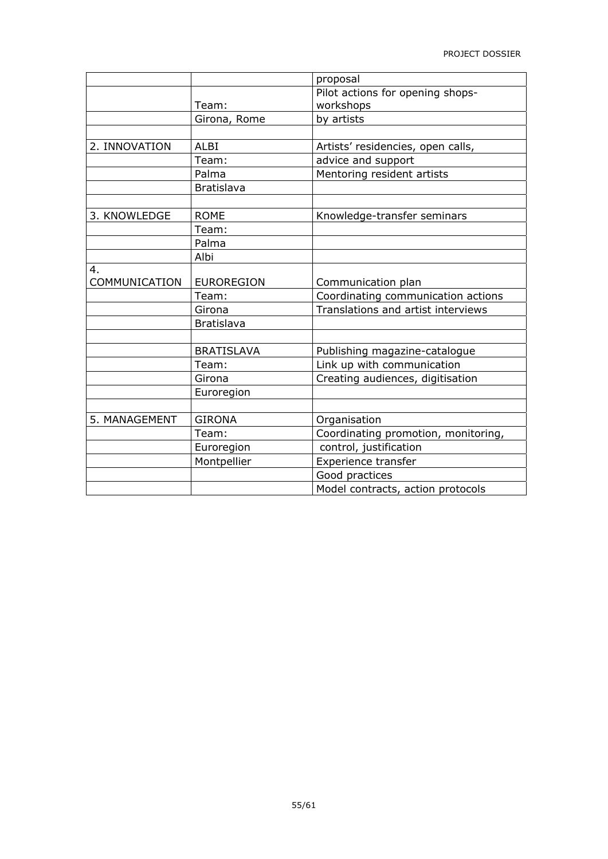|               |                   | proposal                            |
|---------------|-------------------|-------------------------------------|
|               |                   | Pilot actions for opening shops-    |
|               | Team:             | workshops                           |
|               | Girona, Rome      | by artists                          |
|               |                   |                                     |
| 2. INNOVATION | <b>ALBI</b>       | Artists' residencies, open calls,   |
|               | Team:             | advice and support                  |
|               | Palma             | Mentoring resident artists          |
|               | <b>Bratislava</b> |                                     |
|               |                   |                                     |
| 3. KNOWLEDGE  | <b>ROME</b>       | Knowledge-transfer seminars         |
|               | Team:             |                                     |
|               | Palma             |                                     |
|               | Albi              |                                     |
| 4.            |                   |                                     |
| COMMUNICATION | <b>EUROREGION</b> | Communication plan                  |
|               | Team:             | Coordinating communication actions  |
|               | Girona            | Translations and artist interviews  |
|               | <b>Bratislava</b> |                                     |
|               |                   |                                     |
|               | <b>BRATISLAVA</b> | Publishing magazine-catalogue       |
|               | Team:             | Link up with communication          |
|               | Girona            | Creating audiences, digitisation    |
|               | Euroregion        |                                     |
|               |                   |                                     |
| 5. MANAGEMENT | <b>GIRONA</b>     | Organisation                        |
|               | Team:             | Coordinating promotion, monitoring, |
|               | Euroregion        | control, justification              |
|               | Montpellier       | Experience transfer                 |
|               |                   | Good practices                      |
|               |                   | Model contracts, action protocols   |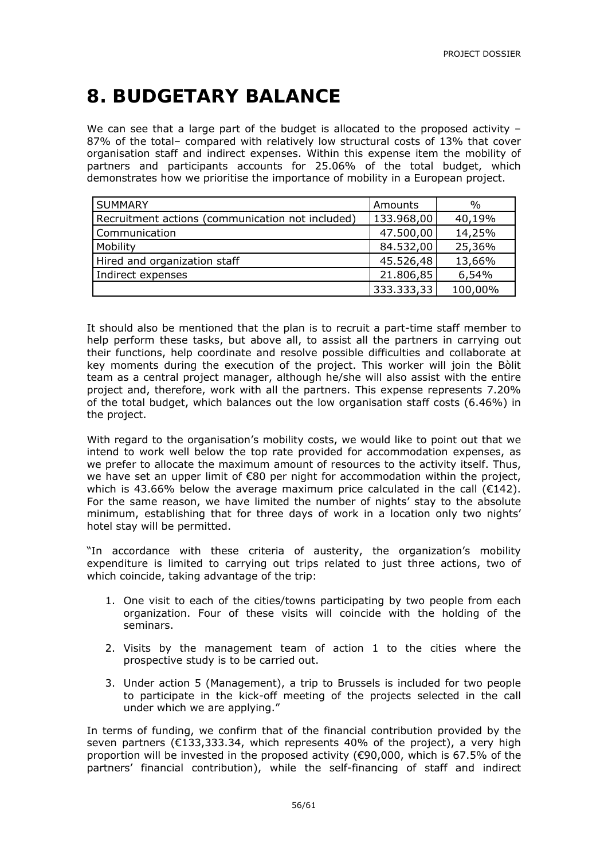# **8. BUDGETARY BALANCE**

We can see that a large part of the budget is allocated to the proposed activity  $-$ 87% of the total– compared with relatively low structural costs of 13% that cover organisation staff and indirect expenses. Within this expense item the mobility of partners and participants accounts for 25.06% of the total budget, which demonstrates how we prioritise the importance of mobility in a European project.

| <b>SUMMARY</b>                                   | Amounts    | $\%$    |
|--------------------------------------------------|------------|---------|
| Recruitment actions (communication not included) | 133.968,00 | 40,19%  |
| Communication                                    | 47.500,00  | 14,25%  |
| Mobility                                         | 84.532,00  | 25,36%  |
| Hired and organization staff                     | 45.526,48  | 13,66%  |
| Indirect expenses                                | 21.806,85  | 6,54%   |
|                                                  | 333.333,33 | 100,00% |

It should also be mentioned that the plan is to recruit a part-time staff member to help perform these tasks, but above all, to assist all the partners in carrying out their functions, help coordinate and resolve possible difficulties and collaborate at key moments during the execution of the project. This worker will join the Bòlit team as a central project manager, although he/she will also assist with the entire project and, therefore, work with all the partners. This expense represents 7.20% of the total budget, which balances out the low organisation staff costs (6.46%) in the project.

With regard to the organisation's mobility costs, we would like to point out that we intend to work well below the top rate provided for accommodation expenses, as we prefer to allocate the maximum amount of resources to the activity itself. Thus, we have set an upper limit of €80 per night for accommodation within the project, which is 43.66% below the average maximum price calculated in the call  $(E142)$ . For the same reason, we have limited the number of nights' stay to the absolute minimum, establishing that for three days of work in a location only two nights' hotel stay will be permitted.

"In accordance with these criteria of austerity, the organization's mobility expenditure is limited to carrying out trips related to just three actions, two of which coincide, taking advantage of the trip:

- 1. One visit to each of the cities/towns participating by two people from each organization. Four of these visits will coincide with the holding of the seminars.
- 2. Visits by the management team of action 1 to the cities where the prospective study is to be carried out.
- 3. Under action 5 (Management), a trip to Brussels is included for two people to participate in the kick-off meeting of the projects selected in the call under which we are applying."

In terms of funding, we confirm that of the financial contribution provided by the seven partners (€133,333.34, which represents 40% of the project), a very high proportion will be invested in the proposed activity (€90,000, which is 67.5% of the partners' financial contribution), while the self-financing of staff and indirect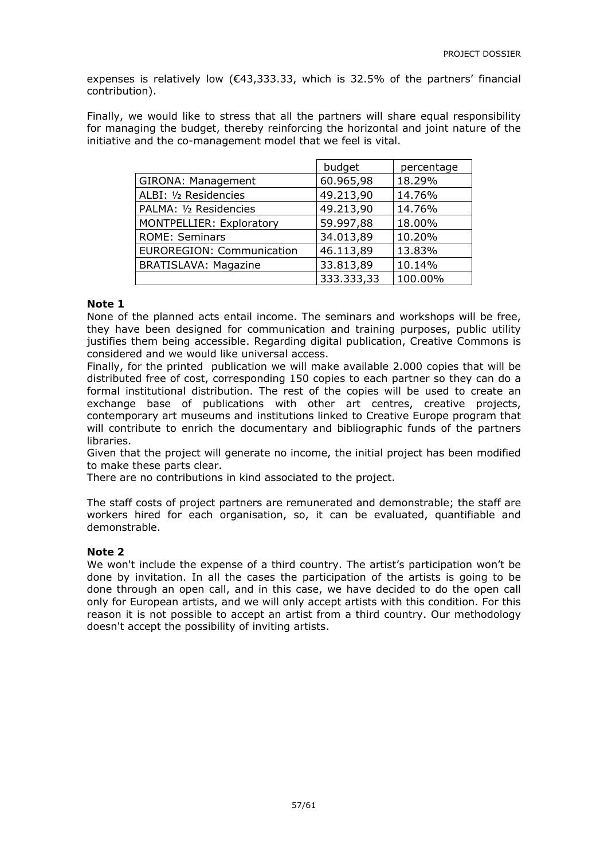expenses is relatively low  $(643, 333.33,$  which is 32.5% of the partners' financial contribution).

Finally, we would like to stress that all the partners will share equal responsibility for managing the budget, thereby reinforcing the horizontal and joint nature of the initiative and the co-management model that we feel is vital.

|                                  | budget     | percentage |
|----------------------------------|------------|------------|
| GIRONA: Management               | 60.965,98  | 18.29%     |
| ALBI: 1/2 Residencies            | 49.213,90  | 14.76%     |
| PALMA: 1/2 Residencies           | 49.213,90  | 14.76%     |
| MONTPELLIER: Exploratory         | 59.997,88  | 18.00%     |
| <b>ROME: Seminars</b>            | 34.013,89  | 10.20%     |
| <b>EUROREGION: Communication</b> | 46.113,89  | 13.83%     |
| <b>BRATISLAVA: Magazine</b>      | 33.813,89  | 10.14%     |
|                                  | 333.333,33 | 100.00%    |

#### **Note 1**

None of the planned acts entail income. The seminars and workshops will be free, they have been designed for communication and training purposes, public utility justifies them being accessible. Regarding digital publication, Creative Commons is considered and we would like universal access.

Finally, for the printed publication we will make available 2.000 copies that will be distributed free of cost, corresponding 150 copies to each partner so they can do a formal institutional distribution. The rest of the copies will be used to create an exchange base of publications with other art centres, creative projects, contemporary art museums and institutions linked to Creative Europe program that will contribute to enrich the documentary and bibliographic funds of the partners libraries.

Given that the project will generate no income, the initial project has been modified to make these parts clear.

There are no contributions in kind associated to the project.

The staff costs of project partners are remunerated and demonstrable; the staff are workers hired for each organisation, so, it can be evaluated, quantifiable and demonstrable.

#### **Note 2**

We won't include the expense of a third country. The artist's participation won't be done by invitation. In all the cases the participation of the artists is going to be done through an open call, and in this case, we have decided to do the open call only for European artists, and we will only accept artists with this condition. For this reason it is not possible to accept an artist from a third country. Our methodology doesn't accept the possibility of inviting artists.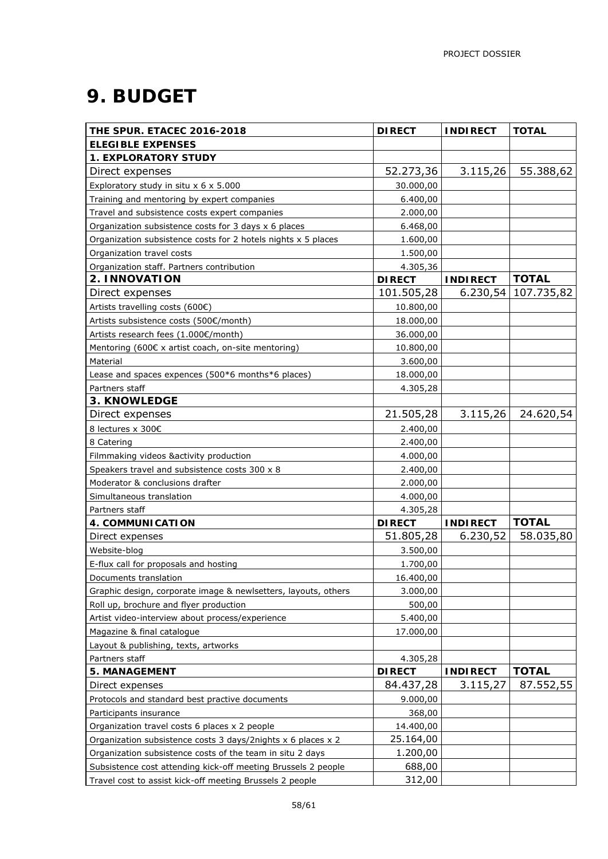# **9. BUDGET**

| THE SPUR. ETACEC 2016-2018                                     | <b>DIRECT</b> | <b>INDIRECT</b> | <b>TOTAL</b> |
|----------------------------------------------------------------|---------------|-----------------|--------------|
| <b>ELEGIBLE EXPENSES</b>                                       |               |                 |              |
| <b>1. EXPLORATORY STUDY</b>                                    |               |                 |              |
| Direct expenses                                                | 52.273,36     | 3.115,26        | 55.388,62    |
| Exploratory study in situ x 6 x 5.000                          | 30.000,00     |                 |              |
| Training and mentoring by expert companies                     | 6.400,00      |                 |              |
| Travel and subsistence costs expert companies                  | 2.000,00      |                 |              |
| Organization subsistence costs for 3 days x 6 places           | 6.468,00      |                 |              |
| Organization subsistence costs for 2 hotels nights x 5 places  | 1.600,00      |                 |              |
| Organization travel costs                                      | 1.500,00      |                 |              |
| Organization staff. Partners contribution                      | 4.305,36      |                 |              |
| 2. INNOVATION                                                  | <b>DIRECT</b> | <b>INDIRECT</b> | <b>TOTAL</b> |
| Direct expenses                                                | 101.505,28    | 6.230,54        | 107.735,82   |
| Artists travelling costs (600€)                                | 10.800,00     |                 |              |
| Artists subsistence costs (500€/month)                         | 18.000,00     |                 |              |
| Artists research fees (1.000€/month)                           | 36.000,00     |                 |              |
| Mentoring (600€ x artist coach, on-site mentoring)             | 10.800,00     |                 |              |
| Material                                                       | 3.600,00      |                 |              |
| Lease and spaces expences (500*6 months*6 places)              | 18.000,00     |                 |              |
| Partners staff                                                 | 4.305,28      |                 |              |
| 3. KNOWLEDGE                                                   |               |                 |              |
| Direct expenses                                                | 21.505,28     | 3.115,26        | 24.620,54    |
| 8 lectures x 300€                                              | 2.400,00      |                 |              |
| 8 Catering                                                     | 2.400,00      |                 |              |
| Filmmaking videos &activity production                         | 4.000,00      |                 |              |
| Speakers travel and subsistence costs 300 x 8                  | 2.400,00      |                 |              |
| Moderator & conclusions drafter                                | 2.000,00      |                 |              |
| Simultaneous translation                                       | 4.000,00      |                 |              |
| Partners staff                                                 | 4.305,28      |                 |              |
| 4. COMMUNICATION                                               | <b>DIRECT</b> | <b>INDIRECT</b> | <b>TOTAL</b> |
| Direct expenses                                                | 51.805,28     | 6.230,52        | 58.035,80    |
| Website-blog                                                   | 3.500,00      |                 |              |
| E-flux call for proposals and hosting                          | 1.700,00      |                 |              |
| Documents translation                                          | 16.400,00     |                 |              |
| Graphic design, corporate image & newlsetters, layouts, others | 3.000,00      |                 |              |
| Roll up, brochure and flyer production                         | 500,00        |                 |              |
| Artist video-interview about process/experience                | 5.400,00      |                 |              |
| Magazine & final catalogue                                     | 17.000,00     |                 |              |
| Layout & publishing, texts, artworks                           |               |                 |              |
| Partners staff                                                 | 4.305,28      |                 |              |
| <b>5. MANAGEMENT</b>                                           | <b>DIRECT</b> | <b>INDIRECT</b> | <b>TOTAL</b> |
| Direct expenses                                                | 84.437,28     | 3.115,27        | 87.552,55    |
| Protocols and standard best practive documents                 | 9.000,00      |                 |              |
| Participants insurance                                         | 368,00        |                 |              |
| Organization travel costs 6 places x 2 people                  | 14.400,00     |                 |              |
| Organization subsistence costs 3 days/2nights x 6 places x 2   | 25.164,00     |                 |              |
| Organization subsistence costs of the team in situ 2 days      | 1.200,00      |                 |              |
| Subsistence cost attending kick-off meeting Brussels 2 people  | 688,00        |                 |              |
| Travel cost to assist kick-off meeting Brussels 2 people       | 312,00        |                 |              |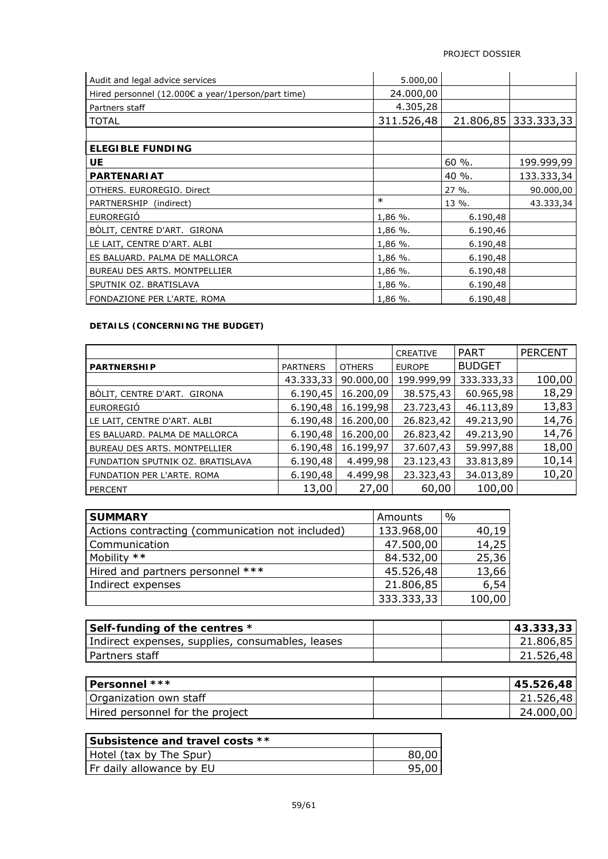| Audit and legal advice services                    | 5.000,00   |           |            |
|----------------------------------------------------|------------|-----------|------------|
| Hired personnel (12.000€ a year/1person/part time) | 24.000,00  |           |            |
| Partners staff                                     | 4.305,28   |           |            |
| <b>TOTAL</b>                                       | 311.526,48 | 21.806,85 | 333.333,33 |
|                                                    |            |           |            |
| <b>ELEGIBLE FUNDING</b>                            |            |           |            |
| <b>UE</b>                                          |            | 60 %.     | 199.999,99 |
| <b>PARTENARIAT</b>                                 |            | 40 %.     | 133.333,34 |
| OTHERS. EUROREGIO. Direct                          |            | $27\%$ .  | 90.000,00  |
| PARTNERSHIP (indirect)                             | $\ast$     | 13 %.     | 43.333,34  |
| EUROREGIÓ                                          | $1,86\%$ . | 6.190,48  |            |
| BÒLIT, CENTRE D'ART. GIRONA                        | 1,86 %.    | 6.190,46  |            |
| LE LAIT, CENTRE D'ART. ALBI                        | $1,86%$ .  | 6.190,48  |            |
| ES BALUARD. PALMA DE MALLORCA                      | 1,86 %.    | 6.190,48  |            |
| BUREAU DES ARTS. MONTPELLIER                       | 1,86 %.    | 6.190,48  |            |
| SPUTNIK OZ. BRATISLAVA                             | $1,86%$ .  | 6.190,48  |            |
| FONDAZIONE PER L'ARTE. ROMA                        | 1,86 %.    | 6.190,48  |            |

#### **DETAILS (CONCERNING THE BUDGET)**

|                                     |                 |               | <b>CREATIVE</b> | <b>PART</b>   | <b>PERCENT</b> |
|-------------------------------------|-----------------|---------------|-----------------|---------------|----------------|
| <b>PARTNERSHIP</b>                  | <b>PARTNERS</b> | <b>OTHERS</b> | <b>EUROPE</b>   | <b>BUDGET</b> |                |
|                                     | 43.333,33       | 90.000,00     | 199.999,99      | 333.333,33    | 100,00         |
| BÒLIT, CENTRE D'ART. GIRONA         | 6.190,45        | 16.200,09     | 38.575,43       | 60.965,98     | 18,29          |
| EUROREGIÓ                           | 6.190,48        | 16.199,98     | 23.723,43       | 46.113,89     | 13,83          |
| LE LAIT, CENTRE D'ART. ALBI         | 6.190,48        | 16.200,00     | 26.823,42       | 49.213,90     | 14,76          |
| ES BALUARD. PALMA DE MALLORCA       | 6.190,48        | 16.200,00     | 26.823,42       | 49.213,90     | 14,76          |
| <b>BUREAU DES ARTS, MONTPELLIER</b> | 6.190,48        | 16.199,97     | 37.607,43       | 59.997,88     | 18,00          |
| FUNDATION SPUTNIK OZ. BRATISLAVA    | 6.190,48        | 4.499,98      | 23.123,43       | 33.813,89     | 10,14          |
| FUNDATION PER L'ARTE, ROMA          | 6.190,48        | 4.499,98      | 23.323,43       | 34.013,89     | 10,20          |
| <b>PERCENT</b>                      | 13,00           | 27,00         | 60,00           | 100,00        |                |

| <b>SUMMARY</b>                                   | Amounts    | $\frac{0}{0}$ |
|--------------------------------------------------|------------|---------------|
| Actions contracting (communication not included) | 133.968,00 | 40,19         |
| Communication                                    | 47.500,00  | 14,25         |
| Mobility **                                      | 84.532,00  | 25,36         |
| Hired and partners personnel ***                 | 45.526,48  | 13,66         |
| Indirect expenses                                | 21.806,85  | 6,54          |
|                                                  | 333.333,33 | 100,00        |

| Self-funding of the centres *                    | 43.333,33 |
|--------------------------------------------------|-----------|
| Indirect expenses, supplies, consumables, leases | 21.806,85 |
| Partners staff                                   | 21.526,48 |
|                                                  |           |
| Personnel ***                                    | 45.526,48 |
| Organization own staff                           | 21.526,48 |
| Hired personnel for the project                  | 24.000,00 |

| l Subsistence and travel costs ** |  |
|-----------------------------------|--|
| Hotel (tax by The Spur)           |  |
| Fr daily allowance by EU          |  |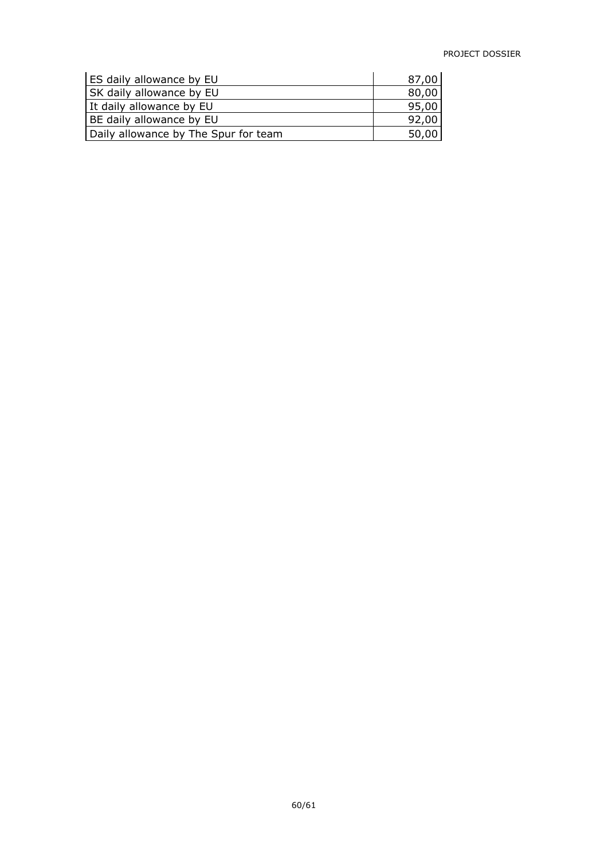| ES daily allowance by EU             | 87,00 |
|--------------------------------------|-------|
| SK daily allowance by EU             | 80,00 |
| It daily allowance by EU             | 95,00 |
| BE daily allowance by EU             | 92,00 |
| Daily allowance by The Spur for team | 50,00 |